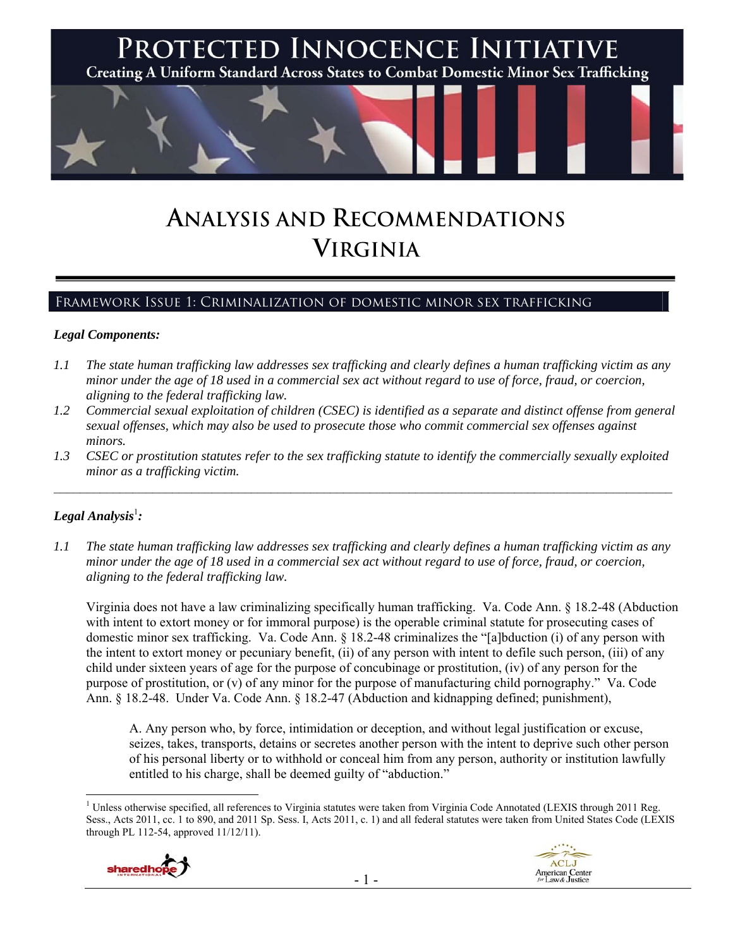

# **ANALYSIS AND RECOMMENDATIONS VIRGINIA**

## Framework Issue 1: Criminalization of domestic minor sex trafficking

#### *Legal Components:*

- *1.1 The state human trafficking law addresses sex trafficking and clearly defines a human trafficking victim as any minor under the age of 18 used in a commercial sex act without regard to use of force, fraud, or coercion, aligning to the federal trafficking law.*
- *1.2 Commercial sexual exploitation of children (CSEC) is identified as a separate and distinct offense from general sexual offenses, which may also be used to prosecute those who commit commercial sex offenses against minors.*
- *1.3 CSEC or prostitution statutes refer to the sex trafficking statute to identify the commercially sexually exploited minor as a trafficking victim.*   $\mathcal{L}_\mathcal{L} = \{ \mathcal{L}_\mathcal{L} = \{ \mathcal{L}_\mathcal{L} = \{ \mathcal{L}_\mathcal{L} = \{ \mathcal{L}_\mathcal{L} = \{ \mathcal{L}_\mathcal{L} = \{ \mathcal{L}_\mathcal{L} = \{ \mathcal{L}_\mathcal{L} = \{ \mathcal{L}_\mathcal{L} = \{ \mathcal{L}_\mathcal{L} = \{ \mathcal{L}_\mathcal{L} = \{ \mathcal{L}_\mathcal{L} = \{ \mathcal{L}_\mathcal{L} = \{ \mathcal{L}_\mathcal{L} = \{ \mathcal{L}_\mathcal{$

# $\bm{L}$ egal Analysis $^{\rm l}$ :

*1.1 The state human trafficking law addresses sex trafficking and clearly defines a human trafficking victim as any minor under the age of 18 used in a commercial sex act without regard to use of force, fraud, or coercion, aligning to the federal trafficking law.*

Virginia does not have a law criminalizing specifically human trafficking. Va. Code Ann. § 18.2-48 (Abduction with intent to extort money or for immoral purpose) is the operable criminal statute for prosecuting cases of domestic minor sex trafficking. Va. Code Ann. § 18.2-48 criminalizes the "[a]bduction (i) of any person with the intent to extort money or pecuniary benefit, (ii) of any person with intent to defile such person, (iii) of any child under sixteen years of age for the purpose of concubinage or prostitution, (iv) of any person for the purpose of prostitution, or (v) of any minor for the purpose of manufacturing child pornography." Va. Code Ann. § 18.2-48. Under Va. Code Ann. § 18.2-47 (Abduction and kidnapping defined; punishment),

A. Any person who, by force, intimidation or deception, and without legal justification or excuse, seizes, takes, transports, detains or secretes another person with the intent to deprive such other person of his personal liberty or to withhold or conceal him from any person, authority or institution lawfully entitled to his charge, shall be deemed guilty of "abduction."

 $\overline{a}$ <sup>1</sup> Unless otherwise specified, all references to Virginia statutes were taken from Virginia Code Annotated (LEXIS through 2011 Reg. Sess., Acts 2011, cc. 1 to 890, and 2011 Sp. Sess. I, Acts 2011, c. 1) and all federal statutes were taken from United States Code (LEXIS through PL 112-54, approved 11/12/11).



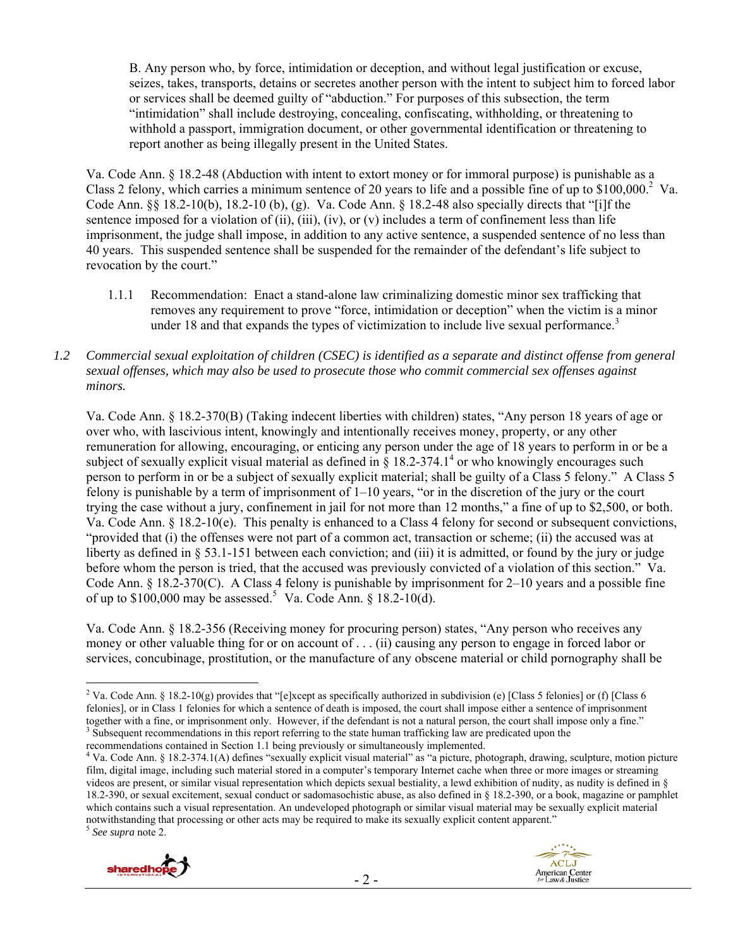B. Any person who, by force, intimidation or deception, and without legal justification or excuse, seizes, takes, transports, detains or secretes another person with the intent to subject him to forced labor or services shall be deemed guilty of "abduction." For purposes of this subsection, the term "intimidation" shall include destroying, concealing, confiscating, withholding, or threatening to withhold a passport, immigration document, or other governmental identification or threatening to report another as being illegally present in the United States.

Va. Code Ann. § 18.2-48 (Abduction with intent to extort money or for immoral purpose) is punishable as a Class 2 felony, which carries a minimum sentence of 20 years to life and a possible fine of up to  $$100,000$ .<sup>2</sup> Va. Code Ann. §§ 18.2-10(b), 18.2-10 (b), (g). Va. Code Ann. § 18.2-48 also specially directs that "[i]f the sentence imposed for a violation of (ii), (iii), (iv), or (v) includes a term of confinement less than life imprisonment, the judge shall impose, in addition to any active sentence, a suspended sentence of no less than 40 years. This suspended sentence shall be suspended for the remainder of the defendant's life subject to revocation by the court."

- 1.1.1 Recommendation: Enact a stand-alone law criminalizing domestic minor sex trafficking that removes any requirement to prove "force, intimidation or deception" when the victim is a minor under 18 and that expands the types of victimization to include live sexual performance.<sup>3</sup>
- *1.2 Commercial sexual exploitation of children (CSEC) is identified as a separate and distinct offense from general sexual offenses, which may also be used to prosecute those who commit commercial sex offenses against minors.*

Va. Code Ann. § 18.2-370(B) (Taking indecent liberties with children) states, "Any person 18 years of age or over who, with lascivious intent, knowingly and intentionally receives money, property, or any other remuneration for allowing, encouraging, or enticing any person under the age of 18 years to perform in or be a subject of sexually explicit visual material as defined in  $\hat{\S}$  18.2-374.1<sup>4</sup> or who knowingly encourages such person to perform in or be a subject of sexually explicit material; shall be guilty of a Class 5 felony." A Class 5 felony is punishable by a term of imprisonment of 1–10 years, "or in the discretion of the jury or the court trying the case without a jury, confinement in jail for not more than 12 months," a fine of up to \$2,500, or both. Va. Code Ann. § 18.2-10(e). This penalty is enhanced to a Class 4 felony for second or subsequent convictions, "provided that (i) the offenses were not part of a common act, transaction or scheme; (ii) the accused was at liberty as defined in § 53.1-151 between each conviction; and (iii) it is admitted, or found by the jury or judge before whom the person is tried, that the accused was previously convicted of a violation of this section." Va. Code Ann. § 18.2-370(C). A Class 4 felony is punishable by imprisonment for 2–10 years and a possible fine of up to  $$100,000$  may be assessed.<sup>5</sup> Va. Code Ann.  $$18.2-10(d)$ .

Va. Code Ann. § 18.2-356 (Receiving money for procuring person) states, "Any person who receives any money or other valuable thing for or on account of . . . (ii) causing any person to engage in forced labor or services, concubinage, prostitution, or the manufacture of any obscene material or child pornography shall be

<sup>&</sup>lt;sup>4</sup> Va. Code Ann. § 18.2-374.1(A) defines "sexually explicit visual material" as "a picture, photograph, drawing, sculpture, motion picture film, digital image, including such material stored in a computer's temporary Internet cache when three or more images or streaming videos are present, or similar visual representation which depicts sexual bestiality, a lewd exhibition of nudity, as nudity is defined in § 18.2-390, or sexual excitement, sexual conduct or sadomasochistic abuse, as also defined in § 18.2-390, or a book, magazine or pamphlet which contains such a visual representation. An undeveloped photograph or similar visual material may be sexually explicit material notwithstanding that processing or other acts may be required to make its sexually explicit content apparent." 5 *See supra* note 2.





 $\overline{a}$ <sup>2</sup> Va. Code Ann. § 18.2-10(g) provides that "[e]xcept as specifically authorized in subdivision (e) [Class 5 felonies] or (f) [Class 6 felonies], or in Class 1 felonies for which a sentence of death is imposed, the court shall impose either a sentence of imprisonment together with a fine, or imprisonment only. However, if the defendant is not a natural person, the court shall impose only a fine." Subsequent recommendations in this report referring to the state human trafficking law are predicated upon the recommendations contained in Section 1.1 being previously or simultaneously implemented. 4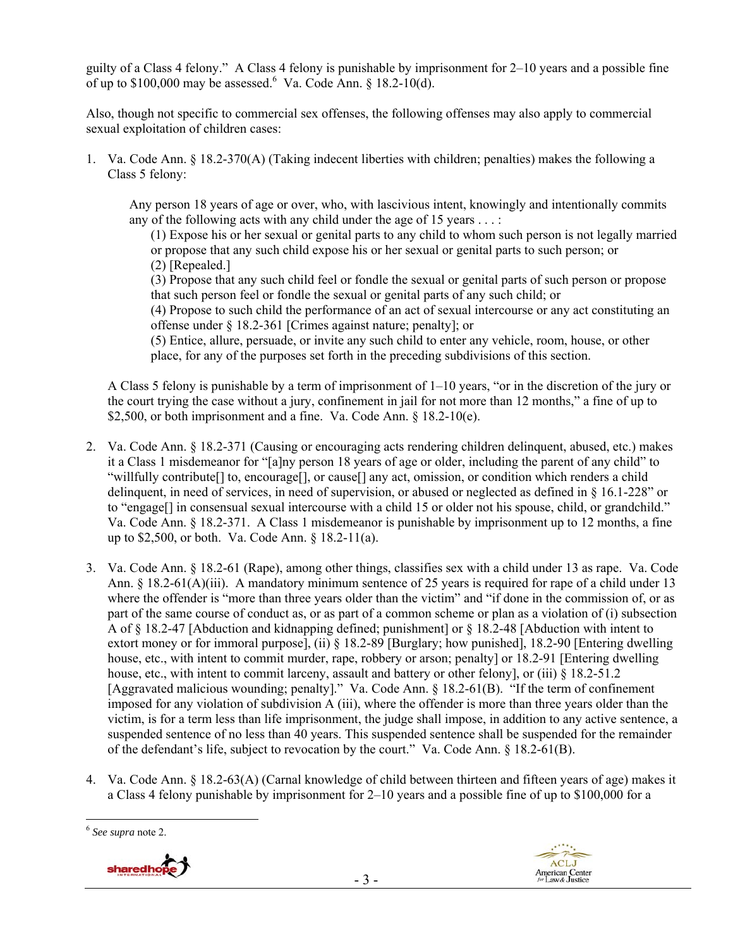guilty of a Class 4 felony." A Class 4 felony is punishable by imprisonment for 2–10 years and a possible fine of up to  $$100,000$  may be assessed. Va. Code Ann. § 18.2-10(d).

Also, though not specific to commercial sex offenses, the following offenses may also apply to commercial sexual exploitation of children cases:

1. Va. Code Ann. § 18.2-370(A) (Taking indecent liberties with children; penalties) makes the following a Class 5 felony:

Any person 18 years of age or over, who, with lascivious intent, knowingly and intentionally commits any of the following acts with any child under the age of 15 years . . . :

(1) Expose his or her sexual or genital parts to any child to whom such person is not legally married or propose that any such child expose his or her sexual or genital parts to such person; or (2) [Repealed.]

(3) Propose that any such child feel or fondle the sexual or genital parts of such person or propose that such person feel or fondle the sexual or genital parts of any such child; or

(4) Propose to such child the performance of an act of sexual intercourse or any act constituting an offense under § 18.2-361 [Crimes against nature; penalty]; or

(5) Entice, allure, persuade, or invite any such child to enter any vehicle, room, house, or other place, for any of the purposes set forth in the preceding subdivisions of this section.

A Class 5 felony is punishable by a term of imprisonment of 1–10 years, "or in the discretion of the jury or the court trying the case without a jury, confinement in jail for not more than 12 months," a fine of up to \$2,500, or both imprisonment and a fine. Va. Code Ann.  $\S$  18.2-10(e).

- 2. Va. Code Ann. § 18.2-371 (Causing or encouraging acts rendering children delinquent, abused, etc.) makes it a Class 1 misdemeanor for "[a]ny person 18 years of age or older, including the parent of any child" to "willfully contribute[] to, encourage[], or cause[] any act, omission, or condition which renders a child delinquent, in need of services, in need of supervision, or abused or neglected as defined in § 16.1-228" or to "engage[] in consensual sexual intercourse with a child 15 or older not his spouse, child, or grandchild." Va. Code Ann. § 18.2-371. A Class 1 misdemeanor is punishable by imprisonment up to 12 months, a fine up to \$2,500, or both. Va. Code Ann. § 18.2-11(a).
- 3. Va. Code Ann. § 18.2-61 (Rape), among other things, classifies sex with a child under 13 as rape. Va. Code Ann. § 18.2-61(A)(iii). A mandatory minimum sentence of 25 years is required for rape of a child under 13 where the offender is "more than three years older than the victim" and "if done in the commission of, or as part of the same course of conduct as, or as part of a common scheme or plan as a violation of (i) subsection A of § 18.2-47 [Abduction and kidnapping defined; punishment] or § 18.2-48 [Abduction with intent to extort money or for immoral purpose], (ii) § 18.2-89 [Burglary; how punished], 18.2-90 [Entering dwelling house, etc., with intent to commit murder, rape, robbery or arson; penalty] or 18.2-91 [Entering dwelling house, etc., with intent to commit larceny, assault and battery or other felony], or (iii) § 18.2-51.2 [Aggravated malicious wounding; penalty]." Va. Code Ann. § 18.2-61(B). "If the term of confinement imposed for any violation of subdivision A (iii), where the offender is more than three years older than the victim, is for a term less than life imprisonment, the judge shall impose, in addition to any active sentence, a suspended sentence of no less than 40 years. This suspended sentence shall be suspended for the remainder of the defendant's life, subject to revocation by the court." Va. Code Ann. § 18.2-61(B).
- 4. Va. Code Ann. § 18.2-63(A) (Carnal knowledge of child between thirteen and fifteen years of age) makes it a Class 4 felony punishable by imprisonment for 2–10 years and a possible fine of up to \$100,000 for a

 $\overline{a}$ 





<sup>6</sup> *See supra* note 2.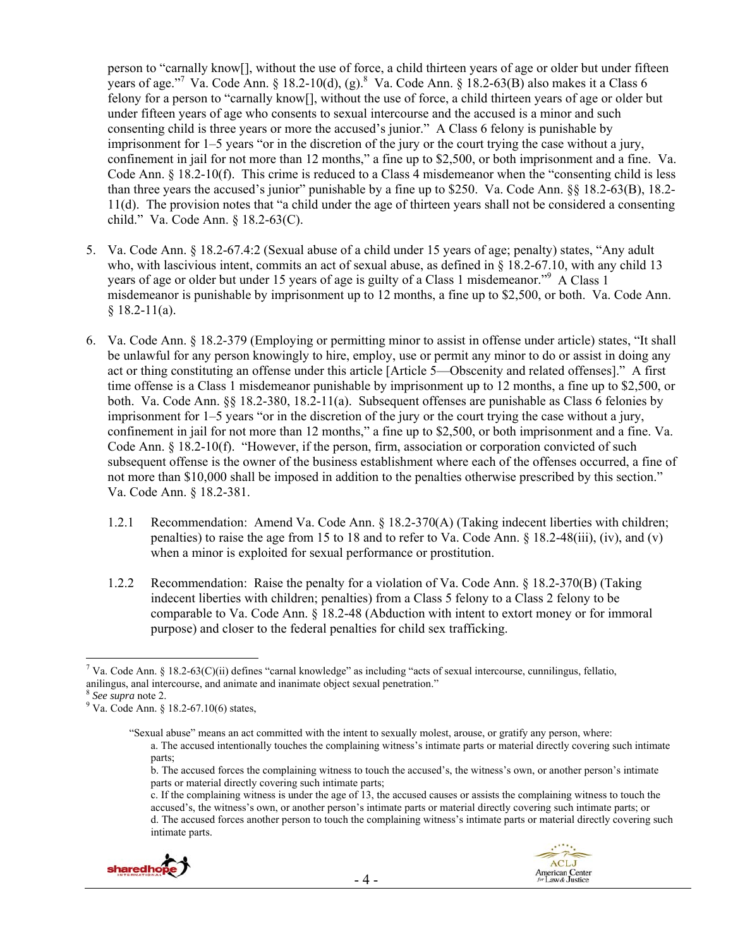person to "carnally know[], without the use of force, a child thirteen years of age or older but under fifteen years of age."<sup>7</sup> Va. Code Ann. § 18.2-10(d), (g). <sup>8</sup> Va. Code Ann. § 18.2-63(B) also makes it a Class 6 felony for a person to "carnally know[], without the use of force, a child thirteen years of age or older but under fifteen years of age who consents to sexual intercourse and the accused is a minor and such consenting child is three years or more the accused's junior." A Class 6 felony is punishable by imprisonment for 1–5 years "or in the discretion of the jury or the court trying the case without a jury, confinement in jail for not more than 12 months," a fine up to \$2,500, or both imprisonment and a fine. Va. Code Ann. § 18.2-10(f). This crime is reduced to a Class 4 misdemeanor when the "consenting child is less than three years the accused's junior" punishable by a fine up to \$250. Va. Code Ann. §§ 18.2-63(B), 18.2- 11(d). The provision notes that "a child under the age of thirteen years shall not be considered a consenting child." Va. Code Ann. § 18.2-63(C).

- 5. Va. Code Ann. § 18.2-67.4:2 (Sexual abuse of a child under 15 years of age; penalty) states, "Any adult who, with lascivious intent, commits an act of sexual abuse, as defined in  $\frac{8}{3}$  18.2-67.10, with any child 13 years of age or older but under 15 years of age is guilty of a Class 1 misdemeanor."<sup>9</sup> A Class 1 misdemeanor is punishable by imprisonment up to 12 months, a fine up to \$2,500, or both. Va. Code Ann.  $§$  18.2-11(a).
- 6. Va. Code Ann. § 18.2-379 (Employing or permitting minor to assist in offense under article) states, "It shall be unlawful for any person knowingly to hire, employ, use or permit any minor to do or assist in doing any act or thing constituting an offense under this article [Article 5—Obscenity and related offenses]." A first time offense is a Class 1 misdemeanor punishable by imprisonment up to 12 months, a fine up to \$2,500, or both. Va. Code Ann. §§ 18.2-380, 18.2-11(a). Subsequent offenses are punishable as Class 6 felonies by imprisonment for 1–5 years "or in the discretion of the jury or the court trying the case without a jury, confinement in jail for not more than 12 months," a fine up to \$2,500, or both imprisonment and a fine. Va. Code Ann. § 18.2-10(f). "However, if the person, firm, association or corporation convicted of such subsequent offense is the owner of the business establishment where each of the offenses occurred, a fine of not more than \$10,000 shall be imposed in addition to the penalties otherwise prescribed by this section." Va. Code Ann. § 18.2-381.
	- 1.2.1 Recommendation: Amend Va. Code Ann. § 18.2-370(A) (Taking indecent liberties with children; penalties) to raise the age from 15 to 18 and to refer to Va. Code Ann. § 18.2-48(iii), (iv), and (v) when a minor is exploited for sexual performance or prostitution.
	- 1.2.2 Recommendation: Raise the penalty for a violation of Va. Code Ann. § 18.2-370(B) (Taking indecent liberties with children; penalties) from a Class 5 felony to a Class 2 felony to be comparable to Va. Code Ann. § 18.2-48 (Abduction with intent to extort money or for immoral purpose) and closer to the federal penalties for child sex trafficking.

 $\overline{a}$ 

c. If the complaining witness is under the age of 13, the accused causes or assists the complaining witness to touch the accused's, the witness's own, or another person's intimate parts or material directly covering such intimate parts; or d. The accused forces another person to touch the complaining witness's intimate parts or material directly covering such intimate parts.





<sup>&</sup>lt;sup>7</sup> Va. Code Ann. § 18.2-63(C)(ii) defines "carnal knowledge" as including "acts of sexual intercourse, cunnilingus, fellatio, anilingus, anal intercourse, and animate and inanimate object sexual penetration."<br><sup>8</sup> *See supra* note 2.

<sup>&</sup>lt;sup>9</sup> Va. Code Ann. § 18.2-67.10(6) states,

<sup>&</sup>quot;Sexual abuse" means an act committed with the intent to sexually molest, arouse, or gratify any person, where: a. The accused intentionally touches the complaining witness's intimate parts or material directly covering such intimate parts;

b. The accused forces the complaining witness to touch the accused's, the witness's own, or another person's intimate parts or material directly covering such intimate parts;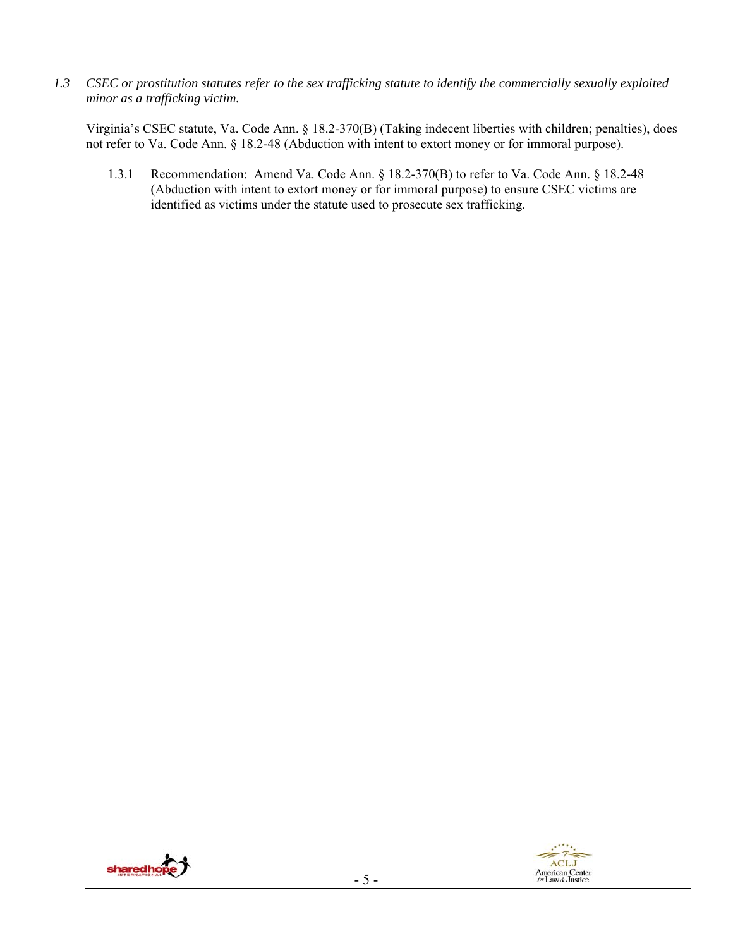*1.3 CSEC or prostitution statutes refer to the sex trafficking statute to identify the commercially sexually exploited minor as a trafficking victim.*

Virginia's CSEC statute, Va. Code Ann. § 18.2-370(B) (Taking indecent liberties with children; penalties), does not refer to Va. Code Ann. § 18.2-48 (Abduction with intent to extort money or for immoral purpose).

1.3.1 Recommendation: Amend Va. Code Ann. § 18.2-370(B) to refer to Va. Code Ann. § 18.2-48 (Abduction with intent to extort money or for immoral purpose) to ensure CSEC victims are identified as victims under the statute used to prosecute sex trafficking.



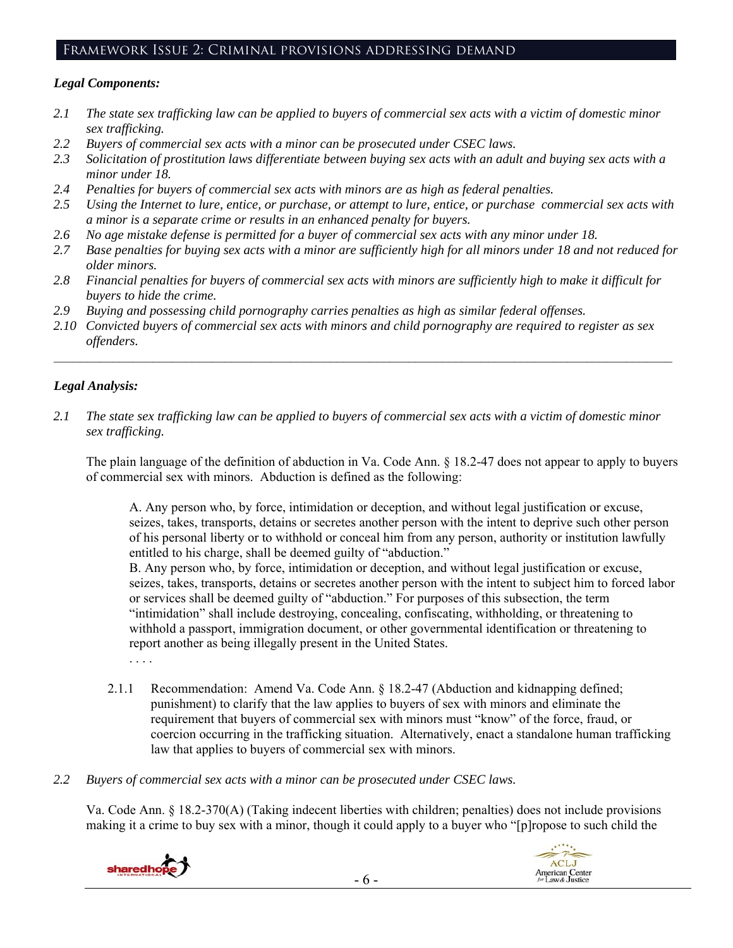## Framework Issue 2: Criminal provisions addressing demand

## *Legal Components:*

- *2.1 The state sex trafficking law can be applied to buyers of commercial sex acts with a victim of domestic minor sex trafficking.*
- *2.2 Buyers of commercial sex acts with a minor can be prosecuted under CSEC laws.*
- *2.3 Solicitation of prostitution laws differentiate between buying sex acts with an adult and buying sex acts with a minor under 18.*
- *2.4 Penalties for buyers of commercial sex acts with minors are as high as federal penalties.*
- *2.5 Using the Internet to lure, entice, or purchase, or attempt to lure, entice, or purchase commercial sex acts with a minor is a separate crime or results in an enhanced penalty for buyers.*
- *2.6 No age mistake defense is permitted for a buyer of commercial sex acts with any minor under 18.*
- *2.7 Base penalties for buying sex acts with a minor are sufficiently high for all minors under 18 and not reduced for older minors.*
- *2.8 Financial penalties for buyers of commercial sex acts with minors are sufficiently high to make it difficult for buyers to hide the crime.*
- *2.9 Buying and possessing child pornography carries penalties as high as similar federal offenses.*
- *2.10 Convicted buyers of commercial sex acts with minors and child pornography are required to register as sex offenders.*

 $\mathcal{L}_\mathcal{L} = \{ \mathcal{L}_\mathcal{L} = \{ \mathcal{L}_\mathcal{L} = \{ \mathcal{L}_\mathcal{L} = \{ \mathcal{L}_\mathcal{L} = \{ \mathcal{L}_\mathcal{L} = \{ \mathcal{L}_\mathcal{L} = \{ \mathcal{L}_\mathcal{L} = \{ \mathcal{L}_\mathcal{L} = \{ \mathcal{L}_\mathcal{L} = \{ \mathcal{L}_\mathcal{L} = \{ \mathcal{L}_\mathcal{L} = \{ \mathcal{L}_\mathcal{L} = \{ \mathcal{L}_\mathcal{L} = \{ \mathcal{L}_\mathcal{$ 

# *Legal Analysis:*

*2.1 The state sex trafficking law can be applied to buyers of commercial sex acts with a victim of domestic minor sex trafficking.*

The plain language of the definition of abduction in Va. Code Ann. § 18.2-47 does not appear to apply to buyers of commercial sex with minors. Abduction is defined as the following:

A. Any person who, by force, intimidation or deception, and without legal justification or excuse, seizes, takes, transports, detains or secretes another person with the intent to deprive such other person of his personal liberty or to withhold or conceal him from any person, authority or institution lawfully entitled to his charge, shall be deemed guilty of "abduction."

B. Any person who, by force, intimidation or deception, and without legal justification or excuse, seizes, takes, transports, detains or secretes another person with the intent to subject him to forced labor or services shall be deemed guilty of "abduction." For purposes of this subsection, the term "intimidation" shall include destroying, concealing, confiscating, withholding, or threatening to withhold a passport, immigration document, or other governmental identification or threatening to report another as being illegally present in the United States.

. . . .

- 2.1.1 Recommendation: Amend Va. Code Ann. § 18.2-47 (Abduction and kidnapping defined; punishment) to clarify that the law applies to buyers of sex with minors and eliminate the requirement that buyers of commercial sex with minors must "know" of the force, fraud, or coercion occurring in the trafficking situation. Alternatively, enact a standalone human trafficking law that applies to buyers of commercial sex with minors.
- *2.2 Buyers of commercial sex acts with a minor can be prosecuted under CSEC laws.*

Va. Code Ann. § 18.2-370(A) (Taking indecent liberties with children; penalties) does not include provisions making it a crime to buy sex with a minor, though it could apply to a buyer who "[p]ropose to such child the

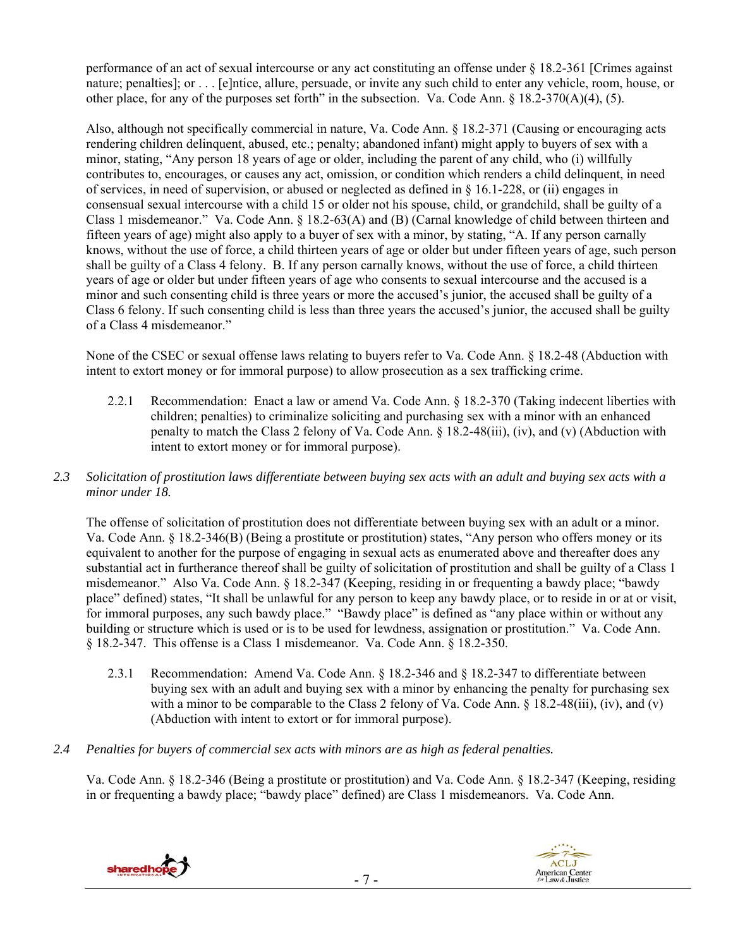performance of an act of sexual intercourse or any act constituting an offense under § 18.2-361 [Crimes against nature; penalties]; or . . . [e]ntice, allure, persuade, or invite any such child to enter any vehicle, room, house, or other place, for any of the purposes set forth" in the subsection. Va. Code Ann. § 18.2-370(A)(4), (5).

Also, although not specifically commercial in nature, Va. Code Ann. § 18.2-371 (Causing or encouraging acts rendering children delinquent, abused, etc.; penalty; abandoned infant) might apply to buyers of sex with a minor, stating, "Any person 18 years of age or older, including the parent of any child, who (i) willfully contributes to, encourages, or causes any act, omission, or condition which renders a child delinquent, in need of services, in need of supervision, or abused or neglected as defined in  $\S$  16.1-228, or (ii) engages in consensual sexual intercourse with a child 15 or older not his spouse, child, or grandchild, shall be guilty of a Class 1 misdemeanor." Va. Code Ann. § 18.2-63(A) and (B) (Carnal knowledge of child between thirteen and fifteen years of age) might also apply to a buyer of sex with a minor, by stating, "A. If any person carnally knows, without the use of force, a child thirteen years of age or older but under fifteen years of age, such person shall be guilty of a Class 4 felony. B. If any person carnally knows, without the use of force, a child thirteen years of age or older but under fifteen years of age who consents to sexual intercourse and the accused is a minor and such consenting child is three years or more the accused's junior, the accused shall be guilty of a Class 6 felony. If such consenting child is less than three years the accused's junior, the accused shall be guilty of a Class 4 misdemeanor."

None of the CSEC or sexual offense laws relating to buyers refer to Va. Code Ann. § 18.2-48 (Abduction with intent to extort money or for immoral purpose) to allow prosecution as a sex trafficking crime.

- 2.2.1 Recommendation: Enact a law or amend Va. Code Ann. § 18.2-370 (Taking indecent liberties with children; penalties) to criminalize soliciting and purchasing sex with a minor with an enhanced penalty to match the Class 2 felony of Va. Code Ann. § 18.2-48(iii), (iv), and (v) (Abduction with intent to extort money or for immoral purpose).
- *2.3 Solicitation of prostitution laws differentiate between buying sex acts with an adult and buying sex acts with a minor under 18.*

The offense of solicitation of prostitution does not differentiate between buying sex with an adult or a minor. Va. Code Ann. § 18.2-346(B) (Being a prostitute or prostitution) states, "Any person who offers money or its equivalent to another for the purpose of engaging in sexual acts as enumerated above and thereafter does any substantial act in furtherance thereof shall be guilty of solicitation of prostitution and shall be guilty of a Class 1 misdemeanor." Also Va. Code Ann. § 18.2-347 (Keeping, residing in or frequenting a bawdy place; "bawdy place" defined) states, "It shall be unlawful for any person to keep any bawdy place, or to reside in or at or visit, for immoral purposes, any such bawdy place." "Bawdy place" is defined as "any place within or without any building or structure which is used or is to be used for lewdness, assignation or prostitution." Va. Code Ann. § 18.2-347. This offense is a Class 1 misdemeanor. Va. Code Ann. § 18.2-350.

- 2.3.1 Recommendation: Amend Va. Code Ann. § 18.2-346 and § 18.2-347 to differentiate between buying sex with an adult and buying sex with a minor by enhancing the penalty for purchasing sex with a minor to be comparable to the Class 2 felony of Va. Code Ann.  $\S$  18.2-48(iii), (iv), and (v) (Abduction with intent to extort or for immoral purpose).
- *2.4 Penalties for buyers of commercial sex acts with minors are as high as federal penalties.*

Va. Code Ann. § 18.2-346 (Being a prostitute or prostitution) and Va. Code Ann. § 18.2-347 (Keeping, residing in or frequenting a bawdy place; "bawdy place" defined) are Class 1 misdemeanors. Va. Code Ann.



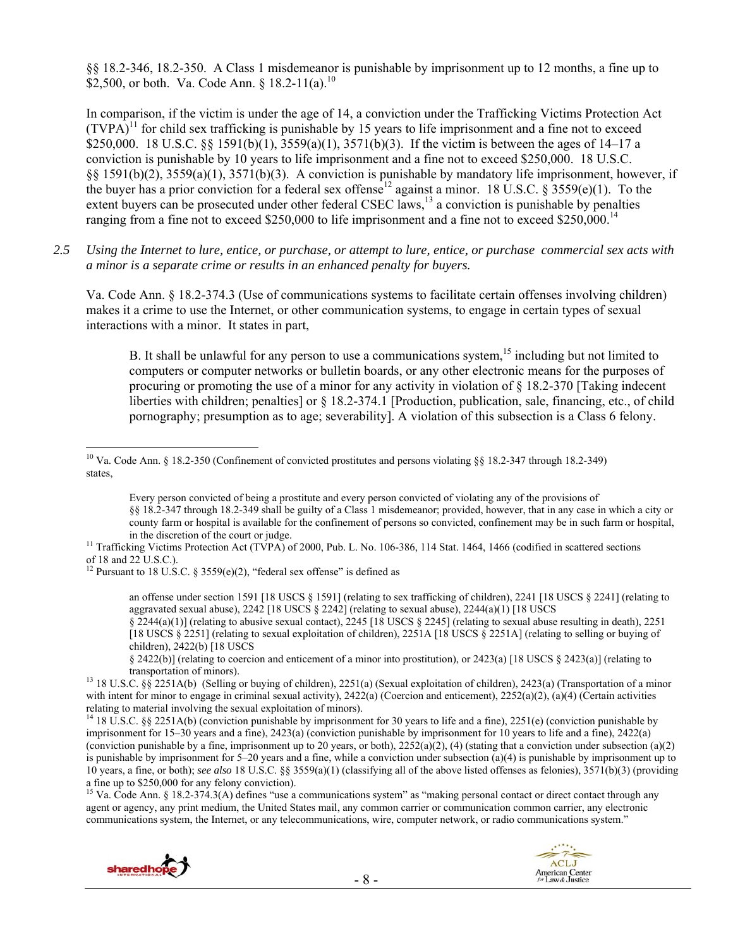§§ 18.2-346, 18.2-350. A Class 1 misdemeanor is punishable by imprisonment up to 12 months, a fine up to \$2,500, or both. Va. Code Ann. §  $18.2-11(a)$ .<sup>10</sup>

In comparison, if the victim is under the age of 14, a conviction under the Trafficking Victims Protection Act  $(TVPA)^{11}$  for child sex trafficking is punishable by 15 years to life imprisonment and a fine not to exceed \$250,000. 18 U.S.C. §§ 1591(b)(1),  $3559(a)(1)$ ,  $3571(b)(3)$ . If the victim is between the ages of 14–17 a conviction is punishable by 10 years to life imprisonment and a fine not to exceed \$250,000. 18 U.S.C. §§ 1591(b)(2), 3559(a)(1), 3571(b)(3). A conviction is punishable by mandatory life imprisonment, however, if the buyer has a prior conviction for a federal sex offense<sup>12</sup> against a minor. 18 U.S.C. § 3559(e)(1). To the extent buyers can be prosecuted under other federal CSEC laws,<sup>13</sup> a conviction is punishable by penalties ranging from a fine not to exceed \$250,000 to life imprisonment and a fine not to exceed \$250,000.<sup>14</sup>

*2.5 Using the Internet to lure, entice, or purchase, or attempt to lure, entice, or purchase commercial sex acts with a minor is a separate crime or results in an enhanced penalty for buyers.* 

Va. Code Ann. § 18.2-374.3 (Use of communications systems to facilitate certain offenses involving children) makes it a crime to use the Internet, or other communication systems, to engage in certain types of sexual interactions with a minor. It states in part,

B. It shall be unlawful for any person to use a communications system,  $15$  including but not limited to computers or computer networks or bulletin boards, or any other electronic means for the purposes of procuring or promoting the use of a minor for any activity in violation of § 18.2-370 [Taking indecent liberties with children; penalties] or § 18.2-374.1 [Production, publication, sale, financing, etc., of child pornography; presumption as to age; severability]. A violation of this subsection is a Class 6 felony.

Every person convicted of being a prostitute and every person convicted of violating any of the provisions of §§ 18.2-347 through 18.2-349 shall be guilty of a Class 1 misdemeanor; provided, however, that in any case in which a city or county farm or hospital is available for the confinement of persons so convicted, confinement may be in such farm or hospital, in the discretion of the court or judge.<br><sup>11</sup> Trafficking Victims Protection Act (TVPA) of 2000, Pub. L. No. 106-386, 114 Stat. 1464, 1466 (codified in scattered sections

<sup>12</sup> Pursuant to 18 U.S.C. § 3559(e)(2), "federal sex offense" is defined as

an offense under section 1591 [18 USCS § 1591] (relating to sex trafficking of children), 2241 [18 USCS § 2241] (relating to aggravated sexual abuse),  $2242$  [18 USCS § 2242] (relating to sexual abuse),  $2244(a)(1)$  [18 USCS  $\S$  2244(a)(1)] (relating to abusive sexual contact), 2245 [18 USCS  $\S$  2245] (relating to sexual abuse resulting in death), 2251 [18 USCS § 2251] (relating to sexual exploitation of children), 2251A [18 USCS § 2251A] (relating to selling or buying of

children), 2422(b) [18 USCS § 2422(b)] (relating to coercion and enticement of a minor into prostitution), or 2423(a) [18 USCS § 2423(a)] (relating to

<sup>13</sup> 18 U.S.C. §§ 2251A(b) (Selling or buying of children), 2251(a) (Sexual exploitation of children), 2423(a) (Transportation of a minor with intent for minor to engage in criminal sexual activity),  $2422(a)$  (Coercion and enticement),  $2252(a)(2)$ ,  $(a)(4)$  (Certain activities

relating to material involving the sexual exploitation of minors).<br><sup>14</sup> 18 U.S.C. §§ 2251A(b) (conviction punishable by imprisonment for 30 years to life and a fine), 2251(e) (conviction punishable by imprisonment for 15–30 years and a fine), 2423(a) (conviction punishable by imprisonment for 10 years to life and a fine), 2422(a) (conviction punishable by a fine, imprisonment up to 20 years, or both),  $2252(a)(2)$ , (4) (stating that a conviction under subsection (a)(2) is punishable by imprisonment for  $5-20$  years and a fine, while a conviction under subsection (a)(4) is punishable by imprisonment up to 10 years, a fine, or both); *see also* 18 U.S.C. §§ 3559(a)(1) (classifying all of the above listed offenses as felonies), 3571(b)(3) (providing a fine up to \$250,000 for any felony conviction).

<sup>15</sup> Va. Code Ann. § 18.2-374.3(A) defines "use a communications system" as "making personal contact or direct contact through any agent or agency, any print medium, the United States mail, any common carrier or communication common carrier, any electronic communications system, the Internet, or any telecommunications, wire, computer network, or radio communications system."





 $\overline{a}$ <sup>10</sup> Va. Code Ann. § 18.2-350 (Confinement of convicted prostitutes and persons violating §§ 18.2-347 through 18.2-349) states,

of 18 and 22 U.S.C.).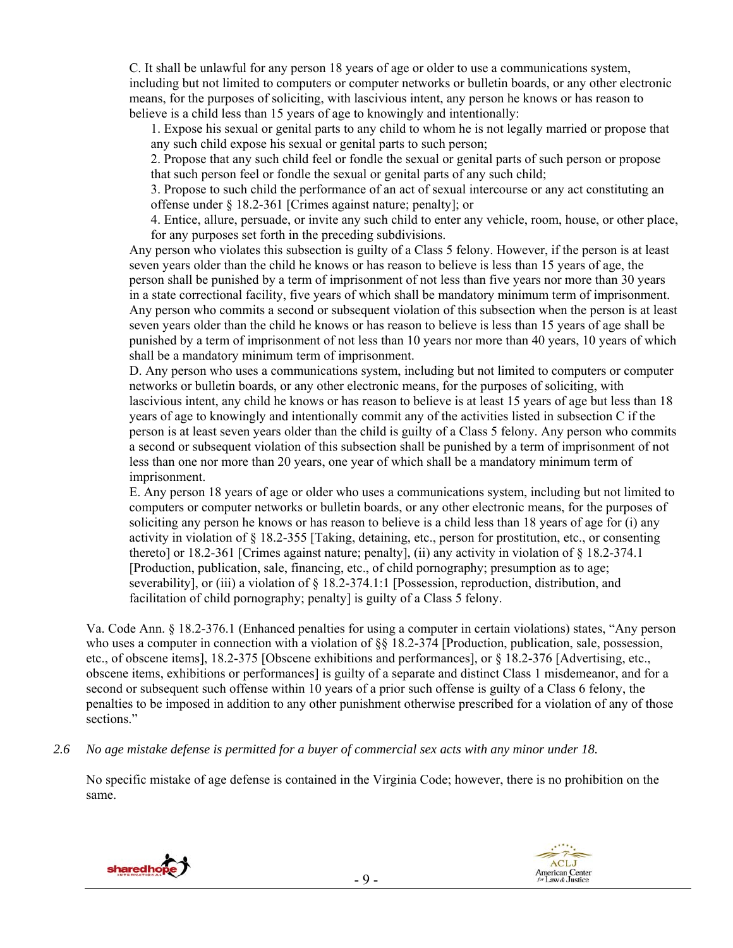C. It shall be unlawful for any person 18 years of age or older to use a communications system, including but not limited to computers or computer networks or bulletin boards, or any other electronic means, for the purposes of soliciting, with lascivious intent, any person he knows or has reason to believe is a child less than 15 years of age to knowingly and intentionally:

1. Expose his sexual or genital parts to any child to whom he is not legally married or propose that any such child expose his sexual or genital parts to such person;

2. Propose that any such child feel or fondle the sexual or genital parts of such person or propose that such person feel or fondle the sexual or genital parts of any such child;

3. Propose to such child the performance of an act of sexual intercourse or any act constituting an offense under § 18.2-361 [Crimes against nature; penalty]; or

4. Entice, allure, persuade, or invite any such child to enter any vehicle, room, house, or other place, for any purposes set forth in the preceding subdivisions.

Any person who violates this subsection is guilty of a Class 5 felony. However, if the person is at least seven years older than the child he knows or has reason to believe is less than 15 years of age, the person shall be punished by a term of imprisonment of not less than five years nor more than 30 years in a state correctional facility, five years of which shall be mandatory minimum term of imprisonment. Any person who commits a second or subsequent violation of this subsection when the person is at least seven years older than the child he knows or has reason to believe is less than 15 years of age shall be punished by a term of imprisonment of not less than 10 years nor more than 40 years, 10 years of which shall be a mandatory minimum term of imprisonment.

D. Any person who uses a communications system, including but not limited to computers or computer networks or bulletin boards, or any other electronic means, for the purposes of soliciting, with lascivious intent, any child he knows or has reason to believe is at least 15 years of age but less than 18 years of age to knowingly and intentionally commit any of the activities listed in subsection C if the person is at least seven years older than the child is guilty of a Class 5 felony. Any person who commits a second or subsequent violation of this subsection shall be punished by a term of imprisonment of not less than one nor more than 20 years, one year of which shall be a mandatory minimum term of imprisonment.

E. Any person 18 years of age or older who uses a communications system, including but not limited to computers or computer networks or bulletin boards, or any other electronic means, for the purposes of soliciting any person he knows or has reason to believe is a child less than 18 years of age for (i) any activity in violation of § 18.2-355 [Taking, detaining, etc., person for prostitution, etc., or consenting thereto] or 18.2-361 [Crimes against nature; penalty], (ii) any activity in violation of § 18.2-374.1 [Production, publication, sale, financing, etc., of child pornography; presumption as to age; severability], or (iii) a violation of § 18.2-374.1:1 [Possession, reproduction, distribution, and facilitation of child pornography; penalty] is guilty of a Class 5 felony.

Va. Code Ann. § 18.2-376.1 (Enhanced penalties for using a computer in certain violations) states, "Any person who uses a computer in connection with a violation of  $\S$ § 18.2-374 [Production, publication, sale, possession, etc., of obscene items], 18.2-375 [Obscene exhibitions and performances], or § 18.2-376 [Advertising, etc., obscene items, exhibitions or performances] is guilty of a separate and distinct Class 1 misdemeanor, and for a second or subsequent such offense within 10 years of a prior such offense is guilty of a Class 6 felony, the penalties to be imposed in addition to any other punishment otherwise prescribed for a violation of any of those sections."

*2.6 No age mistake defense is permitted for a buyer of commercial sex acts with any minor under 18.* 

No specific mistake of age defense is contained in the Virginia Code; however, there is no prohibition on the same.



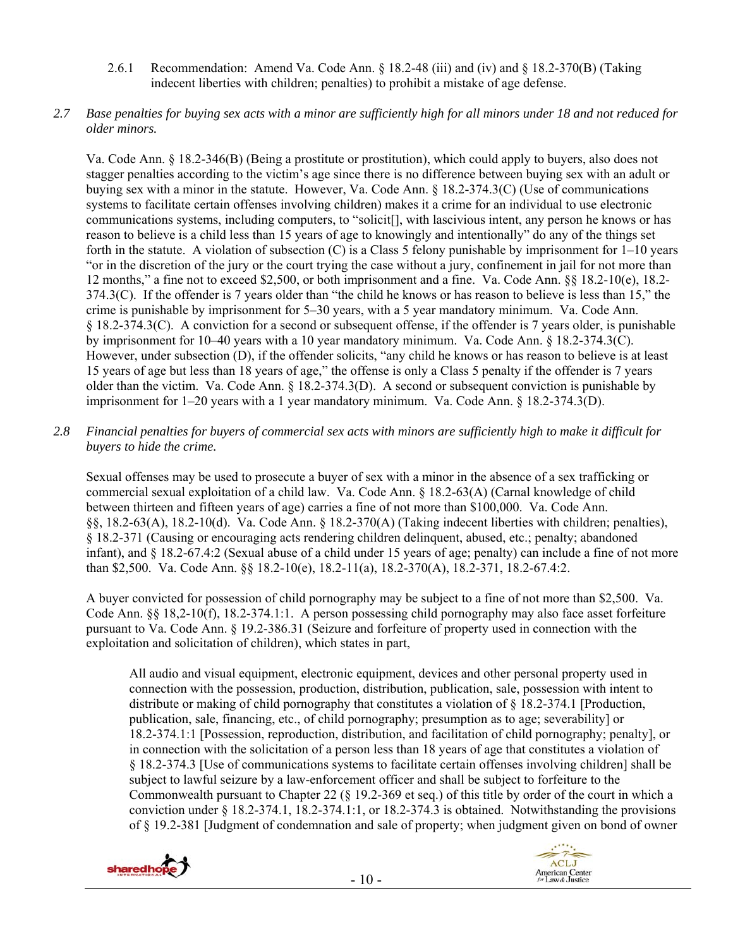- 2.6.1 Recommendation: Amend Va. Code Ann. § 18.2-48 (iii) and (iv) and § 18.2-370(B) (Taking indecent liberties with children; penalties) to prohibit a mistake of age defense.
- *2.7 Base penalties for buying sex acts with a minor are sufficiently high for all minors under 18 and not reduced for older minors.*

Va. Code Ann. § 18.2-346(B) (Being a prostitute or prostitution), which could apply to buyers, also does not stagger penalties according to the victim's age since there is no difference between buying sex with an adult or buying sex with a minor in the statute. However, Va. Code Ann. § 18.2-374.3(C) (Use of communications systems to facilitate certain offenses involving children) makes it a crime for an individual to use electronic communications systems, including computers, to "solicit[], with lascivious intent, any person he knows or has reason to believe is a child less than 15 years of age to knowingly and intentionally" do any of the things set forth in the statute. A violation of subsection (C) is a Class 5 felony punishable by imprisonment for 1–10 years "or in the discretion of the jury or the court trying the case without a jury, confinement in jail for not more than 12 months," a fine not to exceed \$2,500, or both imprisonment and a fine. Va. Code Ann. §§ 18.2-10(e), 18.2- 374.3(C). If the offender is 7 years older than "the child he knows or has reason to believe is less than 15," the crime is punishable by imprisonment for 5–30 years, with a 5 year mandatory minimum. Va. Code Ann. § 18.2-374.3(C). A conviction for a second or subsequent offense, if the offender is 7 years older, is punishable by imprisonment for 10–40 years with a 10 year mandatory minimum. Va. Code Ann. § 18.2-374.3(C). However, under subsection (D), if the offender solicits, "any child he knows or has reason to believe is at least 15 years of age but less than 18 years of age," the offense is only a Class 5 penalty if the offender is 7 years older than the victim. Va. Code Ann. § 18.2-374.3(D). A second or subsequent conviction is punishable by imprisonment for 1–20 years with a 1 year mandatory minimum. Va. Code Ann. § 18.2-374.3(D).

*2.8 Financial penalties for buyers of commercial sex acts with minors are sufficiently high to make it difficult for buyers to hide the crime.* 

Sexual offenses may be used to prosecute a buyer of sex with a minor in the absence of a sex trafficking or commercial sexual exploitation of a child law. Va. Code Ann. § 18.2-63(A) (Carnal knowledge of child between thirteen and fifteen years of age) carries a fine of not more than \$100,000. Va. Code Ann. §§, 18.2-63(A), 18.2-10(d). Va. Code Ann. § 18.2-370(A) (Taking indecent liberties with children; penalties), § 18.2-371 (Causing or encouraging acts rendering children delinquent, abused, etc.; penalty; abandoned infant), and § 18.2-67.4:2 (Sexual abuse of a child under 15 years of age; penalty) can include a fine of not more than \$2,500. Va. Code Ann. §§ 18.2-10(e), 18.2-11(a), 18.2-370(A), 18.2-371, 18.2-67.4:2.

A buyer convicted for possession of child pornography may be subject to a fine of not more than \$2,500. Va. Code Ann. §§ 18,2-10(f), 18.2-374.1:1. A person possessing child pornography may also face asset forfeiture pursuant to Va. Code Ann. § 19.2-386.31 (Seizure and forfeiture of property used in connection with the exploitation and solicitation of children), which states in part,

All audio and visual equipment, electronic equipment, devices and other personal property used in connection with the possession, production, distribution, publication, sale, possession with intent to distribute or making of child pornography that constitutes a violation of § 18.2-374.1 [Production, publication, sale, financing, etc., of child pornography; presumption as to age; severability] or 18.2-374.1:1 [Possession, reproduction, distribution, and facilitation of child pornography; penalty], or in connection with the solicitation of a person less than 18 years of age that constitutes a violation of § 18.2-374.3 [Use of communications systems to facilitate certain offenses involving children] shall be subject to lawful seizure by a law-enforcement officer and shall be subject to forfeiture to the Commonwealth pursuant to Chapter 22 (§ 19.2-369 et seq.) of this title by order of the court in which a conviction under § 18.2-374.1, 18.2-374.1:1, or 18.2-374.3 is obtained. Notwithstanding the provisions of § 19.2-381 [Judgment of condemnation and sale of property; when judgment given on bond of owner



![](_page_9_Picture_8.jpeg)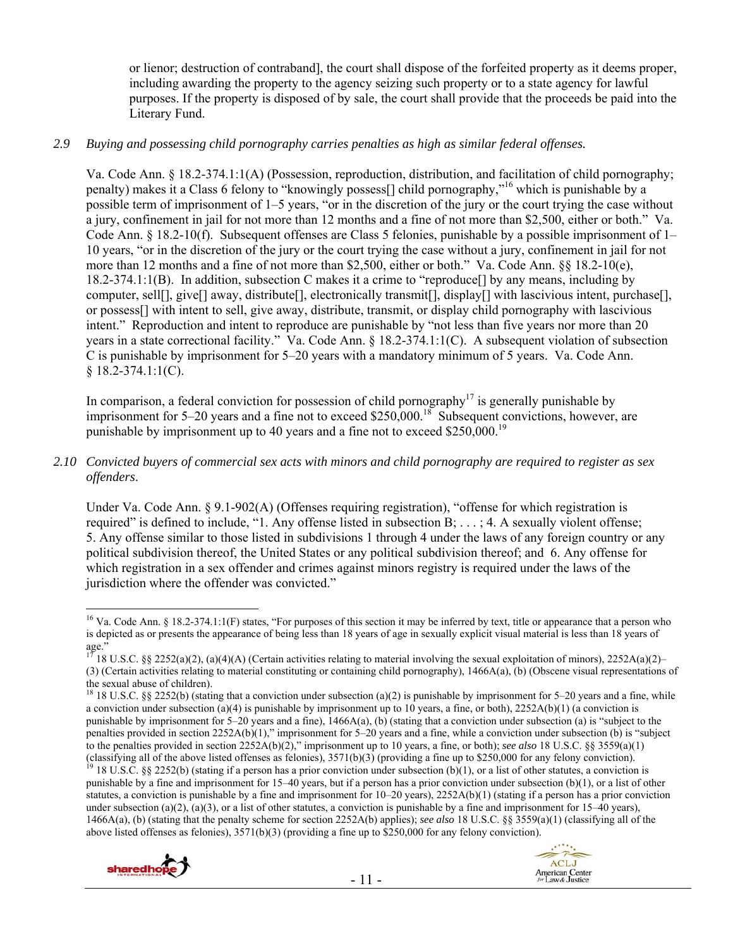or lienor; destruction of contraband], the court shall dispose of the forfeited property as it deems proper, including awarding the property to the agency seizing such property or to a state agency for lawful purposes. If the property is disposed of by sale, the court shall provide that the proceeds be paid into the Literary Fund.

## *2.9 Buying and possessing child pornography carries penalties as high as similar federal offenses.*

Va. Code Ann. § 18.2-374.1:1(A) (Possession, reproduction, distribution, and facilitation of child pornography; penalty) makes it a Class 6 felony to "knowingly possess[] child pornography,"16 which is punishable by a possible term of imprisonment of 1–5 years, "or in the discretion of the jury or the court trying the case without a jury, confinement in jail for not more than 12 months and a fine of not more than \$2,500, either or both." Va. Code Ann. § 18.2-10(f). Subsequent offenses are Class 5 felonies, punishable by a possible imprisonment of 1– 10 years, "or in the discretion of the jury or the court trying the case without a jury, confinement in jail for not more than 12 months and a fine of not more than \$2,500, either or both." Va. Code Ann. §§ 18.2-10(e), 18.2-374.1:1(B). In addition, subsection C makes it a crime to "reproduce[] by any means, including by computer, sell[], give[] away, distribute[], electronically transmit[], display[] with lascivious intent, purchase[], or possess[] with intent to sell, give away, distribute, transmit, or display child pornography with lascivious intent." Reproduction and intent to reproduce are punishable by "not less than five years nor more than 20 years in a state correctional facility." Va. Code Ann. § 18.2-374.1:1(C). A subsequent violation of subsection C is punishable by imprisonment for 5–20 years with a mandatory minimum of 5 years. Va. Code Ann.  $§ 18.2 - 374.1:1(C).$ 

In comparison, a federal conviction for possession of child pornography<sup>17</sup> is generally punishable by imprisonment for 5–20 years and a fine not to exceed \$250,000.<sup>18</sup> Subsequent convictions, however, are punishable by imprisonment up to 40 years and a fine not to exceed \$250,000.<sup>19</sup>

*2.10 Convicted buyers of commercial sex acts with minors and child pornography are required to register as sex offenders*.

Under Va. Code Ann. § 9.1-902(A) (Offenses requiring registration), "offense for which registration is required" is defined to include, "1. Any offense listed in subsection B; . . . ; 4. A sexually violent offense; 5. Any offense similar to those listed in subdivisions 1 through 4 under the laws of any foreign country or any political subdivision thereof, the United States or any political subdivision thereof; and 6. Any offense for which registration in a sex offender and crimes against minors registry is required under the laws of the jurisdiction where the offender was convicted."

punishable by a fine and imprisonment for 15–40 years, but if a person has a prior conviction under subsection (b)(1), or a list of other statutes, a conviction is punishable by a fine and imprisonment for 10–20 years), 2252A(b)(1) (stating if a person has a prior conviction under subsection (a)(2), (a)(3), or a list of other statutes, a conviction is punishable by a fine and imprisonment for  $15-40$  years), 1466A(a), (b) (stating that the penalty scheme for section 2252A(b) applies); *see also* 18 U.S.C. §§ 3559(a)(1) (classifying all of the above listed offenses as felonies),  $3571(b)(3)$  (providing a fine up to \$250,000 for any felony conviction).

![](_page_10_Picture_10.jpeg)

![](_page_10_Picture_11.jpeg)

 $\overline{a}$ <sup>16</sup> Va. Code Ann. § 18.2-374.1:1(F) states, "For purposes of this section it may be inferred by text, title or appearance that a person who is depicted as or presents the appearance of being less than 18 years of age in sexually explicit visual material is less than 18 years of age."

<sup>17 18</sup> U.S.C. §§ 2252(a)(2), (a)(4)(A) (Certain activities relating to material involving the sexual exploitation of minors), 2252A(a)(2)– (3) (Certain activities relating to material constituting or containing child pornography), 1466A(a), (b) (Obscene visual representations of the sexual abuse of children).

<sup>&</sup>lt;sup>18</sup> 18 U.S.C. §§ 2252(b) (stating that a conviction under subsection (a)(2) is punishable by imprisonment for 5–20 years and a fine, while a conviction under subsection (a)(4) is punishable by imprisonment up to 10 years, a fine, or both),  $2252A(b)(1)$  (a conviction is punishable by imprisonment for  $5-20$  years and a fine),  $1466A(a)$ , (b) (stating that a conviction under subsection (a) is "subject to the penalties provided in section 2252A(b)(1)," imprisonment for 5–20 years and a fine, while a conviction under subsection (b) is "subject to the penalties provided in section 2252A(b)(2)," imprisonment up to 10 years, a fine, or both); *see also* 18 U.S.C. §§ 3559(a)(1) (classifying all of the above listed offenses as felonies), 3571(b)(3) (providing a fine up to \$250,000 for any felony conviction).<br><sup>19</sup> 18 U.S.C. §§ 2252(b) (stating if a person has a prior conviction under subsection (b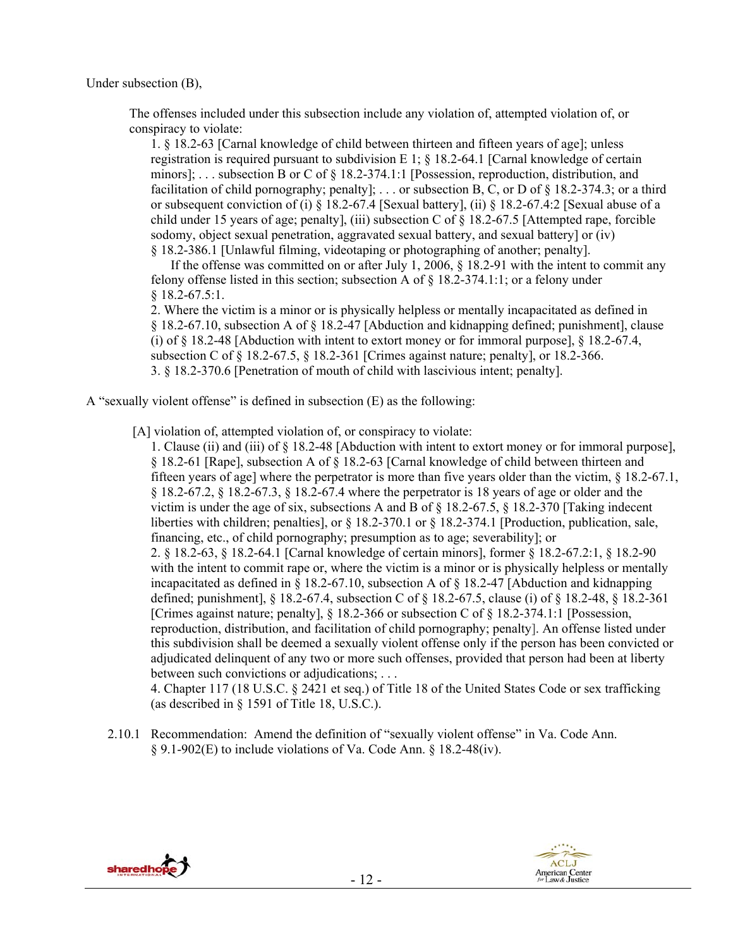Under subsection (B),

The offenses included under this subsection include any violation of, attempted violation of, or conspiracy to violate:

1. § 18.2-63 [Carnal knowledge of child between thirteen and fifteen years of age]; unless registration is required pursuant to subdivision E 1;  $\S$  18.2-64.1 [Carnal knowledge of certain minors]; . . . subsection B or C of § 18.2-374.1:1 [Possession, reproduction, distribution, and facilitation of child pornography; penalty]; ... or subsection B, C, or D of  $\S$  18.2-374.3; or a third or subsequent conviction of (i) § 18.2-67.4 [Sexual battery], (ii) § 18.2-67.4:2 [Sexual abuse of a child under 15 years of age; penalty], (iii) subsection C of § 18.2-67.5 [Attempted rape, forcible sodomy, object sexual penetration, aggravated sexual battery, and sexual battery] or (iv) § 18.2-386.1 [Unlawful filming, videotaping or photographing of another; penalty].

 If the offense was committed on or after July 1, 2006, § 18.2-91 with the intent to commit any felony offense listed in this section; subsection A of  $\S$  18.2-374.1:1; or a felony under § 18.2-67.5:1.

2. Where the victim is a minor or is physically helpless or mentally incapacitated as defined in § 18.2-67.10, subsection A of § 18.2-47 [Abduction and kidnapping defined; punishment], clause (i) of § 18.2-48 [Abduction with intent to extort money or for immoral purpose], § 18.2-67.4, subsection C of § 18.2-67.5, § 18.2-361 [Crimes against nature; penalty], or 18.2-366. 3. § 18.2-370.6 [Penetration of mouth of child with lascivious intent; penalty].

A "sexually violent offense" is defined in subsection (E) as the following:

[A] violation of, attempted violation of, or conspiracy to violate:

1. Clause (ii) and (iii) of § 18.2-48 [Abduction with intent to extort money or for immoral purpose], § 18.2-61 [Rape], subsection A of § 18.2-63 [Carnal knowledge of child between thirteen and fifteen years of age] where the perpetrator is more than five years older than the victim, § 18.2-67.1, § 18.2-67.2, § 18.2-67.3, § 18.2-67.4 where the perpetrator is 18 years of age or older and the victim is under the age of six, subsections A and B of § 18.2-67.5, § 18.2-370 [Taking indecent liberties with children; penalties], or § 18.2-370.1 or § 18.2-374.1 [Production, publication, sale, financing, etc., of child pornography; presumption as to age; severability]; or 2. § 18.2-63, § 18.2-64.1 [Carnal knowledge of certain minors], former § 18.2-67.2:1, § 18.2-90 with the intent to commit rape or, where the victim is a minor or is physically helpless or mentally incapacitated as defined in  $\S 18.2-67.10$ , subsection A of  $\S 18.2-47$  [Abduction and kidnapping defined; punishment], § 18.2-67.4, subsection C of § 18.2-67.5, clause (i) of § 18.2-48, § 18.2-361 [Crimes against nature; penalty], § 18.2-366 or subsection C of § 18.2-374.1:1 [Possession, reproduction, distribution, and facilitation of child pornography; penalty]. An offense listed under this subdivision shall be deemed a sexually violent offense only if the person has been convicted or adjudicated delinquent of any two or more such offenses, provided that person had been at liberty between such convictions or adjudications; . . .

4. Chapter 117 (18 U.S.C. § 2421 et seq.) of Title 18 of the United States Code or sex trafficking (as described in § 1591 of Title 18, U.S.C.).

2.10.1 Recommendation: Amend the definition of "sexually violent offense" in Va. Code Ann. § 9.1-902(E) to include violations of Va. Code Ann. § 18.2-48(iv).

![](_page_11_Picture_10.jpeg)

![](_page_11_Picture_11.jpeg)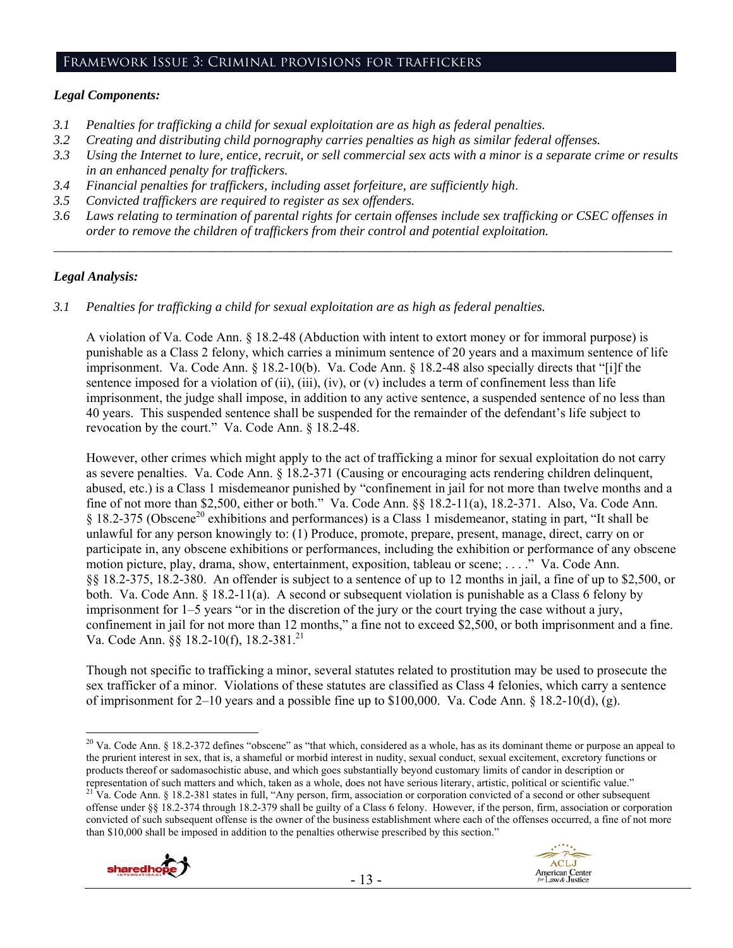#### Framework Issue 3: Criminal provisions for traffickers

## *Legal Components:*

- *3.1 Penalties for trafficking a child for sexual exploitation are as high as federal penalties.*
- *3.2 Creating and distributing child pornography carries penalties as high as similar federal offenses.*
- *3.3 Using the Internet to lure, entice, recruit, or sell commercial sex acts with a minor is a separate crime or results in an enhanced penalty for traffickers.*
- *3.4 Financial penalties for traffickers, including asset forfeiture, are sufficiently high*.
- *3.5 Convicted traffickers are required to register as sex offenders.*
- *3.6 Laws relating to termination of parental rights for certain offenses include sex trafficking or CSEC offenses in order to remove the children of traffickers from their control and potential exploitation.*

*\_\_\_\_\_\_\_\_\_\_\_\_\_\_\_\_\_\_\_\_\_\_\_\_\_\_\_\_\_\_\_\_\_\_\_\_\_\_\_\_\_\_\_\_\_\_\_\_\_\_\_\_\_\_\_\_\_\_\_\_\_\_\_\_\_\_\_\_\_\_\_\_\_\_\_\_\_\_\_\_\_\_\_\_\_\_\_\_\_\_\_\_\_\_* 

## *Legal Analysis:*

*3.1 Penalties for trafficking a child for sexual exploitation are as high as federal penalties.* 

A violation of Va. Code Ann. § 18.2-48 (Abduction with intent to extort money or for immoral purpose) is punishable as a Class 2 felony, which carries a minimum sentence of 20 years and a maximum sentence of life imprisonment. Va. Code Ann. § 18.2-10(b). Va. Code Ann. § 18.2-48 also specially directs that "[i]f the sentence imposed for a violation of (ii), (iii), (iv), or (v) includes a term of confinement less than life imprisonment, the judge shall impose, in addition to any active sentence, a suspended sentence of no less than 40 years. This suspended sentence shall be suspended for the remainder of the defendant's life subject to revocation by the court." Va. Code Ann. § 18.2-48.

However, other crimes which might apply to the act of trafficking a minor for sexual exploitation do not carry as severe penalties. Va. Code Ann. § 18.2-371 (Causing or encouraging acts rendering children delinquent, abused, etc.) is a Class 1 misdemeanor punished by "confinement in jail for not more than twelve months and a fine of not more than \$2,500, either or both." Va. Code Ann. §§ 18.2-11(a), 18.2-371. Also, Va. Code Ann. § 18.2-375 (Obscene20 exhibitions and performances) is a Class 1 misdemeanor, stating in part, "It shall be unlawful for any person knowingly to: (1) Produce, promote, prepare, present, manage, direct, carry on or participate in, any obscene exhibitions or performances, including the exhibition or performance of any obscene motion picture, play, drama, show, entertainment, exposition, tableau or scene; . . . ." Va. Code Ann. §§ 18.2-375, 18.2-380. An offender is subject to a sentence of up to 12 months in jail, a fine of up to \$2,500, or both. Va. Code Ann. § 18.2-11(a). A second or subsequent violation is punishable as a Class 6 felony by imprisonment for 1–5 years "or in the discretion of the jury or the court trying the case without a jury, confinement in jail for not more than 12 months," a fine not to exceed \$2,500, or both imprisonment and a fine. Va. Code Ann. §§ 18.2-10(f), 18.2-381.21

Though not specific to trafficking a minor, several statutes related to prostitution may be used to prosecute the sex trafficker of a minor. Violations of these statutes are classified as Class 4 felonies, which carry a sentence of imprisonment for 2–10 years and a possible fine up to \$100,000. Va. Code Ann. § 18.2-10(d), (g).

offense under §§ 18.2-374 through 18.2-379 shall be guilty of a Class 6 felony. However, if the person, firm, association or corporation convicted of such subsequent offense is the owner of the business establishment where each of the offenses occurred, a fine of not more than \$10,000 shall be imposed in addition to the penalties otherwise prescribed by this section."

![](_page_12_Picture_15.jpeg)

 $\overline{a}$ <sup>20</sup> Va. Code Ann. § 18.2-372 defines "obscene" as "that which, considered as a whole, has as its dominant theme or purpose an appeal to the prurient interest in sex, that is, a shameful or morbid interest in nudity, sexual conduct, sexual excitement, excretory functions or products thereof or sadomasochistic abuse, and which goes substantially beyond customary limits of candor in description or representation of such matters and which, taken as a whole, does not have serious literary, artistic, political or scientific value."<br><sup>21</sup> Va. Code Ann. § 18.2-381 states in full, "Any person, firm, association or corporat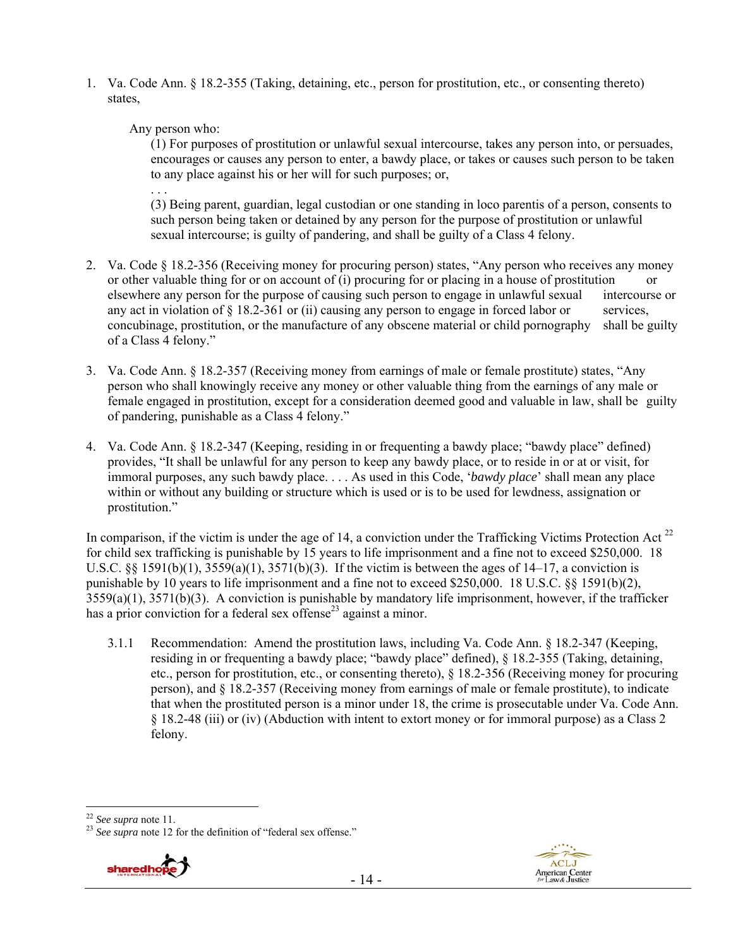1. Va. Code Ann. § 18.2-355 (Taking, detaining, etc., person for prostitution, etc., or consenting thereto) states,

Any person who:

(1) For purposes of prostitution or unlawful sexual intercourse, takes any person into, or persuades, encourages or causes any person to enter, a bawdy place, or takes or causes such person to be taken to any place against his or her will for such purposes; or,

. . . (3) Being parent, guardian, legal custodian or one standing in loco parentis of a person, consents to such person being taken or detained by any person for the purpose of prostitution or unlawful sexual intercourse; is guilty of pandering, and shall be guilty of a Class 4 felony.

- 2. Va. Code § 18.2-356 (Receiving money for procuring person) states, "Any person who receives any money or other valuable thing for or on account of (i) procuring for or placing in a house of prostitution or elsewhere any person for the purpose of causing such person to engage in unlawful sexual intercourse or any act in violation of  $\S 18.2\n-361$  or (ii) causing any person to engage in forced labor or services, concubinage, prostitution, or the manufacture of any obscene material or child pornography shall be guilty of a Class 4 felony."
- 3. Va. Code Ann. § 18.2-357 (Receiving money from earnings of male or female prostitute) states, "Any person who shall knowingly receive any money or other valuable thing from the earnings of any male or female engaged in prostitution, except for a consideration deemed good and valuable in law, shall be guilty of pandering, punishable as a Class 4 felony."
- 4. Va. Code Ann. § 18.2-347 (Keeping, residing in or frequenting a bawdy place; "bawdy place" defined) provides, "It shall be unlawful for any person to keep any bawdy place, or to reside in or at or visit, for immoral purposes, any such bawdy place. . . . As used in this Code, '*bawdy place*' shall mean any place within or without any building or structure which is used or is to be used for lewdness, assignation or prostitution."

In comparison, if the victim is under the age of 14, a conviction under the Trafficking Victims Protection Act  $^{22}$ for child sex trafficking is punishable by 15 years to life imprisonment and a fine not to exceed \$250,000. 18 U.S.C. §§ 1591(b)(1),  $3559(a)(1)$ ,  $3571(b)(3)$ . If the victim is between the ages of 14–17, a conviction is punishable by 10 years to life imprisonment and a fine not to exceed \$250,000. 18 U.S.C. §§ 1591(b)(2), 3559(a)(1), 3571(b)(3). A conviction is punishable by mandatory life imprisonment, however, if the trafficker has a prior conviction for a federal sex offense<sup>23</sup> against a minor.

3.1.1 Recommendation: Amend the prostitution laws, including Va. Code Ann. § 18.2-347 (Keeping, residing in or frequenting a bawdy place; "bawdy place" defined), § 18.2-355 (Taking, detaining, etc., person for prostitution, etc., or consenting thereto), § 18.2-356 (Receiving money for procuring person), and § 18.2-357 (Receiving money from earnings of male or female prostitute), to indicate that when the prostituted person is a minor under 18, the crime is prosecutable under Va. Code Ann. § 18.2-48 (iii) or (iv) (Abduction with intent to extort money or for immoral purpose) as a Class 2 felony.

<sup>&</sup>lt;sup>23</sup> See supra note 12 for the definition of "federal sex offense."

![](_page_13_Picture_11.jpeg)

![](_page_13_Picture_12.jpeg)

 $22$  See supra note 11.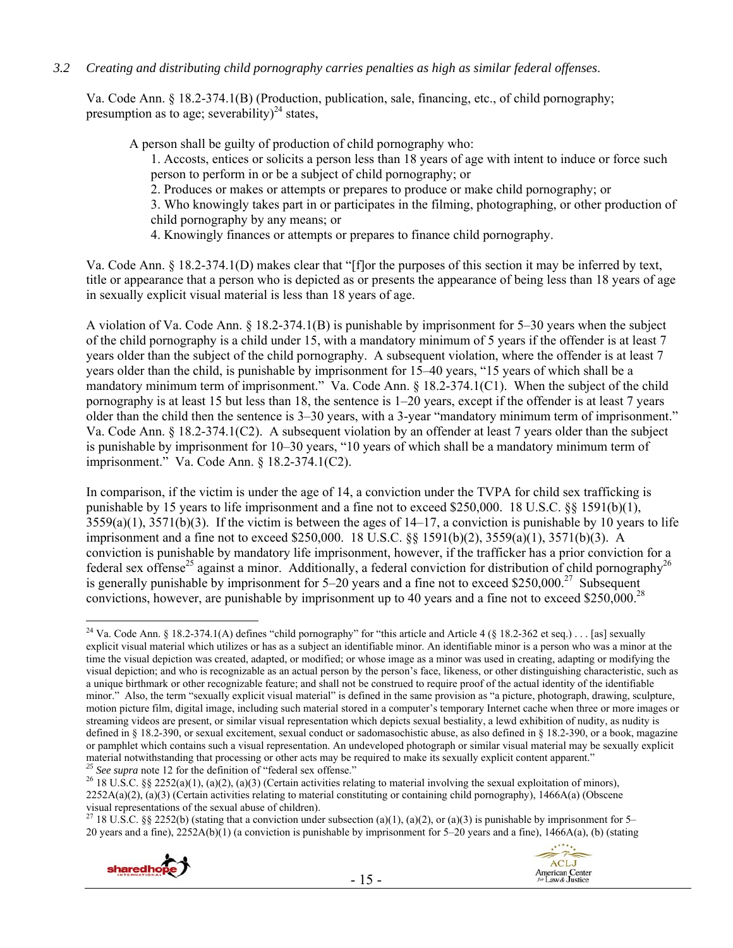## *3.2 Creating and distributing child pornography carries penalties as high as similar federal offenses*.

Va. Code Ann. § 18.2-374.1(B) (Production, publication, sale, financing, etc., of child pornography; presumption as to age; severability)<sup>24</sup> states,

A person shall be guilty of production of child pornography who:

1. Accosts, entices or solicits a person less than 18 years of age with intent to induce or force such person to perform in or be a subject of child pornography; or

2. Produces or makes or attempts or prepares to produce or make child pornography; or

3. Who knowingly takes part in or participates in the filming, photographing, or other production of child pornography by any means; or

4. Knowingly finances or attempts or prepares to finance child pornography.

Va. Code Ann. § 18.2-374.1(D) makes clear that "[f]or the purposes of this section it may be inferred by text, title or appearance that a person who is depicted as or presents the appearance of being less than 18 years of age in sexually explicit visual material is less than 18 years of age.

A violation of Va. Code Ann. § 18.2-374.1(B) is punishable by imprisonment for 5–30 years when the subject of the child pornography is a child under 15, with a mandatory minimum of 5 years if the offender is at least 7 years older than the subject of the child pornography. A subsequent violation, where the offender is at least 7 years older than the child, is punishable by imprisonment for 15–40 years, "15 years of which shall be a mandatory minimum term of imprisonment." Va. Code Ann. § 18.2-374.1(C1). When the subject of the child pornography is at least 15 but less than 18, the sentence is 1–20 years, except if the offender is at least 7 years older than the child then the sentence is 3–30 years, with a 3-year "mandatory minimum term of imprisonment." Va. Code Ann. § 18.2-374.1(C2). A subsequent violation by an offender at least 7 years older than the subject is punishable by imprisonment for 10–30 years, "10 years of which shall be a mandatory minimum term of imprisonment." Va. Code Ann. § 18.2-374.1(C2).

In comparison, if the victim is under the age of 14, a conviction under the TVPA for child sex trafficking is punishable by 15 years to life imprisonment and a fine not to exceed \$250,000. 18 U.S.C. §§ 1591(b)(1),  $3559(a)(1)$ ,  $3571(b)(3)$ . If the victim is between the ages of  $14-17$ , a conviction is punishable by 10 years to life imprisonment and a fine not to exceed \$250,000. 18 U.S.C. §§ 1591(b)(2), 3559(a)(1), 3571(b)(3). A conviction is punishable by mandatory life imprisonment, however, if the trafficker has a prior conviction for a federal sex offense<sup>25</sup> against a minor. Additionally, a federal conviction for distribution of child pornography<sup>26</sup> is generally punishable by imprisonment for  $5-20$  years and a fine not to exceed \$250,000.<sup>27</sup> Subsequent convictions, however, are punishable by imprisonment up to 40 years and a fine not to exceed \$250,000.<sup>28</sup>

<sup>&</sup>lt;sup>27</sup> 18 U.S.C. §§ 2252(b) (stating that a conviction under subsection (a)(1), (a)(2), or (a)(3) is punishable by imprisonment for 5– 20 years and a fine), 2252A(b)(1) (a conviction is punishable by imprisonment for 5–20 years and a fine), 1466A(a), (b) (stating

![](_page_14_Picture_13.jpeg)

 $\overline{a}$ <sup>24</sup> Va. Code Ann. § 18.2-374.1(A) defines "child pornography" for "this article and Article 4 (§ 18.2-362 et seq.) . . . [as] sexually explicit visual material which utilizes or has as a subject an identifiable minor. An identifiable minor is a person who was a minor at the time the visual depiction was created, adapted, or modified; or whose image as a minor was used in creating, adapting or modifying the visual depiction; and who is recognizable as an actual person by the person's face, likeness, or other distinguishing characteristic, such as a unique birthmark or other recognizable feature; and shall not be construed to require proof of the actual identity of the identifiable minor." Also, the term "sexually explicit visual material" is defined in the same provision as "a picture, photograph, drawing, sculpture, motion picture film, digital image, including such material stored in a computer's temporary Internet cache when three or more images or streaming videos are present, or similar visual representation which depicts sexual bestiality, a lewd exhibition of nudity, as nudity is defined in § 18.2-390, or sexual excitement, sexual conduct or sadomasochistic abuse, as also defined in § 18.2-390, or a book, magazine or pamphlet which contains such a visual representation. An undeveloped photograph or similar visual material may be sexually explicit material notwithstanding that processing or other acts may be required to make its sexually explicit content apparent."<br>
<sup>25</sup> See supra note 12 for the definition of "federal sex offense."<br>
<sup>26</sup> 18 U.S.C. §§ 2252(a)(1), (

 $2252A(a)(2)$ , (a)(3) (Certain activities relating to material constituting or containing child pornography), 1466A(a) (Obscene visual representations of the sexual abuse of children).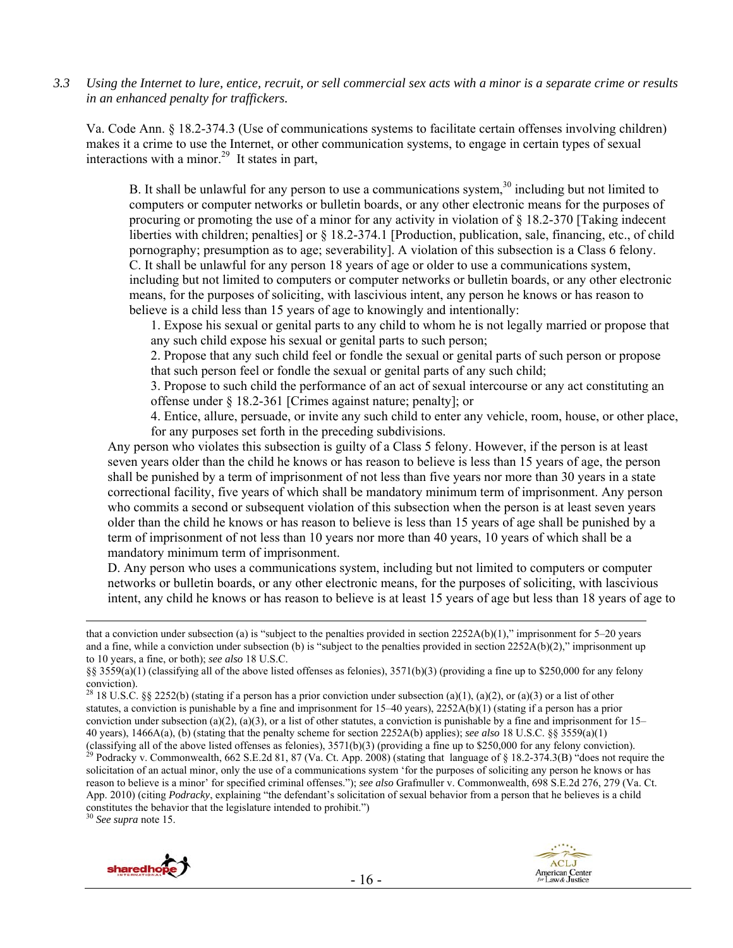*3.3 Using the Internet to lure, entice, recruit, or sell commercial sex acts with a minor is a separate crime or results in an enhanced penalty for traffickers.* 

Va. Code Ann. § 18.2-374.3 (Use of communications systems to facilitate certain offenses involving children) makes it a crime to use the Internet, or other communication systems, to engage in certain types of sexual interactions with a minor.<sup>29</sup> It states in part,

B. It shall be unlawful for any person to use a communications system,  $30$  including but not limited to computers or computer networks or bulletin boards, or any other electronic means for the purposes of procuring or promoting the use of a minor for any activity in violation of § 18.2-370 [Taking indecent liberties with children; penalties] or § 18.2-374.1 [Production, publication, sale, financing, etc., of child pornography; presumption as to age; severability]. A violation of this subsection is a Class 6 felony. C. It shall be unlawful for any person 18 years of age or older to use a communications system, including but not limited to computers or computer networks or bulletin boards, or any other electronic means, for the purposes of soliciting, with lascivious intent, any person he knows or has reason to believe is a child less than 15 years of age to knowingly and intentionally:

1. Expose his sexual or genital parts to any child to whom he is not legally married or propose that any such child expose his sexual or genital parts to such person;

2. Propose that any such child feel or fondle the sexual or genital parts of such person or propose that such person feel or fondle the sexual or genital parts of any such child;

3. Propose to such child the performance of an act of sexual intercourse or any act constituting an offense under § 18.2-361 [Crimes against nature; penalty]; or

4. Entice, allure, persuade, or invite any such child to enter any vehicle, room, house, or other place, for any purposes set forth in the preceding subdivisions.

Any person who violates this subsection is guilty of a Class 5 felony. However, if the person is at least seven years older than the child he knows or has reason to believe is less than 15 years of age, the person shall be punished by a term of imprisonment of not less than five years nor more than 30 years in a state correctional facility, five years of which shall be mandatory minimum term of imprisonment. Any person who commits a second or subsequent violation of this subsection when the person is at least seven years older than the child he knows or has reason to believe is less than 15 years of age shall be punished by a term of imprisonment of not less than 10 years nor more than 40 years, 10 years of which shall be a mandatory minimum term of imprisonment.

D. Any person who uses a communications system, including but not limited to computers or computer networks or bulletin boards, or any other electronic means, for the purposes of soliciting, with lascivious intent, any child he knows or has reason to believe is at least 15 years of age but less than 18 years of age to

App. 2010) (citing *Podracky*, explaining "the defendant's solicitation of sexual behavior from a person that he believes is a child constitutes the behavior that the legislature intended to prohibit.")

<sup>30</sup> *See supra* note 15.

![](_page_15_Picture_14.jpeg)

![](_page_15_Picture_15.jpeg)

that a conviction under subsection (a) is "subject to the penalties provided in section  $2252A(b)(1)$ ," imprisonment for 5–20 years and a fine, while a conviction under subsection (b) is "subject to the penalties provided in section  $2252A(b)(2)$ ," imprisonment up to 10 years, a fine, or both); *see also* 18 U.S.C.

<sup>§§ 3559(</sup>a)(1) (classifying all of the above listed offenses as felonies), 3571(b)(3) (providing a fine up to \$250,000 for any felony conviction).

<sup>&</sup>lt;sup>28</sup> 18 U.S.C. §§ 2252(b) (stating if a person has a prior conviction under subsection (a)(1), (a)(2), or (a)(3) or a list of other statutes, a conviction is punishable by a fine and imprisonment for  $15-40$  years),  $2252A(b)(1)$  (stating if a person has a prior conviction under subsection (a)(2), (a)(3), or a list of other statutes, a conviction is punishable by a fine and imprisonment for  $15-$ 40 years), 1466A(a), (b) (stating that the penalty scheme for section 2252A(b) applies); *see also* 18 U.S.C. §§ 3559(a)(1) (classifying all of the above listed offenses as felonies),  $3571(b)(3)$  (providing a fine up to \$250,000 for any felony conviction).<br><sup>29</sup> Podracky v. Commonwealth, 662 S.E.2d 81, 87 (Va. Ct. App. 2008) (stating that langua solicitation of an actual minor, only the use of a communications system 'for the purposes of soliciting any person he knows or has reason to believe is a minor' for specified criminal offenses."); *see also* Grafmuller v. Commonwealth, 698 S.E.2d 276, 279 (Va. Ct.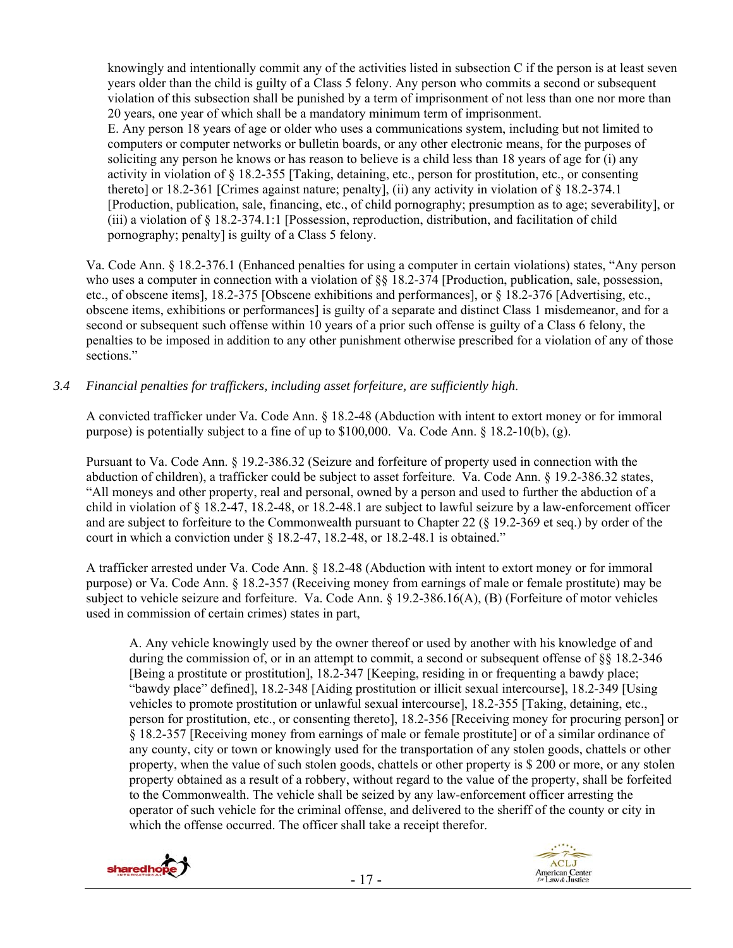knowingly and intentionally commit any of the activities listed in subsection C if the person is at least seven years older than the child is guilty of a Class 5 felony. Any person who commits a second or subsequent violation of this subsection shall be punished by a term of imprisonment of not less than one nor more than 20 years, one year of which shall be a mandatory minimum term of imprisonment.

E. Any person 18 years of age or older who uses a communications system, including but not limited to computers or computer networks or bulletin boards, or any other electronic means, for the purposes of soliciting any person he knows or has reason to believe is a child less than 18 years of age for (i) any activity in violation of § 18.2-355 [Taking, detaining, etc., person for prostitution, etc., or consenting thereto] or 18.2-361 [Crimes against nature; penalty], (ii) any activity in violation of § 18.2-374.1 [Production, publication, sale, financing, etc., of child pornography; presumption as to age; severability], or (iii) a violation of § 18.2-374.1:1 [Possession, reproduction, distribution, and facilitation of child pornography; penalty] is guilty of a Class 5 felony.

Va. Code Ann. § 18.2-376.1 (Enhanced penalties for using a computer in certain violations) states, "Any person who uses a computer in connection with a violation of  $\S$ § 18.2-374 [Production, publication, sale, possession, etc., of obscene items], 18.2-375 [Obscene exhibitions and performances], or § 18.2-376 [Advertising, etc., obscene items, exhibitions or performances] is guilty of a separate and distinct Class 1 misdemeanor, and for a second or subsequent such offense within 10 years of a prior such offense is guilty of a Class 6 felony, the penalties to be imposed in addition to any other punishment otherwise prescribed for a violation of any of those sections."

## *3.4 Financial penalties for traffickers, including asset forfeiture, are sufficiently high*.

A convicted trafficker under Va. Code Ann. § 18.2-48 (Abduction with intent to extort money or for immoral purpose) is potentially subject to a fine of up to \$100,000. Va. Code Ann. § 18.2-10(b), (g).

Pursuant to Va. Code Ann. § 19.2-386.32 (Seizure and forfeiture of property used in connection with the abduction of children), a trafficker could be subject to asset forfeiture. Va. Code Ann. § 19.2-386.32 states, "All moneys and other property, real and personal, owned by a person and used to further the abduction of a child in violation of § 18.2-47, 18.2-48, or 18.2-48.1 are subject to lawful seizure by a law-enforcement officer and are subject to forfeiture to the Commonwealth pursuant to Chapter 22 (§ 19.2-369 et seq.) by order of the court in which a conviction under § 18.2-47, 18.2-48, or 18.2-48.1 is obtained."

A trafficker arrested under Va. Code Ann. § 18.2-48 (Abduction with intent to extort money or for immoral purpose) or Va. Code Ann. § 18.2-357 (Receiving money from earnings of male or female prostitute) may be subject to vehicle seizure and forfeiture. Va. Code Ann. § 19.2-386.16(A), (B) (Forfeiture of motor vehicles used in commission of certain crimes) states in part,

A. Any vehicle knowingly used by the owner thereof or used by another with his knowledge of and during the commission of, or in an attempt to commit, a second or subsequent offense of §§ 18.2-346 [Being a prostitute or prostitution], 18.2-347 [Keeping, residing in or frequenting a bawdy place; "bawdy place" defined], 18.2-348 [Aiding prostitution or illicit sexual intercourse], 18.2-349 [Using vehicles to promote prostitution or unlawful sexual intercourse], 18.2-355 [Taking, detaining, etc., person for prostitution, etc., or consenting thereto], 18.2-356 [Receiving money for procuring person] or § 18.2-357 [Receiving money from earnings of male or female prostitute] or of a similar ordinance of any county, city or town or knowingly used for the transportation of any stolen goods, chattels or other property, when the value of such stolen goods, chattels or other property is \$ 200 or more, or any stolen property obtained as a result of a robbery, without regard to the value of the property, shall be forfeited to the Commonwealth. The vehicle shall be seized by any law-enforcement officer arresting the operator of such vehicle for the criminal offense, and delivered to the sheriff of the county or city in which the offense occurred. The officer shall take a receipt therefor.

![](_page_16_Picture_8.jpeg)

![](_page_16_Picture_9.jpeg)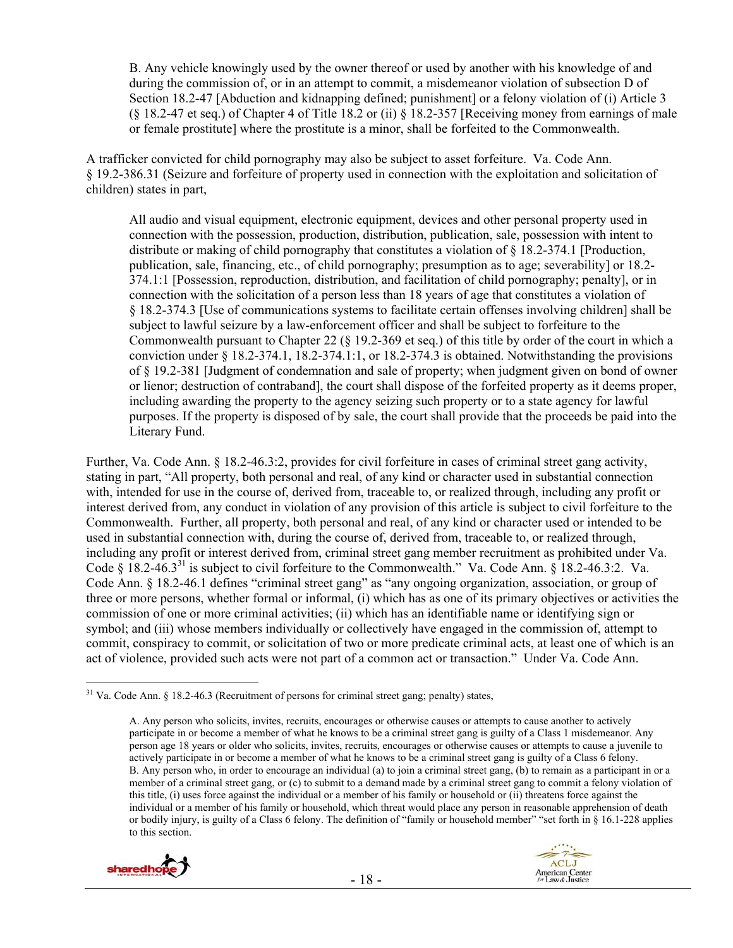B. Any vehicle knowingly used by the owner thereof or used by another with his knowledge of and during the commission of, or in an attempt to commit, a misdemeanor violation of subsection D of Section 18.2-47 [Abduction and kidnapping defined; punishment] or a felony violation of (i) Article 3 (§ 18.2-47 et seq.) of Chapter 4 of Title 18.2 or (ii) § 18.2-357 [Receiving money from earnings of male or female prostitute] where the prostitute is a minor, shall be forfeited to the Commonwealth.

A trafficker convicted for child pornography may also be subject to asset forfeiture. Va. Code Ann. § 19.2-386.31 (Seizure and forfeiture of property used in connection with the exploitation and solicitation of children) states in part,

All audio and visual equipment, electronic equipment, devices and other personal property used in connection with the possession, production, distribution, publication, sale, possession with intent to distribute or making of child pornography that constitutes a violation of  $\S 18.2-374.1$  [Production, publication, sale, financing, etc., of child pornography; presumption as to age; severability] or 18.2- 374.1:1 [Possession, reproduction, distribution, and facilitation of child pornography; penalty], or in connection with the solicitation of a person less than 18 years of age that constitutes a violation of § 18.2-374.3 [Use of communications systems to facilitate certain offenses involving children] shall be subject to lawful seizure by a law-enforcement officer and shall be subject to forfeiture to the Commonwealth pursuant to Chapter 22 (§ 19.2-369 et seq.) of this title by order of the court in which a conviction under § 18.2-374.1, 18.2-374.1:1, or 18.2-374.3 is obtained. Notwithstanding the provisions of § 19.2-381 [Judgment of condemnation and sale of property; when judgment given on bond of owner or lienor; destruction of contraband], the court shall dispose of the forfeited property as it deems proper, including awarding the property to the agency seizing such property or to a state agency for lawful purposes. If the property is disposed of by sale, the court shall provide that the proceeds be paid into the Literary Fund.

Further, Va. Code Ann. § 18.2-46.3:2, provides for civil forfeiture in cases of criminal street gang activity, stating in part, "All property, both personal and real, of any kind or character used in substantial connection with, intended for use in the course of, derived from, traceable to, or realized through, including any profit or interest derived from, any conduct in violation of any provision of this article is subject to civil forfeiture to the Commonwealth. Further, all property, both personal and real, of any kind or character used or intended to be used in substantial connection with, during the course of, derived from, traceable to, or realized through, including any profit or interest derived from, criminal street gang member recruitment as prohibited under Va. Code § 18.2-46.3<sup>31</sup> is subject to civil forfeiture to the Commonwealth." Va. Code Ann. § 18.2-46.3:2. Va. Code Ann. § 18.2-46.1 defines "criminal street gang" as "any ongoing organization, association, or group of three or more persons, whether formal or informal, (i) which has as one of its primary objectives or activities the commission of one or more criminal activities; (ii) which has an identifiable name or identifying sign or symbol; and (iii) whose members individually or collectively have engaged in the commission of, attempt to commit, conspiracy to commit, or solicitation of two or more predicate criminal acts, at least one of which is an act of violence, provided such acts were not part of a common act or transaction." Under Va. Code Ann.

A. Any person who solicits, invites, recruits, encourages or otherwise causes or attempts to cause another to actively participate in or become a member of what he knows to be a criminal street gang is guilty of a Class 1 misdemeanor. Any person age 18 years or older who solicits, invites, recruits, encourages or otherwise causes or attempts to cause a juvenile to actively participate in or become a member of what he knows to be a criminal street gang is guilty of a Class 6 felony. B. Any person who, in order to encourage an individual (a) to join a criminal street gang, (b) to remain as a participant in or a member of a criminal street gang, or (c) to submit to a demand made by a criminal street gang to commit a felony violation of this title, (i) uses force against the individual or a member of his family or household or (ii) threatens force against the individual or a member of his family or household, which threat would place any person in reasonable apprehension of death or bodily injury, is guilty of a Class 6 felony. The definition of "family or household member" "set forth in § 16.1-228 applies to this section.

![](_page_17_Picture_6.jpeg)

![](_page_17_Picture_7.jpeg)

 $\overline{a}$ <sup>31</sup> Va. Code Ann. § 18.2-46.3 (Recruitment of persons for criminal street gang; penalty) states,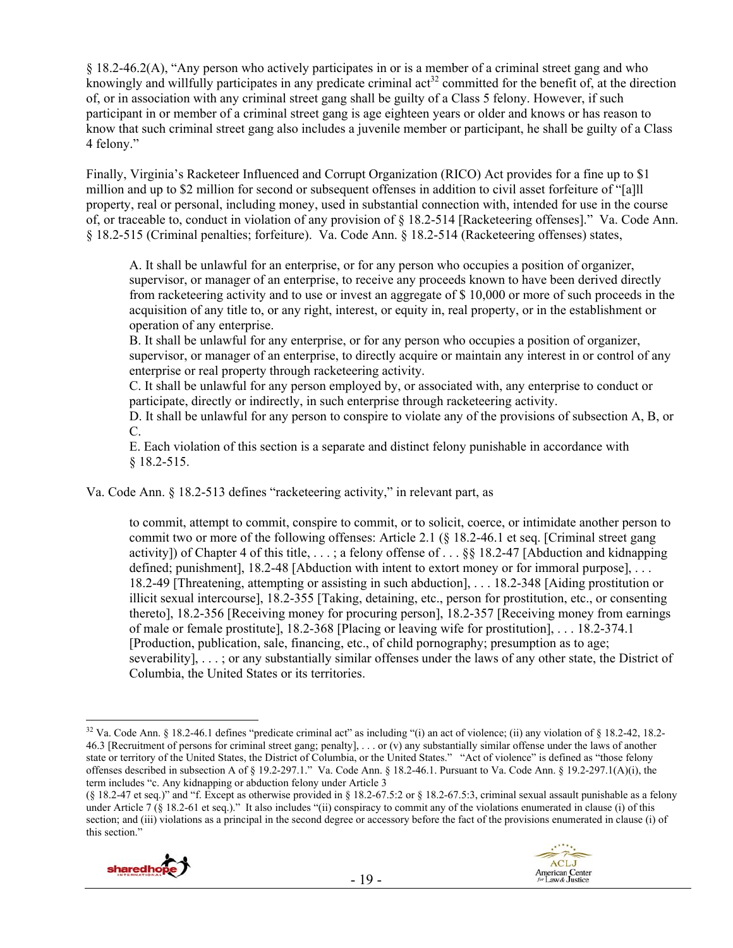§ 18.2-46.2(A), "Any person who actively participates in or is a member of a criminal street gang and who knowingly and willfully participates in any predicate criminal act<sup>32</sup> committed for the benefit of, at the direction of, or in association with any criminal street gang shall be guilty of a Class 5 felony. However, if such participant in or member of a criminal street gang is age eighteen years or older and knows or has reason to know that such criminal street gang also includes a juvenile member or participant, he shall be guilty of a Class 4 felony."

Finally, Virginia's Racketeer Influenced and Corrupt Organization (RICO) Act provides for a fine up to \$1 million and up to \$2 million for second or subsequent offenses in addition to civil asset forfeiture of "[a]ll property, real or personal, including money, used in substantial connection with, intended for use in the course of, or traceable to, conduct in violation of any provision of § 18.2-514 [Racketeering offenses]." Va. Code Ann. § 18.2-515 (Criminal penalties; forfeiture). Va. Code Ann. § 18.2-514 (Racketeering offenses) states,

A. It shall be unlawful for an enterprise, or for any person who occupies a position of organizer, supervisor, or manager of an enterprise, to receive any proceeds known to have been derived directly from racketeering activity and to use or invest an aggregate of \$ 10,000 or more of such proceeds in the acquisition of any title to, or any right, interest, or equity in, real property, or in the establishment or operation of any enterprise.

B. It shall be unlawful for any enterprise, or for any person who occupies a position of organizer, supervisor, or manager of an enterprise, to directly acquire or maintain any interest in or control of any enterprise or real property through racketeering activity.

C. It shall be unlawful for any person employed by, or associated with, any enterprise to conduct or participate, directly or indirectly, in such enterprise through racketeering activity.

D. It shall be unlawful for any person to conspire to violate any of the provisions of subsection A, B, or C.

E. Each violation of this section is a separate and distinct felony punishable in accordance with § 18.2-515.

Va. Code Ann. § 18.2-513 defines "racketeering activity," in relevant part, as

to commit, attempt to commit, conspire to commit, or to solicit, coerce, or intimidate another person to commit two or more of the following offenses: Article 2.1 (§ 18.2-46.1 et seq. [Criminal street gang activity]) of Chapter 4 of this title, . . . ; a felony offense of . . . §§ 18.2-47 [Abduction and kidnapping defined; punishment], 18.2-48 [Abduction with intent to extort money or for immoral purpose], ... 18.2-49 [Threatening, attempting or assisting in such abduction], . . . 18.2-348 [Aiding prostitution or illicit sexual intercourse], 18.2-355 [Taking, detaining, etc., person for prostitution, etc., or consenting thereto], 18.2-356 [Receiving money for procuring person], 18.2-357 [Receiving money from earnings of male or female prostitute], 18.2-368 [Placing or leaving wife for prostitution], . . . 18.2-374.1 [Production, publication, sale, financing, etc., of child pornography; presumption as to age; severability], . . . ; or any substantially similar offenses under the laws of any other state, the District of Columbia, the United States or its territories.

<sup>(§ 18.2-47</sup> et seq.)" and "f. Except as otherwise provided in § 18.2-67.5:2 or § 18.2-67.5:3, criminal sexual assault punishable as a felony under Article 7 (§ 18.2-61 et seq.)." It also includes "(ii) conspiracy to commit any of the violations enumerated in clause (i) of this section; and (iii) violations as a principal in the second degree or accessory before the fact of the provisions enumerated in clause (i) of this section."

![](_page_18_Picture_11.jpeg)

![](_page_18_Picture_12.jpeg)

 $\overline{a}$ <sup>32</sup> Va. Code Ann. § 18.2-46.1 defines "predicate criminal act" as including "(i) an act of violence; (ii) any violation of § 18.2-42, 18.2-46.3 [Recruitment of persons for criminal street gang; penalty], . . . or (v) any substantially similar offense under the laws of another state or territory of the United States, the District of Columbia, or the United States." "Act of violence" is defined as "those felony offenses described in subsection A of § 19.2-297.1." Va. Code Ann. § 18.2-46.1. Pursuant to Va. Code Ann. § 19.2-297.1(A)(i), the term includes "c. Any kidnapping or abduction felony under Article 3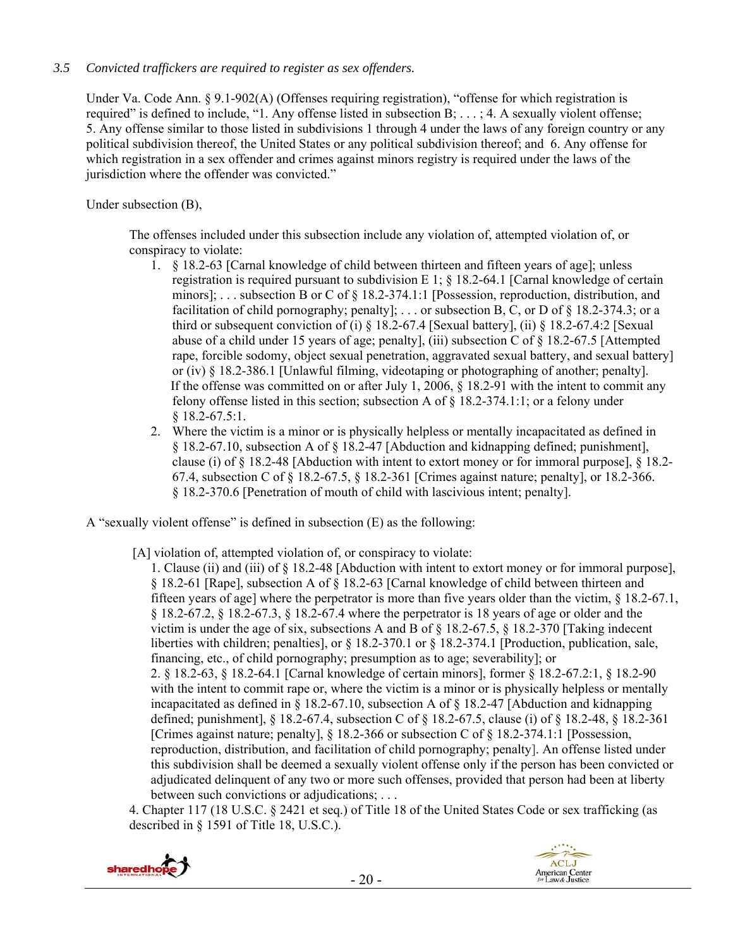## *3.5 Convicted traffickers are required to register as sex offenders.*

Under Va. Code Ann. § 9.1-902(A) (Offenses requiring registration), "offense for which registration is required" is defined to include, "1. Any offense listed in subsection B; . . . ; 4. A sexually violent offense; 5. Any offense similar to those listed in subdivisions 1 through 4 under the laws of any foreign country or any political subdivision thereof, the United States or any political subdivision thereof; and 6. Any offense for which registration in a sex offender and crimes against minors registry is required under the laws of the jurisdiction where the offender was convicted."

Under subsection (B),

The offenses included under this subsection include any violation of, attempted violation of, or conspiracy to violate:

- 1. § 18.2-63 [Carnal knowledge of child between thirteen and fifteen years of age]; unless registration is required pursuant to subdivision E 1;  $\S$  18.2-64.1 [Carnal knowledge of certain minors]; . . . subsection B or C of § 18.2-374.1:1 [Possession, reproduction, distribution, and facilitation of child pornography; penalty]; ... or subsection B, C, or D of § 18.2-374.3; or a third or subsequent conviction of (i)  $\frac{1}{8}$  18.2-67.4 [Sexual battery], (ii)  $\frac{1}{8}$  18.2-67.4:2 [Sexual abuse of a child under 15 years of age; penalty], (iii) subsection C of § 18.2-67.5 [Attempted rape, forcible sodomy, object sexual penetration, aggravated sexual battery, and sexual battery] or (iv) § 18.2-386.1 [Unlawful filming, videotaping or photographing of another; penalty]. If the offense was committed on or after July 1, 2006, § 18.2-91 with the intent to commit any felony offense listed in this section; subsection A of  $\S 18.2-374.1:1$ ; or a felony under § 18.2-67.5:1.
- 2. Where the victim is a minor or is physically helpless or mentally incapacitated as defined in § 18.2-67.10, subsection A of § 18.2-47 [Abduction and kidnapping defined; punishment], clause (i) of  $\S 18.2-48$  [Abduction with intent to extort money or for immoral purpose],  $\S 18.2-$ 67.4, subsection C of § 18.2-67.5, § 18.2-361 [Crimes against nature; penalty], or 18.2-366. § 18.2-370.6 [Penetration of mouth of child with lascivious intent; penalty].

A "sexually violent offense" is defined in subsection (E) as the following:

[A] violation of, attempted violation of, or conspiracy to violate:

1. Clause (ii) and (iii) of § 18.2-48 [Abduction with intent to extort money or for immoral purpose], § 18.2-61 [Rape], subsection A of § 18.2-63 [Carnal knowledge of child between thirteen and fifteen years of age] where the perpetrator is more than five years older than the victim, § 18.2-67.1, § 18.2-67.2, § 18.2-67.3, § 18.2-67.4 where the perpetrator is 18 years of age or older and the victim is under the age of six, subsections A and B of § 18.2-67.5, § 18.2-370 [Taking indecent liberties with children; penalties], or § 18.2-370.1 or § 18.2-374.1 [Production, publication, sale, financing, etc., of child pornography; presumption as to age; severability]; or 2. § 18.2-63, § 18.2-64.1 [Carnal knowledge of certain minors], former § 18.2-67.2:1, § 18.2-90 with the intent to commit rape or, where the victim is a minor or is physically helpless or mentally incapacitated as defined in  $\S$  18.2-67.10, subsection A of  $\S$  18.2-47 [Abduction and kidnapping defined; punishment], § 18.2-67.4, subsection C of § 18.2-67.5, clause (i) of § 18.2-48, § 18.2-361 [Crimes against nature; penalty], § 18.2-366 or subsection C of § 18.2-374.1:1 [Possession, reproduction, distribution, and facilitation of child pornography; penalty]. An offense listed under this subdivision shall be deemed a sexually violent offense only if the person has been convicted or adjudicated delinquent of any two or more such offenses, provided that person had been at liberty between such convictions or adjudications; . . .

4. Chapter 117 (18 U.S.C. § 2421 et seq.) of Title 18 of the United States Code or sex trafficking (as described in § 1591 of Title 18, U.S.C.).

![](_page_19_Picture_10.jpeg)

![](_page_19_Picture_11.jpeg)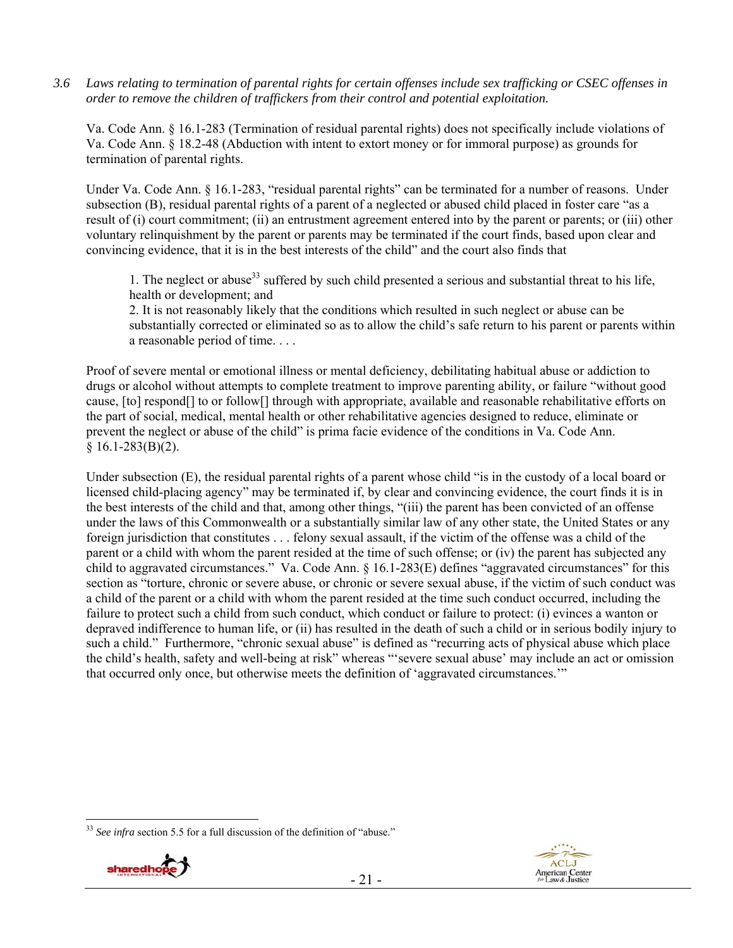*3.6 Laws relating to termination of parental rights for certain offenses include sex trafficking or CSEC offenses in order to remove the children of traffickers from their control and potential exploitation.*

Va. Code Ann. § 16.1-283 (Termination of residual parental rights) does not specifically include violations of Va. Code Ann. § 18.2-48 (Abduction with intent to extort money or for immoral purpose) as grounds for termination of parental rights.

Under Va. Code Ann. § 16.1-283, "residual parental rights" can be terminated for a number of reasons. Under subsection (B), residual parental rights of a parent of a neglected or abused child placed in foster care "as a result of (i) court commitment; (ii) an entrustment agreement entered into by the parent or parents; or (iii) other voluntary relinquishment by the parent or parents may be terminated if the court finds, based upon clear and convincing evidence, that it is in the best interests of the child" and the court also finds that

1. The neglect or abuse<sup>33</sup> suffered by such child presented a serious and substantial threat to his life, health or development; and

2. It is not reasonably likely that the conditions which resulted in such neglect or abuse can be substantially corrected or eliminated so as to allow the child's safe return to his parent or parents within a reasonable period of time. . . .

Proof of severe mental or emotional illness or mental deficiency, debilitating habitual abuse or addiction to drugs or alcohol without attempts to complete treatment to improve parenting ability, or failure "without good cause, [to] respond[] to or follow[] through with appropriate, available and reasonable rehabilitative efforts on the part of social, medical, mental health or other rehabilitative agencies designed to reduce, eliminate or prevent the neglect or abuse of the child" is prima facie evidence of the conditions in Va. Code Ann.  $§ 16.1-283(B)(2).$ 

Under subsection (E), the residual parental rights of a parent whose child "is in the custody of a local board or licensed child-placing agency" may be terminated if, by clear and convincing evidence, the court finds it is in the best interests of the child and that, among other things, "(iii) the parent has been convicted of an offense under the laws of this Commonwealth or a substantially similar law of any other state, the United States or any foreign jurisdiction that constitutes . . . felony sexual assault, if the victim of the offense was a child of the parent or a child with whom the parent resided at the time of such offense; or (iv) the parent has subjected any child to aggravated circumstances." Va. Code Ann. § 16.1-283(E) defines "aggravated circumstances" for this section as "torture, chronic or severe abuse, or chronic or severe sexual abuse, if the victim of such conduct was a child of the parent or a child with whom the parent resided at the time such conduct occurred, including the failure to protect such a child from such conduct, which conduct or failure to protect: (i) evinces a wanton or depraved indifference to human life, or (ii) has resulted in the death of such a child or in serious bodily injury to such a child." Furthermore, "chronic sexual abuse" is defined as "recurring acts of physical abuse which place the child's health, safety and well-being at risk" whereas "'severe sexual abuse' may include an act or omission that occurred only once, but otherwise meets the definition of 'aggravated circumstances.'"

<sup>&</sup>lt;sup>33</sup> See infra section 5.5 for a full discussion of the definition of "abuse."

![](_page_20_Picture_8.jpeg)

 $\overline{a}$ 

![](_page_20_Picture_9.jpeg)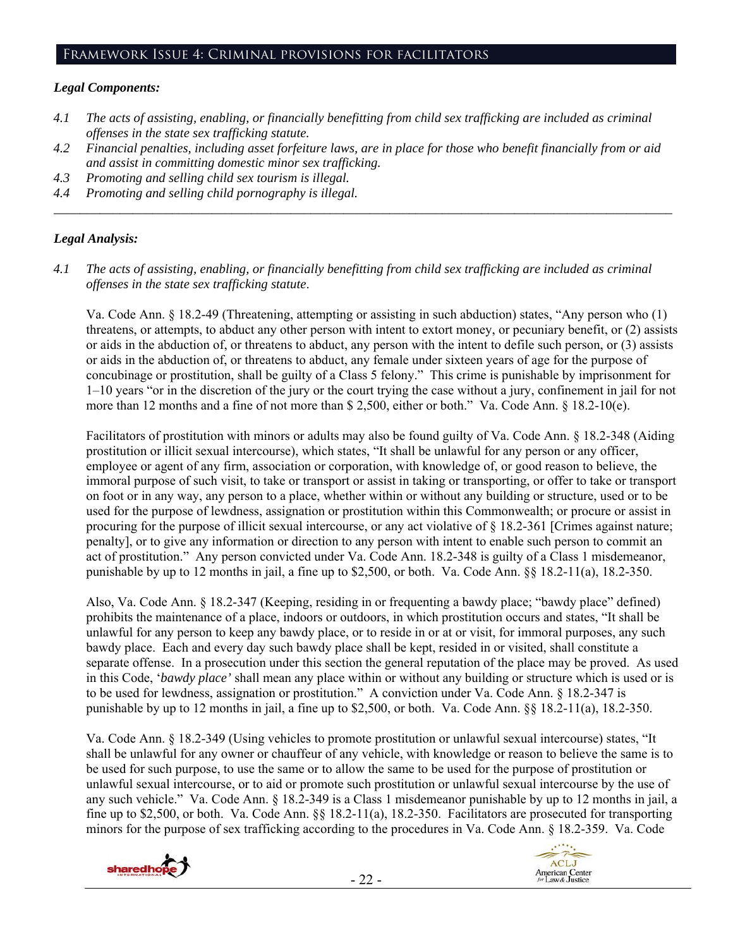### Framework Issue 4: Criminal provisions for facilitators

#### *Legal Components:*

- *4.1 The acts of assisting, enabling, or financially benefitting from child sex trafficking are included as criminal offenses in the state sex trafficking statute.*
- *4.2 Financial penalties, including asset forfeiture laws, are in place for those who benefit financially from or aid and assist in committing domestic minor sex trafficking.*

*\_\_\_\_\_\_\_\_\_\_\_\_\_\_\_\_\_\_\_\_\_\_\_\_\_\_\_\_\_\_\_\_\_\_\_\_\_\_\_\_\_\_\_\_\_\_\_\_\_\_\_\_\_\_\_\_\_\_\_\_\_\_\_\_\_\_\_\_\_\_\_\_\_\_\_\_\_\_\_\_\_\_\_\_\_\_\_\_\_\_\_\_\_\_* 

- *4.3 Promoting and selling child sex tourism is illegal.*
- *4.4 Promoting and selling child pornography is illegal.*

#### *Legal Analysis:*

*4.1 The acts of assisting, enabling, or financially benefitting from child sex trafficking are included as criminal offenses in the state sex trafficking statute*.

Va. Code Ann. § 18.2-49 (Threatening, attempting or assisting in such abduction) states, "Any person who (1) threatens, or attempts, to abduct any other person with intent to extort money, or pecuniary benefit, or (2) assists or aids in the abduction of, or threatens to abduct, any person with the intent to defile such person, or (3) assists or aids in the abduction of, or threatens to abduct, any female under sixteen years of age for the purpose of concubinage or prostitution, shall be guilty of a Class 5 felony." This crime is punishable by imprisonment for 1–10 years "or in the discretion of the jury or the court trying the case without a jury, confinement in jail for not more than 12 months and a fine of not more than \$ 2,500, either or both." Va. Code Ann. § 18.2-10(e).

Facilitators of prostitution with minors or adults may also be found guilty of Va. Code Ann. § 18.2-348 (Aiding prostitution or illicit sexual intercourse), which states, "It shall be unlawful for any person or any officer, employee or agent of any firm, association or corporation, with knowledge of, or good reason to believe, the immoral purpose of such visit, to take or transport or assist in taking or transporting, or offer to take or transport on foot or in any way, any person to a place, whether within or without any building or structure, used or to be used for the purpose of lewdness, assignation or prostitution within this Commonwealth; or procure or assist in procuring for the purpose of illicit sexual intercourse, or any act violative of § 18.2-361 [Crimes against nature; penalty], or to give any information or direction to any person with intent to enable such person to commit an act of prostitution." Any person convicted under Va. Code Ann. 18.2-348 is guilty of a Class 1 misdemeanor, punishable by up to 12 months in jail, a fine up to \$2,500, or both. Va. Code Ann. §§ 18.2-11(a), 18.2-350.

Also, Va. Code Ann. § 18.2-347 (Keeping, residing in or frequenting a bawdy place; "bawdy place" defined) prohibits the maintenance of a place, indoors or outdoors, in which prostitution occurs and states, "It shall be unlawful for any person to keep any bawdy place, or to reside in or at or visit, for immoral purposes, any such bawdy place. Each and every day such bawdy place shall be kept, resided in or visited, shall constitute a separate offense. In a prosecution under this section the general reputation of the place may be proved. As used in this Code, '*bawdy place'* shall mean any place within or without any building or structure which is used or is to be used for lewdness, assignation or prostitution." A conviction under Va. Code Ann. § 18.2-347 is punishable by up to 12 months in jail, a fine up to \$2,500, or both. Va. Code Ann. §§ 18.2-11(a), 18.2-350.

Va. Code Ann. § 18.2-349 (Using vehicles to promote prostitution or unlawful sexual intercourse) states, "It shall be unlawful for any owner or chauffeur of any vehicle, with knowledge or reason to believe the same is to be used for such purpose, to use the same or to allow the same to be used for the purpose of prostitution or unlawful sexual intercourse, or to aid or promote such prostitution or unlawful sexual intercourse by the use of any such vehicle." Va. Code Ann. § 18.2-349 is a Class 1 misdemeanor punishable by up to 12 months in jail, a fine up to \$2,500, or both. Va. Code Ann. §§ 18.2-11(a), 18.2-350. Facilitators are prosecuted for transporting minors for the purpose of sex trafficking according to the procedures in Va. Code Ann. § 18.2-359. Va. Code

![](_page_21_Picture_12.jpeg)

![](_page_21_Picture_13.jpeg)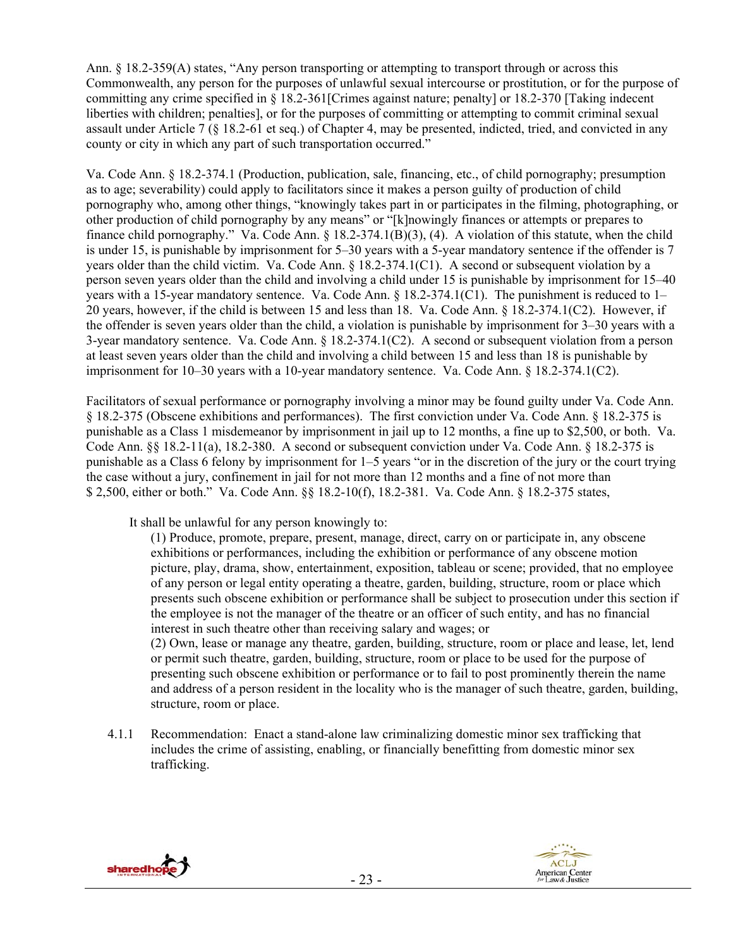Ann. § 18.2-359(A) states, "Any person transporting or attempting to transport through or across this Commonwealth, any person for the purposes of unlawful sexual intercourse or prostitution, or for the purpose of committing any crime specified in § 18.2-361[Crimes against nature; penalty] or 18.2-370 [Taking indecent liberties with children; penalties], or for the purposes of committing or attempting to commit criminal sexual assault under Article 7 (§ 18.2-61 et seq.) of Chapter 4, may be presented, indicted, tried, and convicted in any county or city in which any part of such transportation occurred."

Va. Code Ann. § 18.2-374.1 (Production, publication, sale, financing, etc., of child pornography; presumption as to age; severability) could apply to facilitators since it makes a person guilty of production of child pornography who, among other things, "knowingly takes part in or participates in the filming, photographing, or other production of child pornography by any means" or "[k]nowingly finances or attempts or prepares to finance child pornography." Va. Code Ann. § 18.2-374.1(B)(3), (4). A violation of this statute, when the child is under 15, is punishable by imprisonment for 5–30 years with a 5-year mandatory sentence if the offender is 7 years older than the child victim. Va. Code Ann. § 18.2-374.1(C1). A second or subsequent violation by a person seven years older than the child and involving a child under 15 is punishable by imprisonment for 15–40 years with a 15-year mandatory sentence. Va. Code Ann. § 18.2-374.1(C1). The punishment is reduced to 1– 20 years, however, if the child is between 15 and less than 18. Va. Code Ann. § 18.2-374.1(C2). However, if the offender is seven years older than the child, a violation is punishable by imprisonment for 3–30 years with a 3-year mandatory sentence. Va. Code Ann. § 18.2-374.1(C2). A second or subsequent violation from a person at least seven years older than the child and involving a child between 15 and less than 18 is punishable by imprisonment for 10–30 years with a 10-year mandatory sentence. Va. Code Ann. § 18.2-374.1(C2).

Facilitators of sexual performance or pornography involving a minor may be found guilty under Va. Code Ann. § 18.2-375 (Obscene exhibitions and performances). The first conviction under Va. Code Ann. § 18.2-375 is punishable as a Class 1 misdemeanor by imprisonment in jail up to 12 months, a fine up to \$2,500, or both. Va. Code Ann. §§ 18.2-11(a), 18.2-380. A second or subsequent conviction under Va. Code Ann. § 18.2-375 is punishable as a Class 6 felony by imprisonment for 1–5 years "or in the discretion of the jury or the court trying the case without a jury, confinement in jail for not more than 12 months and a fine of not more than \$ 2,500, either or both." Va. Code Ann. §§ 18.2-10(f), 18.2-381. Va. Code Ann. § 18.2-375 states,

It shall be unlawful for any person knowingly to:

(1) Produce, promote, prepare, present, manage, direct, carry on or participate in, any obscene exhibitions or performances, including the exhibition or performance of any obscene motion picture, play, drama, show, entertainment, exposition, tableau or scene; provided, that no employee of any person or legal entity operating a theatre, garden, building, structure, room or place which presents such obscene exhibition or performance shall be subject to prosecution under this section if the employee is not the manager of the theatre or an officer of such entity, and has no financial interest in such theatre other than receiving salary and wages; or (2) Own, lease or manage any theatre, garden, building, structure, room or place and lease, let, lend

or permit such theatre, garden, building, structure, room or place to be used for the purpose of presenting such obscene exhibition or performance or to fail to post prominently therein the name and address of a person resident in the locality who is the manager of such theatre, garden, building, structure, room or place.

4.1.1 Recommendation: Enact a stand-alone law criminalizing domestic minor sex trafficking that includes the crime of assisting, enabling, or financially benefitting from domestic minor sex trafficking.

![](_page_22_Picture_7.jpeg)

![](_page_22_Picture_8.jpeg)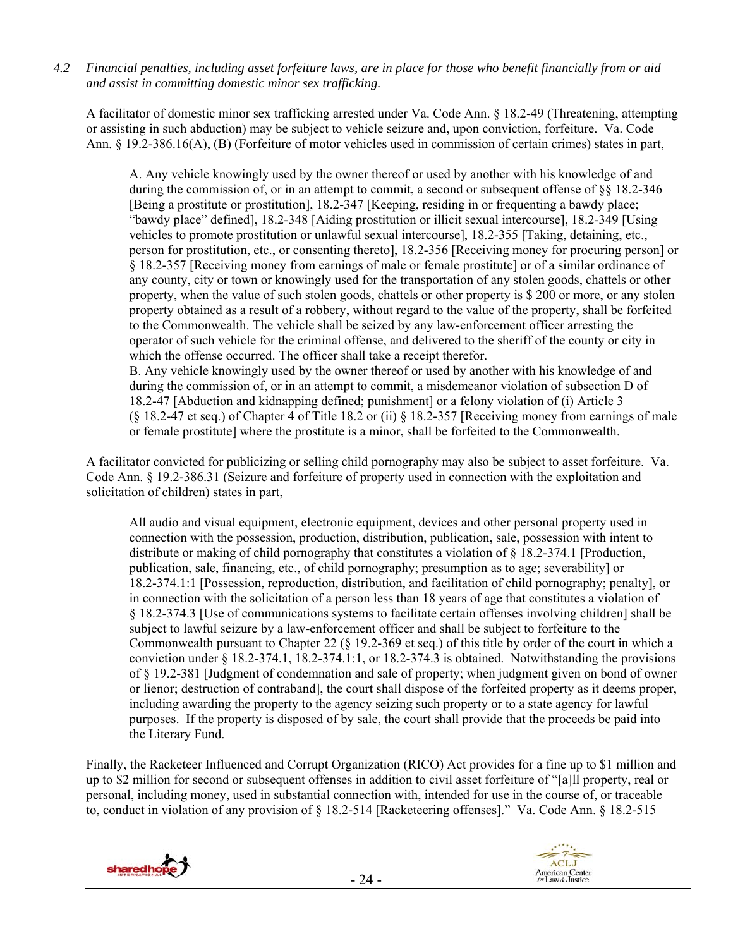*4.2 Financial penalties, including asset forfeiture laws, are in place for those who benefit financially from or aid and assist in committing domestic minor sex trafficking.* 

A facilitator of domestic minor sex trafficking arrested under Va. Code Ann. § 18.2-49 (Threatening, attempting or assisting in such abduction) may be subject to vehicle seizure and, upon conviction, forfeiture. Va. Code Ann. § 19.2-386.16(A), (B) (Forfeiture of motor vehicles used in commission of certain crimes) states in part,

A. Any vehicle knowingly used by the owner thereof or used by another with his knowledge of and during the commission of, or in an attempt to commit, a second or subsequent offense of §§ 18.2-346 [Being a prostitute or prostitution], 18.2-347 [Keeping, residing in or frequenting a bawdy place; "bawdy place" defined], 18.2-348 [Aiding prostitution or illicit sexual intercourse], 18.2-349 [Using vehicles to promote prostitution or unlawful sexual intercourse], 18.2-355 [Taking, detaining, etc., person for prostitution, etc., or consenting thereto], 18.2-356 [Receiving money for procuring person] or § 18.2-357 [Receiving money from earnings of male or female prostitute] or of a similar ordinance of any county, city or town or knowingly used for the transportation of any stolen goods, chattels or other property, when the value of such stolen goods, chattels or other property is \$ 200 or more, or any stolen property obtained as a result of a robbery, without regard to the value of the property, shall be forfeited to the Commonwealth. The vehicle shall be seized by any law-enforcement officer arresting the operator of such vehicle for the criminal offense, and delivered to the sheriff of the county or city in which the offense occurred. The officer shall take a receipt therefor. B. Any vehicle knowingly used by the owner thereof or used by another with his knowledge of and during the commission of, or in an attempt to commit, a misdemeanor violation of subsection D of

18.2-47 [Abduction and kidnapping defined; punishment] or a felony violation of (i) Article 3 (§ 18.2-47 et seq.) of Chapter 4 of Title 18.2 or (ii) § 18.2-357 [Receiving money from earnings of male or female prostitute] where the prostitute is a minor, shall be forfeited to the Commonwealth.

A facilitator convicted for publicizing or selling child pornography may also be subject to asset forfeiture. Va. Code Ann. § 19.2-386.31 (Seizure and forfeiture of property used in connection with the exploitation and solicitation of children) states in part,

All audio and visual equipment, electronic equipment, devices and other personal property used in connection with the possession, production, distribution, publication, sale, possession with intent to distribute or making of child pornography that constitutes a violation of § 18.2-374.1 [Production, publication, sale, financing, etc., of child pornography; presumption as to age; severability] or 18.2-374.1:1 [Possession, reproduction, distribution, and facilitation of child pornography; penalty], or in connection with the solicitation of a person less than 18 years of age that constitutes a violation of § 18.2-374.3 [Use of communications systems to facilitate certain offenses involving children] shall be subject to lawful seizure by a law-enforcement officer and shall be subject to forfeiture to the Commonwealth pursuant to Chapter 22 (§ 19.2-369 et seq.) of this title by order of the court in which a conviction under § 18.2-374.1, 18.2-374.1:1, or 18.2-374.3 is obtained. Notwithstanding the provisions of § 19.2-381 [Judgment of condemnation and sale of property; when judgment given on bond of owner or lienor; destruction of contraband], the court shall dispose of the forfeited property as it deems proper, including awarding the property to the agency seizing such property or to a state agency for lawful purposes. If the property is disposed of by sale, the court shall provide that the proceeds be paid into the Literary Fund.

Finally, the Racketeer Influenced and Corrupt Organization (RICO) Act provides for a fine up to \$1 million and up to \$2 million for second or subsequent offenses in addition to civil asset forfeiture of "[a]ll property, real or personal, including money, used in substantial connection with, intended for use in the course of, or traceable to, conduct in violation of any provision of § 18.2-514 [Racketeering offenses]." Va. Code Ann. § 18.2-515

![](_page_23_Picture_7.jpeg)

![](_page_23_Picture_8.jpeg)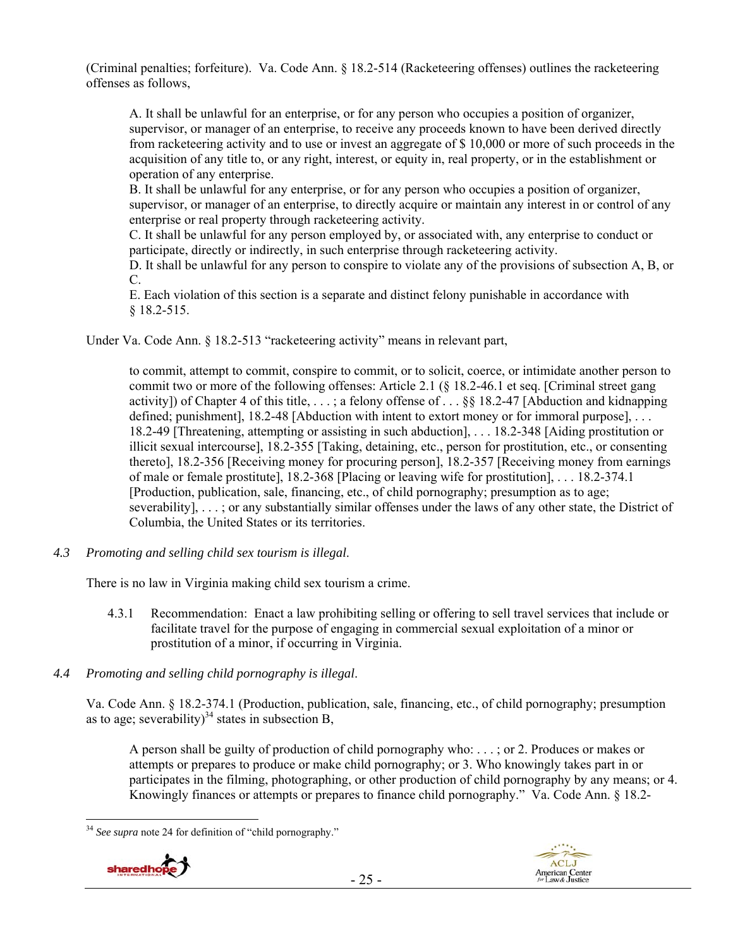(Criminal penalties; forfeiture). Va. Code Ann. § 18.2-514 (Racketeering offenses) outlines the racketeering offenses as follows,

A. It shall be unlawful for an enterprise, or for any person who occupies a position of organizer, supervisor, or manager of an enterprise, to receive any proceeds known to have been derived directly from racketeering activity and to use or invest an aggregate of \$ 10,000 or more of such proceeds in the acquisition of any title to, or any right, interest, or equity in, real property, or in the establishment or operation of any enterprise.

B. It shall be unlawful for any enterprise, or for any person who occupies a position of organizer, supervisor, or manager of an enterprise, to directly acquire or maintain any interest in or control of any enterprise or real property through racketeering activity.

C. It shall be unlawful for any person employed by, or associated with, any enterprise to conduct or participate, directly or indirectly, in such enterprise through racketeering activity.

D. It shall be unlawful for any person to conspire to violate any of the provisions of subsection A, B, or C.

E. Each violation of this section is a separate and distinct felony punishable in accordance with § 18.2-515.

Under Va. Code Ann. § 18.2-513 "racketeering activity" means in relevant part,

to commit, attempt to commit, conspire to commit, or to solicit, coerce, or intimidate another person to commit two or more of the following offenses: Article 2.1 (§ 18.2-46.1 et seq. [Criminal street gang activity]) of Chapter 4 of this title, . . . ; a felony offense of . . . §§ 18.2-47 [Abduction and kidnapping defined; punishment], 18.2-48 [Abduction with intent to extort money or for immoral purpose], . . . 18.2-49 [Threatening, attempting or assisting in such abduction], . . . 18.2-348 [Aiding prostitution or illicit sexual intercourse], 18.2-355 [Taking, detaining, etc., person for prostitution, etc., or consenting thereto], 18.2-356 [Receiving money for procuring person], 18.2-357 [Receiving money from earnings of male or female prostitute], 18.2-368 [Placing or leaving wife for prostitution], . . . 18.2-374.1 [Production, publication, sale, financing, etc., of child pornography; presumption as to age; severability], . . . ; or any substantially similar offenses under the laws of any other state, the District of Columbia, the United States or its territories.

*4.3 Promoting and selling child sex tourism is illegal*.

There is no law in Virginia making child sex tourism a crime.

- 4.3.1 Recommendation: Enact a law prohibiting selling or offering to sell travel services that include or facilitate travel for the purpose of engaging in commercial sexual exploitation of a minor or prostitution of a minor, if occurring in Virginia.
- *4.4 Promoting and selling child pornography is illegal*.

Va. Code Ann. § 18.2-374.1 (Production, publication, sale, financing, etc., of child pornography; presumption as to age; severability)<sup>34</sup> states in subsection B,

A person shall be guilty of production of child pornography who: . . . ; or 2. Produces or makes or attempts or prepares to produce or make child pornography; or 3. Who knowingly takes part in or participates in the filming, photographing, or other production of child pornography by any means; or 4. Knowingly finances or attempts or prepares to finance child pornography." Va. Code Ann. § 18.2-

 $\overline{a}$ <sup>34</sup> *See supra* note 24 for definition of "child pornography."

![](_page_24_Picture_15.jpeg)

![](_page_24_Picture_16.jpeg)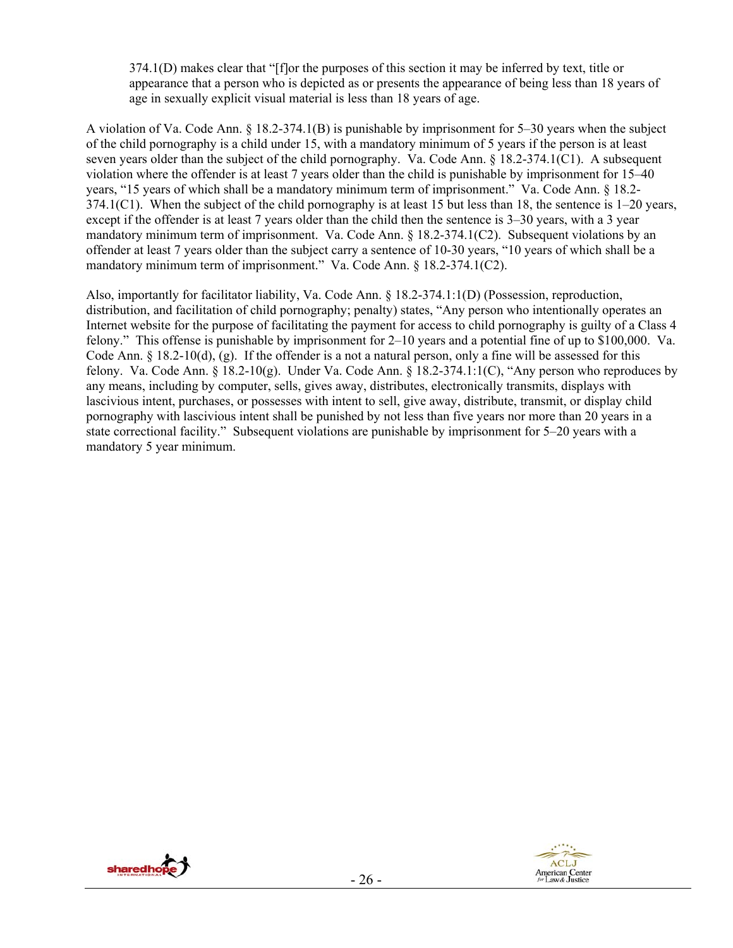374.1(D) makes clear that "[f]or the purposes of this section it may be inferred by text, title or appearance that a person who is depicted as or presents the appearance of being less than 18 years of age in sexually explicit visual material is less than 18 years of age.

A violation of Va. Code Ann. § 18.2-374.1(B) is punishable by imprisonment for 5–30 years when the subject of the child pornography is a child under 15, with a mandatory minimum of 5 years if the person is at least seven years older than the subject of the child pornography. Va. Code Ann. § 18.2-374.1(C1). A subsequent violation where the offender is at least 7 years older than the child is punishable by imprisonment for 15–40 years, "15 years of which shall be a mandatory minimum term of imprisonment." Va. Code Ann. § 18.2- 374.1(C1). When the subject of the child pornography is at least 15 but less than 18, the sentence is 1–20 years, except if the offender is at least 7 years older than the child then the sentence is 3–30 years, with a 3 year mandatory minimum term of imprisonment. Va. Code Ann. § 18.2-374.1(C2). Subsequent violations by an offender at least 7 years older than the subject carry a sentence of 10-30 years, "10 years of which shall be a mandatory minimum term of imprisonment." Va. Code Ann. § 18.2-374.1(C2).

Also, importantly for facilitator liability, Va. Code Ann. § 18.2-374.1:1(D) (Possession, reproduction, distribution, and facilitation of child pornography; penalty) states, "Any person who intentionally operates an Internet website for the purpose of facilitating the payment for access to child pornography is guilty of a Class 4 felony." This offense is punishable by imprisonment for 2–10 years and a potential fine of up to \$100,000. Va. Code Ann. § 18.2-10(d), (g). If the offender is a not a natural person, only a fine will be assessed for this felony. Va. Code Ann.  $\S 18.2-10(g)$ . Under Va. Code Ann.  $\S 18.2-374.1:1(C)$ , "Any person who reproduces by any means, including by computer, sells, gives away, distributes, electronically transmits, displays with lascivious intent, purchases, or possesses with intent to sell, give away, distribute, transmit, or display child pornography with lascivious intent shall be punished by not less than five years nor more than 20 years in a state correctional facility." Subsequent violations are punishable by imprisonment for 5–20 years with a mandatory 5 year minimum.

![](_page_25_Picture_3.jpeg)

![](_page_25_Picture_4.jpeg)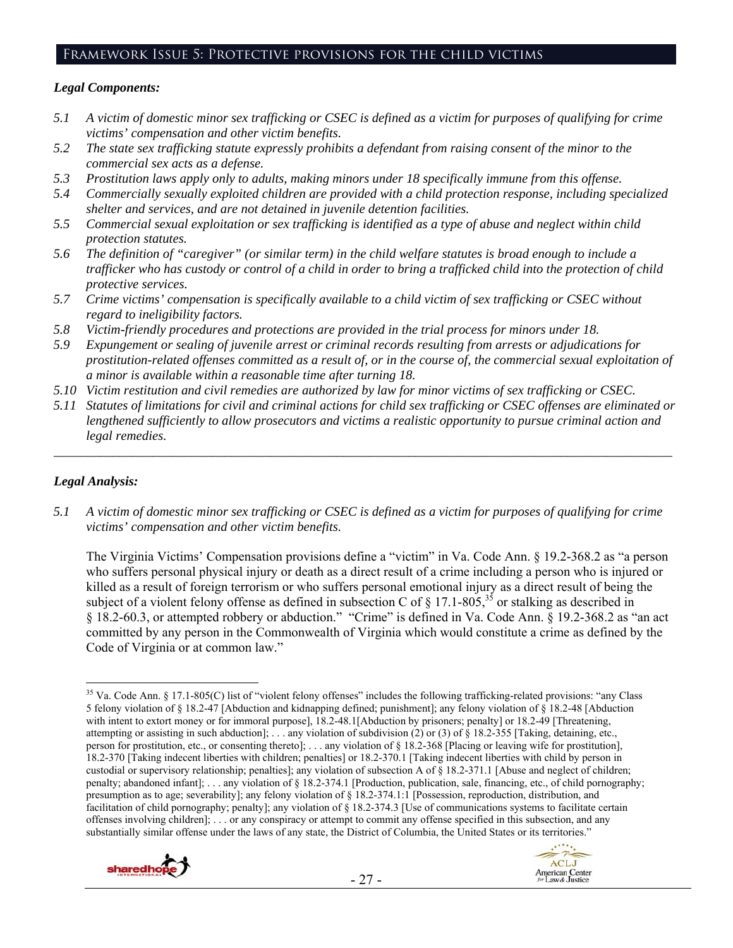### Framework Issue 5: Protective provisions for the child victims

#### *Legal Components:*

- *5.1 A victim of domestic minor sex trafficking or CSEC is defined as a victim for purposes of qualifying for crime victims' compensation and other victim benefits.*
- *5.2 The state sex trafficking statute expressly prohibits a defendant from raising consent of the minor to the commercial sex acts as a defense.*
- *5.3 Prostitution laws apply only to adults, making minors under 18 specifically immune from this offense.*
- *5.4 Commercially sexually exploited children are provided with a child protection response, including specialized shelter and services, and are not detained in juvenile detention facilities.*
- *5.5 Commercial sexual exploitation or sex trafficking is identified as a type of abuse and neglect within child protection statutes.*
- *5.6 The definition of "caregiver" (or similar term) in the child welfare statutes is broad enough to include a trafficker who has custody or control of a child in order to bring a trafficked child into the protection of child protective services.*
- *5.7 Crime victims' compensation is specifically available to a child victim of sex trafficking or CSEC without regard to ineligibility factors.*
- *5.8 Victim-friendly procedures and protections are provided in the trial process for minors under 18.*
- *5.9 Expungement or sealing of juvenile arrest or criminal records resulting from arrests or adjudications for prostitution-related offenses committed as a result of, or in the course of, the commercial sexual exploitation of a minor is available within a reasonable time after turning 18.*
- *5.10 Victim restitution and civil remedies are authorized by law for minor victims of sex trafficking or CSEC.*
- *5.11 Statutes of limitations for civil and criminal actions for child sex trafficking or CSEC offenses are eliminated or lengthened sufficiently to allow prosecutors and victims a realistic opportunity to pursue criminal action and legal remedies.*

*\_\_\_\_\_\_\_\_\_\_\_\_\_\_\_\_\_\_\_\_\_\_\_\_\_\_\_\_\_\_\_\_\_\_\_\_\_\_\_\_\_\_\_\_\_\_\_\_\_\_\_\_\_\_\_\_\_\_\_\_\_\_\_\_\_\_\_\_\_\_\_\_\_\_\_\_\_\_\_\_\_\_\_\_\_\_\_\_\_\_\_\_\_\_* 

## *Legal Analysis:*

*5.1 A victim of domestic minor sex trafficking or CSEC is defined as a victim for purposes of qualifying for crime victims' compensation and other victim benefits.* 

The Virginia Victims' Compensation provisions define a "victim" in Va. Code Ann. § 19.2-368.2 as "a person who suffers personal physical injury or death as a direct result of a crime including a person who is injured or killed as a result of foreign terrorism or who suffers personal emotional injury as a direct result of being the subject of a violent felony offense as defined in subsection C of  $\S$  17.1-805,<sup>35</sup> or stalking as described in § 18.2-60.3, or attempted robbery or abduction." "Crime" is defined in Va. Code Ann. § 19.2-368.2 as "an act committed by any person in the Commonwealth of Virginia which would constitute a crime as defined by the Code of Virginia or at common law."

 $\overline{a}$ <sup>35</sup> Va. Code Ann. § 17.1-805(C) list of "violent felony offenses" includes the following trafficking-related provisions: "any Class 5 felony violation of § 18.2-47 [Abduction and kidnapping defined; punishment]; any felony violation of § 18.2-48 [Abduction with intent to extort money or for immoral purpose], 18.2-48.1[Abduction by prisoners; penalty] or 18.2-49 [Threatening, attempting or assisting in such abduction]; ... any violation of subdivision (2) or (3) of  $\S$  18.2-355 [Taking, detaining, etc., person for prostitution, etc., or consenting thereto]; . . . any violation of § 18.2-368 [Placing or leaving wife for prostitution], 18.2-370 [Taking indecent liberties with children; penalties] or 18.2-370.1 [Taking indecent liberties with child by person in custodial or supervisory relationship; penalties]; any violation of subsection A of § 18.2-371.1 [Abuse and neglect of children; penalty; abandoned infant]; . . . any violation of § 18.2-374.1 [Production, publication, sale, financing, etc., of child pornography; presumption as to age; severability]; any felony violation of § 18.2-374.1:1 [Possession, reproduction, distribution, and facilitation of child pornography; penalty]; any violation of § 18.2-374.3 [Use of communications systems to facilitate certain offenses involving children]; . . . or any conspiracy or attempt to commit any offense specified in this subsection, and any substantially similar offense under the laws of any state, the District of Columbia, the United States or its territories."

![](_page_26_Picture_17.jpeg)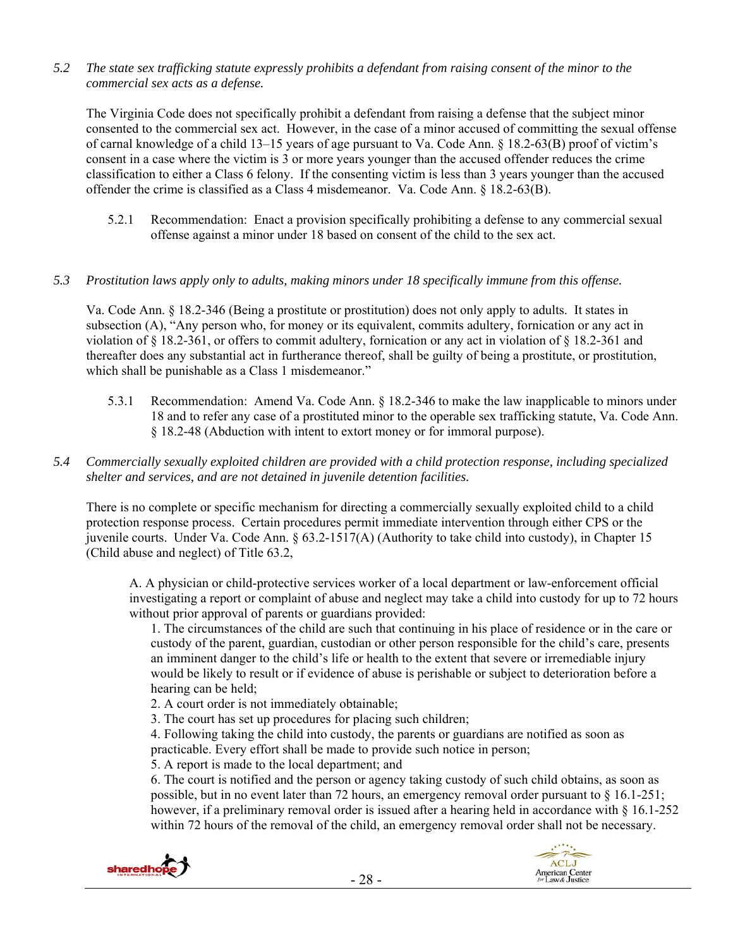*5.2 The state sex trafficking statute expressly prohibits a defendant from raising consent of the minor to the commercial sex acts as a defense.* 

The Virginia Code does not specifically prohibit a defendant from raising a defense that the subject minor consented to the commercial sex act. However, in the case of a minor accused of committing the sexual offense of carnal knowledge of a child 13–15 years of age pursuant to Va. Code Ann. § 18.2-63(B) proof of victim's consent in a case where the victim is 3 or more years younger than the accused offender reduces the crime classification to either a Class 6 felony. If the consenting victim is less than 3 years younger than the accused offender the crime is classified as a Class 4 misdemeanor. Va. Code Ann. § 18.2-63(B).

5.2.1 Recommendation: Enact a provision specifically prohibiting a defense to any commercial sexual offense against a minor under 18 based on consent of the child to the sex act.

## *5.3 Prostitution laws apply only to adults, making minors under 18 specifically immune from this offense.*

Va. Code Ann. § 18.2-346 (Being a prostitute or prostitution) does not only apply to adults. It states in subsection (A), "Any person who, for money or its equivalent, commits adultery, fornication or any act in violation of § 18.2-361, or offers to commit adultery, fornication or any act in violation of § 18.2-361 and thereafter does any substantial act in furtherance thereof, shall be guilty of being a prostitute, or prostitution, which shall be punishable as a Class 1 misdemeanor."

- 5.3.1 Recommendation: Amend Va. Code Ann. § 18.2-346 to make the law inapplicable to minors under 18 and to refer any case of a prostituted minor to the operable sex trafficking statute, Va. Code Ann. § 18.2-48 (Abduction with intent to extort money or for immoral purpose).
- *5.4 Commercially sexually exploited children are provided with a child protection response, including specialized shelter and services, and are not detained in juvenile detention facilities.*

There is no complete or specific mechanism for directing a commercially sexually exploited child to a child protection response process. Certain procedures permit immediate intervention through either CPS or the juvenile courts. Under Va. Code Ann. § 63.2-1517(A) (Authority to take child into custody), in Chapter 15 (Child abuse and neglect) of Title 63.2,

A. A physician or child-protective services worker of a local department or law-enforcement official investigating a report or complaint of abuse and neglect may take a child into custody for up to 72 hours without prior approval of parents or guardians provided:

1. The circumstances of the child are such that continuing in his place of residence or in the care or custody of the parent, guardian, custodian or other person responsible for the child's care, presents an imminent danger to the child's life or health to the extent that severe or irremediable injury would be likely to result or if evidence of abuse is perishable or subject to deterioration before a hearing can be held;

- 2. A court order is not immediately obtainable;
- 3. The court has set up procedures for placing such children;

4. Following taking the child into custody, the parents or guardians are notified as soon as practicable. Every effort shall be made to provide such notice in person;

5. A report is made to the local department; and

6. The court is notified and the person or agency taking custody of such child obtains, as soon as possible, but in no event later than 72 hours, an emergency removal order pursuant to § 16.1-251; however, if a preliminary removal order is issued after a hearing held in accordance with § 16.1-252 within 72 hours of the removal of the child, an emergency removal order shall not be necessary.

![](_page_27_Picture_15.jpeg)

![](_page_27_Picture_16.jpeg)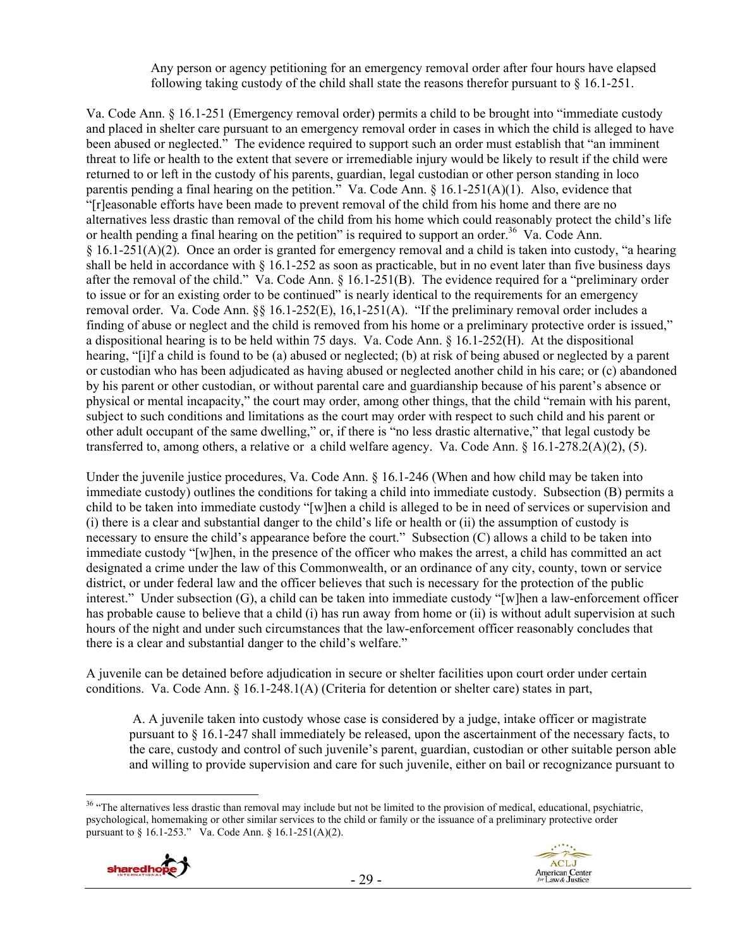Any person or agency petitioning for an emergency removal order after four hours have elapsed following taking custody of the child shall state the reasons therefor pursuant to  $\S$  16.1-251.

Va. Code Ann. § 16.1-251 (Emergency removal order) permits a child to be brought into "immediate custody and placed in shelter care pursuant to an emergency removal order in cases in which the child is alleged to have been abused or neglected." The evidence required to support such an order must establish that "an imminent threat to life or health to the extent that severe or irremediable injury would be likely to result if the child were returned to or left in the custody of his parents, guardian, legal custodian or other person standing in loco parentis pending a final hearing on the petition." Va. Code Ann. § 16.1-251(A)(1). Also, evidence that "[r]easonable efforts have been made to prevent removal of the child from his home and there are no alternatives less drastic than removal of the child from his home which could reasonably protect the child's life or health pending a final hearing on the petition" is required to support an order.<sup>36</sup> Va. Code Ann. § 16.1-251(A)(2). Once an order is granted for emergency removal and a child is taken into custody, "a hearing shall be held in accordance with § 16.1-252 as soon as practicable, but in no event later than five business days after the removal of the child." Va. Code Ann. § 16.1-251(B). The evidence required for a "preliminary order to issue or for an existing order to be continued" is nearly identical to the requirements for an emergency removal order. Va. Code Ann. §§ 16.1-252(E), 16,1-251(A). "If the preliminary removal order includes a finding of abuse or neglect and the child is removed from his home or a preliminary protective order is issued," a dispositional hearing is to be held within 75 days. Va. Code Ann. § 16.1-252(H). At the dispositional hearing, "[i]f a child is found to be (a) abused or neglected; (b) at risk of being abused or neglected by a parent or custodian who has been adjudicated as having abused or neglected another child in his care; or (c) abandoned by his parent or other custodian, or without parental care and guardianship because of his parent's absence or physical or mental incapacity," the court may order, among other things, that the child "remain with his parent, subject to such conditions and limitations as the court may order with respect to such child and his parent or other adult occupant of the same dwelling," or, if there is "no less drastic alternative," that legal custody be transferred to, among others, a relative or a child welfare agency. Va. Code Ann. § 16.1-278.2(A)(2), (5).

Under the juvenile justice procedures, Va. Code Ann. § 16.1-246 (When and how child may be taken into immediate custody) outlines the conditions for taking a child into immediate custody. Subsection (B) permits a child to be taken into immediate custody "[w]hen a child is alleged to be in need of services or supervision and (i) there is a clear and substantial danger to the child's life or health or (ii) the assumption of custody is necessary to ensure the child's appearance before the court." Subsection (C) allows a child to be taken into immediate custody "[w]hen, in the presence of the officer who makes the arrest, a child has committed an act designated a crime under the law of this Commonwealth, or an ordinance of any city, county, town or service district, or under federal law and the officer believes that such is necessary for the protection of the public interest." Under subsection (G), a child can be taken into immediate custody "[w]hen a law-enforcement officer has probable cause to believe that a child (i) has run away from home or (ii) is without adult supervision at such hours of the night and under such circumstances that the law-enforcement officer reasonably concludes that there is a clear and substantial danger to the child's welfare."

A juvenile can be detained before adjudication in secure or shelter facilities upon court order under certain conditions. Va. Code Ann. § 16.1-248.1(A) (Criteria for detention or shelter care) states in part,

 A. A juvenile taken into custody whose case is considered by a judge, intake officer or magistrate pursuant to § 16.1-247 shall immediately be released, upon the ascertainment of the necessary facts, to the care, custody and control of such juvenile's parent, guardian, custodian or other suitable person able and willing to provide supervision and care for such juvenile, either on bail or recognizance pursuant to

 $\overline{a}$ <sup>36</sup> "The alternatives less drastic than removal may include but not be limited to the provision of medical, educational, psychiatric, psychological, homemaking or other similar services to the child or family or the issuance of a preliminary protective order pursuant to § 16.1-253." Va. Code Ann. § 16.1-251(A)(2).

![](_page_28_Picture_6.jpeg)

![](_page_28_Picture_7.jpeg)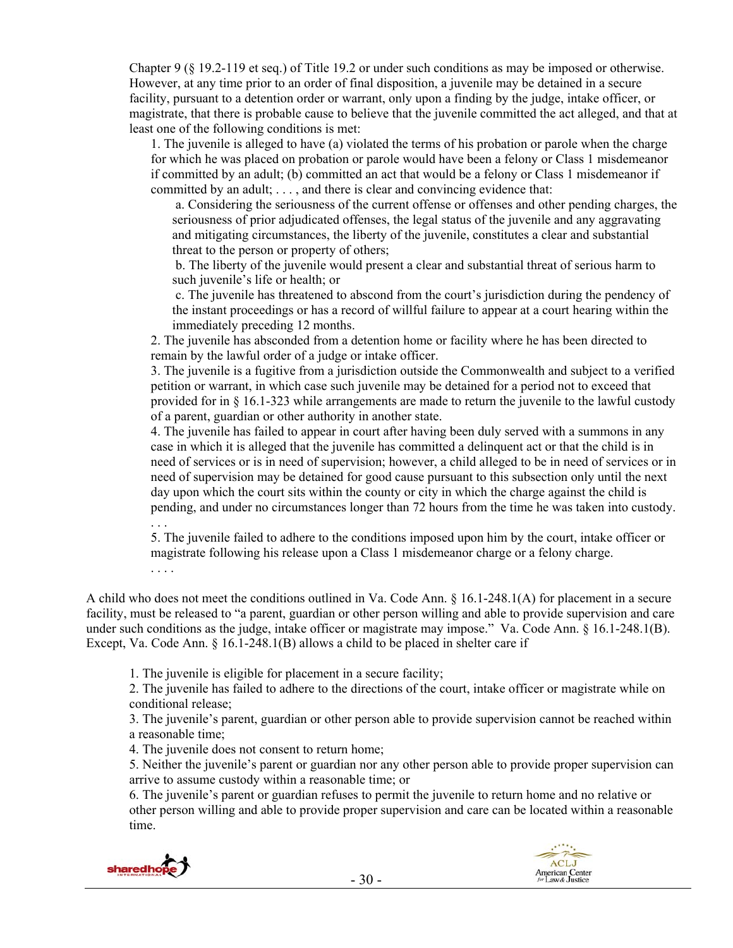Chapter 9 (§ 19.2-119 et seq.) of Title 19.2 or under such conditions as may be imposed or otherwise. However, at any time prior to an order of final disposition, a juvenile may be detained in a secure facility, pursuant to a detention order or warrant, only upon a finding by the judge, intake officer, or magistrate, that there is probable cause to believe that the juvenile committed the act alleged, and that at least one of the following conditions is met:

1. The juvenile is alleged to have (a) violated the terms of his probation or parole when the charge for which he was placed on probation or parole would have been a felony or Class 1 misdemeanor if committed by an adult; (b) committed an act that would be a felony or Class 1 misdemeanor if committed by an adult; . . . , and there is clear and convincing evidence that:

 a. Considering the seriousness of the current offense or offenses and other pending charges, the seriousness of prior adjudicated offenses, the legal status of the juvenile and any aggravating and mitigating circumstances, the liberty of the juvenile, constitutes a clear and substantial threat to the person or property of others;

 b. The liberty of the juvenile would present a clear and substantial threat of serious harm to such juvenile's life or health; or

 c. The juvenile has threatened to abscond from the court's jurisdiction during the pendency of the instant proceedings or has a record of willful failure to appear at a court hearing within the immediately preceding 12 months.

2. The juvenile has absconded from a detention home or facility where he has been directed to remain by the lawful order of a judge or intake officer.

3. The juvenile is a fugitive from a jurisdiction outside the Commonwealth and subject to a verified petition or warrant, in which case such juvenile may be detained for a period not to exceed that provided for in § 16.1-323 while arrangements are made to return the juvenile to the lawful custody of a parent, guardian or other authority in another state.

4. The juvenile has failed to appear in court after having been duly served with a summons in any case in which it is alleged that the juvenile has committed a delinquent act or that the child is in need of services or is in need of supervision; however, a child alleged to be in need of services or in need of supervision may be detained for good cause pursuant to this subsection only until the next day upon which the court sits within the county or city in which the charge against the child is pending, and under no circumstances longer than 72 hours from the time he was taken into custody. . . .

5. The juvenile failed to adhere to the conditions imposed upon him by the court, intake officer or magistrate following his release upon a Class 1 misdemeanor charge or a felony charge.

A child who does not meet the conditions outlined in Va. Code Ann. § 16.1-248.1(A) for placement in a secure facility, must be released to "a parent, guardian or other person willing and able to provide supervision and care under such conditions as the judge, intake officer or magistrate may impose." Va. Code Ann. § 16.1-248.1(B). Except, Va. Code Ann. § 16.1-248.1(B) allows a child to be placed in shelter care if

1. The juvenile is eligible for placement in a secure facility;

2. The juvenile has failed to adhere to the directions of the court, intake officer or magistrate while on conditional release;

3. The juvenile's parent, guardian or other person able to provide supervision cannot be reached within a reasonable time;

4. The juvenile does not consent to return home;

5. Neither the juvenile's parent or guardian nor any other person able to provide proper supervision can arrive to assume custody within a reasonable time; or

6. The juvenile's parent or guardian refuses to permit the juvenile to return home and no relative or other person willing and able to provide proper supervision and care can be located within a reasonable time.

![](_page_29_Picture_16.jpeg)

. . . .

![](_page_29_Picture_17.jpeg)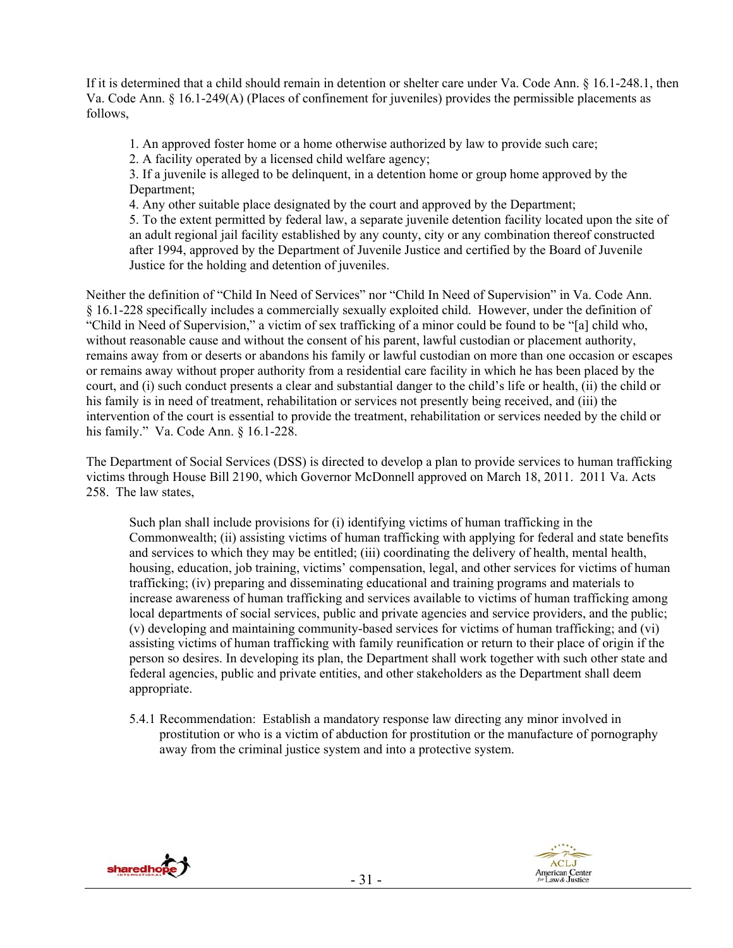If it is determined that a child should remain in detention or shelter care under Va. Code Ann. § 16.1-248.1, then Va. Code Ann. § 16.1-249(A) (Places of confinement for juveniles) provides the permissible placements as follows,

1. An approved foster home or a home otherwise authorized by law to provide such care;

2. A facility operated by a licensed child welfare agency;

3. If a juvenile is alleged to be delinquent, in a detention home or group home approved by the Department;

4. Any other suitable place designated by the court and approved by the Department;

5. To the extent permitted by federal law, a separate juvenile detention facility located upon the site of an adult regional jail facility established by any county, city or any combination thereof constructed after 1994, approved by the Department of Juvenile Justice and certified by the Board of Juvenile Justice for the holding and detention of juveniles.

Neither the definition of "Child In Need of Services" nor "Child In Need of Supervision" in Va. Code Ann. § 16.1-228 specifically includes a commercially sexually exploited child. However, under the definition of "Child in Need of Supervision," a victim of sex trafficking of a minor could be found to be "[a] child who, without reasonable cause and without the consent of his parent, lawful custodian or placement authority, remains away from or deserts or abandons his family or lawful custodian on more than one occasion or escapes or remains away without proper authority from a residential care facility in which he has been placed by the court, and (i) such conduct presents a clear and substantial danger to the child's life or health, (ii) the child or his family is in need of treatment, rehabilitation or services not presently being received, and (iii) the intervention of the court is essential to provide the treatment, rehabilitation or services needed by the child or his family." Va. Code Ann. § 16.1-228.

The Department of Social Services (DSS) is directed to develop a plan to provide services to human trafficking victims through House Bill 2190, which Governor McDonnell approved on March 18, 2011. 2011 Va. Acts 258. The law states,

Such plan shall include provisions for (i) identifying victims of human trafficking in the Commonwealth; (ii) assisting victims of human trafficking with applying for federal and state benefits and services to which they may be entitled; (iii) coordinating the delivery of health, mental health, housing, education, job training, victims' compensation, legal, and other services for victims of human trafficking; (iv) preparing and disseminating educational and training programs and materials to increase awareness of human trafficking and services available to victims of human trafficking among local departments of social services, public and private agencies and service providers, and the public; (v) developing and maintaining community-based services for victims of human trafficking; and (vi) assisting victims of human trafficking with family reunification or return to their place of origin if the person so desires. In developing its plan, the Department shall work together with such other state and federal agencies, public and private entities, and other stakeholders as the Department shall deem appropriate.

5.4.1 Recommendation: Establish a mandatory response law directing any minor involved in prostitution or who is a victim of abduction for prostitution or the manufacture of pornography away from the criminal justice system and into a protective system.

![](_page_30_Picture_10.jpeg)

![](_page_30_Picture_11.jpeg)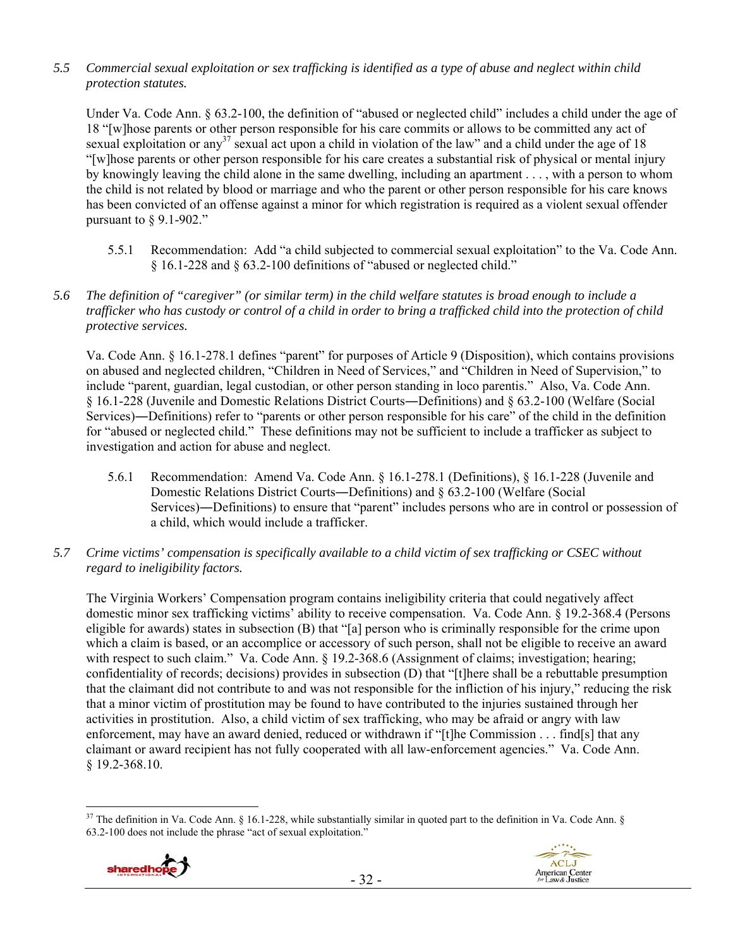*5.5 Commercial sexual exploitation or sex trafficking is identified as a type of abuse and neglect within child protection statutes.* 

Under Va. Code Ann. § 63.2-100, the definition of "abused or neglected child" includes a child under the age of 18 "[w]hose parents or other person responsible for his care commits or allows to be committed any act of sexual exploitation or any<sup>37</sup> sexual act upon a child in violation of the law" and a child under the age of 18 "[w]hose parents or other person responsible for his care creates a substantial risk of physical or mental injury by knowingly leaving the child alone in the same dwelling, including an apartment . . . , with a person to whom the child is not related by blood or marriage and who the parent or other person responsible for his care knows has been convicted of an offense against a minor for which registration is required as a violent sexual offender pursuant to  $\&$  9.1-902."

- 5.5.1 Recommendation: Add "a child subjected to commercial sexual exploitation" to the Va. Code Ann. § 16.1-228 and § 63.2-100 definitions of "abused or neglected child."
- *5.6 The definition of "caregiver" (or similar term) in the child welfare statutes is broad enough to include a trafficker who has custody or control of a child in order to bring a trafficked child into the protection of child protective services.*

Va. Code Ann. § 16.1-278.1 defines "parent" for purposes of Article 9 (Disposition), which contains provisions on abused and neglected children, "Children in Need of Services," and "Children in Need of Supervision," to include "parent, guardian, legal custodian, or other person standing in loco parentis." Also, Va. Code Ann. § 16.1-228 (Juvenile and Domestic Relations District Courts―Definitions) and § 63.2-100 (Welfare (Social Services)―Definitions) refer to "parents or other person responsible for his care" of the child in the definition for "abused or neglected child." These definitions may not be sufficient to include a trafficker as subject to investigation and action for abuse and neglect.

- 5.6.1 Recommendation: Amend Va. Code Ann. § 16.1-278.1 (Definitions), § 16.1-228 (Juvenile and Domestic Relations District Courts―Definitions) and § 63.2-100 (Welfare (Social Services)―Definitions) to ensure that "parent" includes persons who are in control or possession of a child, which would include a trafficker.
- *5.7 Crime victims' compensation is specifically available to a child victim of sex trafficking or CSEC without regard to ineligibility factors.*

The Virginia Workers' Compensation program contains ineligibility criteria that could negatively affect domestic minor sex trafficking victims' ability to receive compensation. Va. Code Ann. § 19.2-368.4 (Persons eligible for awards) states in subsection (B) that "[a] person who is criminally responsible for the crime upon which a claim is based, or an accomplice or accessory of such person, shall not be eligible to receive an award with respect to such claim." Va. Code Ann. § 19.2-368.6 (Assignment of claims; investigation; hearing; confidentiality of records; decisions) provides in subsection (D) that "[t]here shall be a rebuttable presumption that the claimant did not contribute to and was not responsible for the infliction of his injury," reducing the risk that a minor victim of prostitution may be found to have contributed to the injuries sustained through her activities in prostitution. Also, a child victim of sex trafficking, who may be afraid or angry with law enforcement, may have an award denied, reduced or withdrawn if "[t]he Commission . . . find[s] that any claimant or award recipient has not fully cooperated with all law-enforcement agencies." Va. Code Ann. § 19.2-368.10.

 $\overline{a}$  $37$  The definition in Va. Code Ann. § 16.1-228, while substantially similar in quoted part to the definition in Va. Code Ann. § 63.2-100 does not include the phrase "act of sexual exploitation."

![](_page_31_Picture_9.jpeg)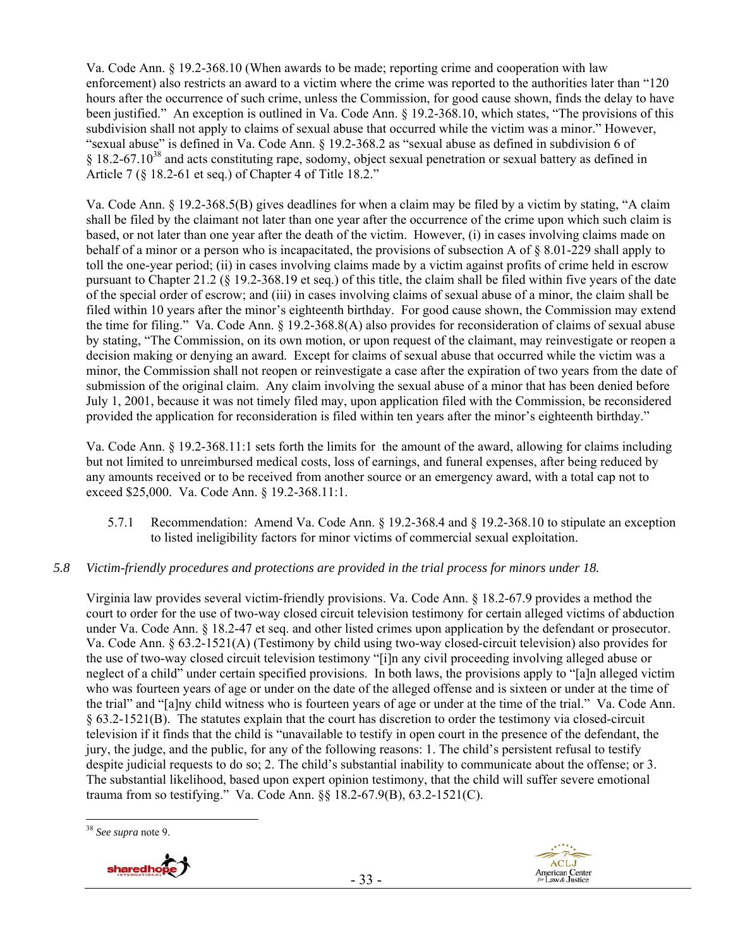Va. Code Ann. § 19.2-368.10 (When awards to be made; reporting crime and cooperation with law enforcement) also restricts an award to a victim where the crime was reported to the authorities later than "120 hours after the occurrence of such crime, unless the Commission, for good cause shown, finds the delay to have been justified." An exception is outlined in Va. Code Ann. § 19.2-368.10, which states, "The provisions of this subdivision shall not apply to claims of sexual abuse that occurred while the victim was a minor." However, "sexual abuse" is defined in Va. Code Ann. § 19.2-368.2 as "sexual abuse as defined in subdivision 6 of § 18.2-67.1038 and acts constituting rape, sodomy, object sexual penetration or sexual battery as defined in Article 7 (§ 18.2-61 et seq.) of Chapter 4 of Title 18.2."

Va. Code Ann. § 19.2-368.5(B) gives deadlines for when a claim may be filed by a victim by stating, "A claim shall be filed by the claimant not later than one year after the occurrence of the crime upon which such claim is based, or not later than one year after the death of the victim. However, (i) in cases involving claims made on behalf of a minor or a person who is incapacitated, the provisions of subsection A of § 8.01-229 shall apply to toll the one-year period; (ii) in cases involving claims made by a victim against profits of crime held in escrow pursuant to Chapter 21.2 (§ 19.2-368.19 et seq.) of this title, the claim shall be filed within five years of the date of the special order of escrow; and (iii) in cases involving claims of sexual abuse of a minor, the claim shall be filed within 10 years after the minor's eighteenth birthday. For good cause shown, the Commission may extend the time for filing." Va. Code Ann. § 19.2-368.8(A) also provides for reconsideration of claims of sexual abuse by stating, "The Commission, on its own motion, or upon request of the claimant, may reinvestigate or reopen a decision making or denying an award. Except for claims of sexual abuse that occurred while the victim was a minor, the Commission shall not reopen or reinvestigate a case after the expiration of two years from the date of submission of the original claim. Any claim involving the sexual abuse of a minor that has been denied before July 1, 2001, because it was not timely filed may, upon application filed with the Commission, be reconsidered provided the application for reconsideration is filed within ten years after the minor's eighteenth birthday."

Va. Code Ann. § 19.2-368.11:1 sets forth the limits for the amount of the award, allowing for claims including but not limited to unreimbursed medical costs, loss of earnings, and funeral expenses, after being reduced by any amounts received or to be received from another source or an emergency award, with a total cap not to exceed \$25,000. Va. Code Ann. § 19.2-368.11:1.

5.7.1 Recommendation: Amend Va. Code Ann. § 19.2-368.4 and § 19.2-368.10 to stipulate an exception to listed ineligibility factors for minor victims of commercial sexual exploitation.

## *5.8 Victim-friendly procedures and protections are provided in the trial process for minors under 18.*

Virginia law provides several victim-friendly provisions. Va. Code Ann. § 18.2-67.9 provides a method the court to order for the use of two-way closed circuit television testimony for certain alleged victims of abduction under Va. Code Ann. § 18.2-47 et seq. and other listed crimes upon application by the defendant or prosecutor. Va. Code Ann. § 63.2-1521(A) (Testimony by child using two-way closed-circuit television) also provides for the use of two-way closed circuit television testimony "[i]n any civil proceeding involving alleged abuse or neglect of a child" under certain specified provisions. In both laws, the provisions apply to "[a]n alleged victim who was fourteen years of age or under on the date of the alleged offense and is sixteen or under at the time of the trial" and "[a]ny child witness who is fourteen years of age or under at the time of the trial." Va. Code Ann. § 63.2-1521(B). The statutes explain that the court has discretion to order the testimony via closed-circuit television if it finds that the child is "unavailable to testify in open court in the presence of the defendant, the jury, the judge, and the public, for any of the following reasons: 1. The child's persistent refusal to testify despite judicial requests to do so; 2. The child's substantial inability to communicate about the offense; or 3. The substantial likelihood, based upon expert opinion testimony, that the child will suffer severe emotional trauma from so testifying." Va. Code Ann. §§ 18.2-67.9(B), 63.2-1521(C).

 $\overline{a}$ <sup>38</sup> *See supra* note 9.

![](_page_32_Picture_7.jpeg)

![](_page_32_Picture_8.jpeg)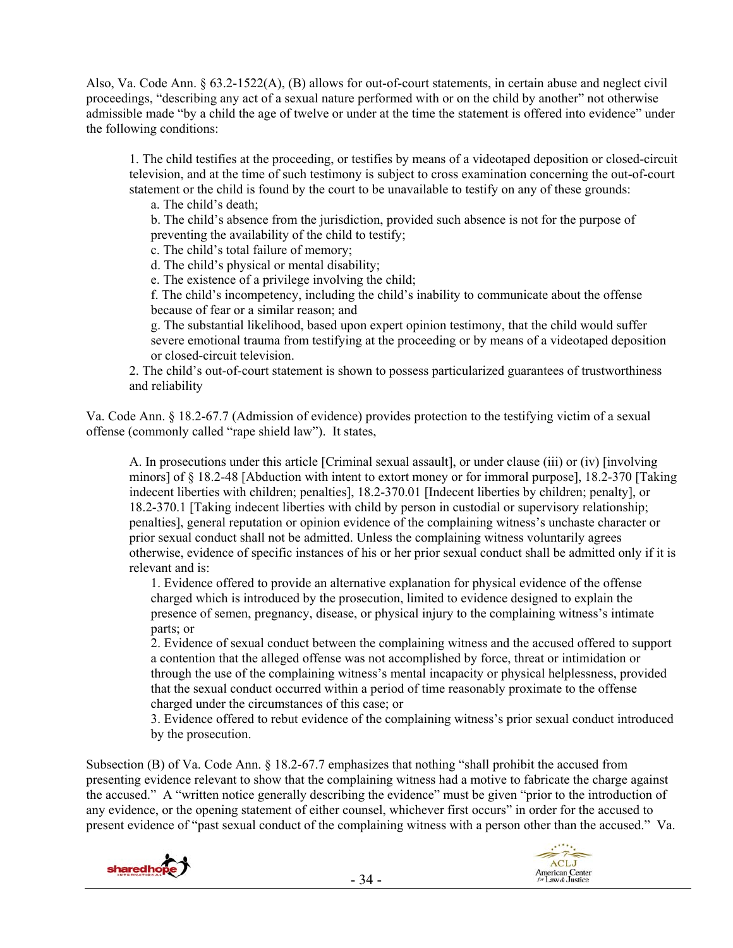Also, Va. Code Ann. § 63.2-1522(A), (B) allows for out-of-court statements, in certain abuse and neglect civil proceedings, "describing any act of a sexual nature performed with or on the child by another" not otherwise admissible made "by a child the age of twelve or under at the time the statement is offered into evidence" under the following conditions:

1. The child testifies at the proceeding, or testifies by means of a videotaped deposition or closed-circuit television, and at the time of such testimony is subject to cross examination concerning the out-of-court statement or the child is found by the court to be unavailable to testify on any of these grounds:

a. The child's death;

b. The child's absence from the jurisdiction, provided such absence is not for the purpose of preventing the availability of the child to testify;

c. The child's total failure of memory;

d. The child's physical or mental disability;

e. The existence of a privilege involving the child;

f. The child's incompetency, including the child's inability to communicate about the offense because of fear or a similar reason; and

g. The substantial likelihood, based upon expert opinion testimony, that the child would suffer severe emotional trauma from testifying at the proceeding or by means of a videotaped deposition or closed-circuit television.

2. The child's out-of-court statement is shown to possess particularized guarantees of trustworthiness and reliability

Va. Code Ann. § 18.2-67.7 (Admission of evidence) provides protection to the testifying victim of a sexual offense (commonly called "rape shield law"). It states,

A. In prosecutions under this article [Criminal sexual assault], or under clause (iii) or (iv) [involving minors] of § 18.2-48 [Abduction with intent to extort money or for immoral purpose], 18.2-370 [Taking indecent liberties with children; penalties], 18.2-370.01 [Indecent liberties by children; penalty], or 18.2-370.1 [Taking indecent liberties with child by person in custodial or supervisory relationship; penalties], general reputation or opinion evidence of the complaining witness's unchaste character or prior sexual conduct shall not be admitted. Unless the complaining witness voluntarily agrees otherwise, evidence of specific instances of his or her prior sexual conduct shall be admitted only if it is relevant and is:

1. Evidence offered to provide an alternative explanation for physical evidence of the offense charged which is introduced by the prosecution, limited to evidence designed to explain the presence of semen, pregnancy, disease, or physical injury to the complaining witness's intimate parts; or

2. Evidence of sexual conduct between the complaining witness and the accused offered to support a contention that the alleged offense was not accomplished by force, threat or intimidation or through the use of the complaining witness's mental incapacity or physical helplessness, provided that the sexual conduct occurred within a period of time reasonably proximate to the offense charged under the circumstances of this case; or

 3. Evidence offered to rebut evidence of the complaining witness's prior sexual conduct introduced by the prosecution.

Subsection (B) of Va. Code Ann. § 18.2-67.7 emphasizes that nothing "shall prohibit the accused from presenting evidence relevant to show that the complaining witness had a motive to fabricate the charge against the accused." A "written notice generally describing the evidence" must be given "prior to the introduction of any evidence, or the opening statement of either counsel, whichever first occurs" in order for the accused to present evidence of "past sexual conduct of the complaining witness with a person other than the accused." Va.

![](_page_33_Picture_16.jpeg)

![](_page_33_Picture_17.jpeg)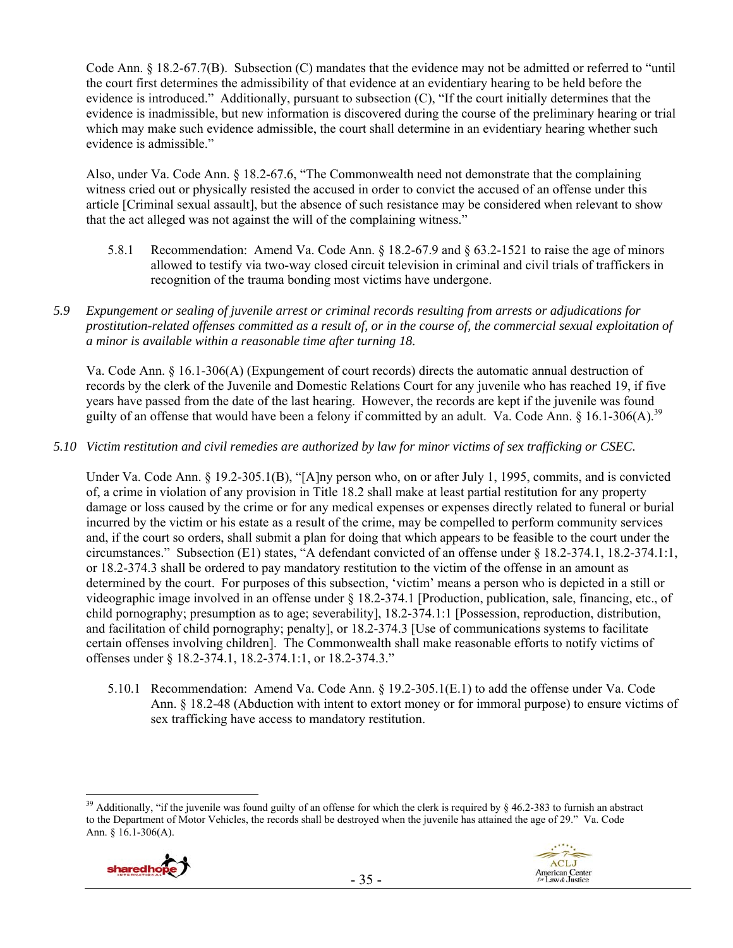Code Ann. § 18.2-67.7(B). Subsection (C) mandates that the evidence may not be admitted or referred to "until the court first determines the admissibility of that evidence at an evidentiary hearing to be held before the evidence is introduced." Additionally, pursuant to subsection (C), "If the court initially determines that the evidence is inadmissible, but new information is discovered during the course of the preliminary hearing or trial which may make such evidence admissible, the court shall determine in an evidentiary hearing whether such evidence is admissible."

Also, under Va. Code Ann. § 18.2-67.6, "The Commonwealth need not demonstrate that the complaining witness cried out or physically resisted the accused in order to convict the accused of an offense under this article [Criminal sexual assault], but the absence of such resistance may be considered when relevant to show that the act alleged was not against the will of the complaining witness."

- 5.8.1 Recommendation: Amend Va. Code Ann. § 18.2-67.9 and § 63.2-1521 to raise the age of minors allowed to testify via two-way closed circuit television in criminal and civil trials of traffickers in recognition of the trauma bonding most victims have undergone.
- *5.9 Expungement or sealing of juvenile arrest or criminal records resulting from arrests or adjudications for prostitution-related offenses committed as a result of, or in the course of, the commercial sexual exploitation of a minor is available within a reasonable time after turning 18.*

Va. Code Ann. § 16.1-306(A) (Expungement of court records) directs the automatic annual destruction of records by the clerk of the Juvenile and Domestic Relations Court for any juvenile who has reached 19, if five years have passed from the date of the last hearing. However, the records are kept if the juvenile was found guilty of an offense that would have been a felony if committed by an adult. Va. Code Ann. § 16.1-306(A).<sup>39</sup>

## *5.10 Victim restitution and civil remedies are authorized by law for minor victims of sex trafficking or CSEC.*

Under Va. Code Ann. § 19.2-305.1(B), "[A]ny person who, on or after July 1, 1995, commits, and is convicted of, a crime in violation of any provision in Title 18.2 shall make at least partial restitution for any property damage or loss caused by the crime or for any medical expenses or expenses directly related to funeral or burial incurred by the victim or his estate as a result of the crime, may be compelled to perform community services and, if the court so orders, shall submit a plan for doing that which appears to be feasible to the court under the circumstances." Subsection (E1) states, "A defendant convicted of an offense under § 18.2-374.1, 18.2-374.1:1, or 18.2-374.3 shall be ordered to pay mandatory restitution to the victim of the offense in an amount as determined by the court. For purposes of this subsection, 'victim' means a person who is depicted in a still or videographic image involved in an offense under § 18.2-374.1 [Production, publication, sale, financing, etc., of child pornography; presumption as to age; severability], 18.2-374.1:1 [Possession, reproduction, distribution, and facilitation of child pornography; penalty], or 18.2-374.3 [Use of communications systems to facilitate certain offenses involving children]. The Commonwealth shall make reasonable efforts to notify victims of offenses under § 18.2-374.1, 18.2-374.1:1, or 18.2-374.3."

5.10.1 Recommendation: Amend Va. Code Ann. § 19.2-305.1(E.1) to add the offense under Va. Code Ann. § 18.2-48 (Abduction with intent to extort money or for immoral purpose) to ensure victims of sex trafficking have access to mandatory restitution.

 $\overline{a}$ <sup>39</sup> Additionally, "if the juvenile was found guilty of an offense for which the clerk is required by  $\frac{1}{2}$  46.2-383 to furnish an abstract to the Department of Motor Vehicles, the records shall be destroyed when the juvenile has attained the age of 29." Va. Code Ann. § 16.1-306(A).

![](_page_34_Picture_9.jpeg)

![](_page_34_Picture_10.jpeg)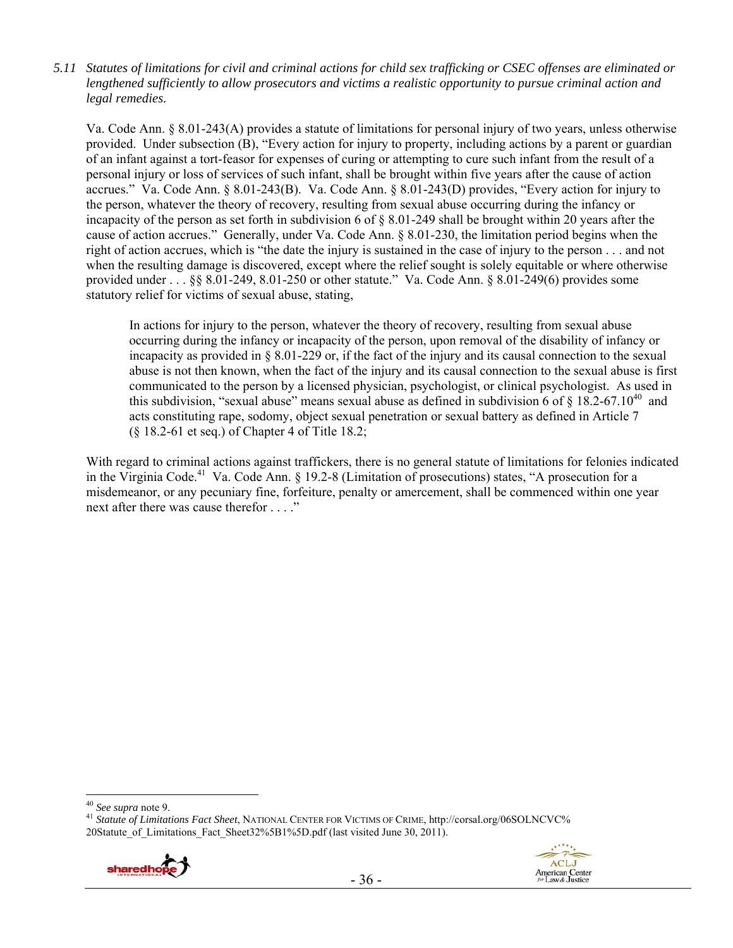*5.11 Statutes of limitations for civil and criminal actions for child sex trafficking or CSEC offenses are eliminated or lengthened sufficiently to allow prosecutors and victims a realistic opportunity to pursue criminal action and legal remedies.* 

Va. Code Ann. § 8.01-243(A) provides a statute of limitations for personal injury of two years, unless otherwise provided. Under subsection (B), "Every action for injury to property, including actions by a parent or guardian of an infant against a tort-feasor for expenses of curing or attempting to cure such infant from the result of a personal injury or loss of services of such infant, shall be brought within five years after the cause of action accrues." Va. Code Ann. § 8.01-243(B). Va. Code Ann. § 8.01-243(D) provides, "Every action for injury to the person, whatever the theory of recovery, resulting from sexual abuse occurring during the infancy or incapacity of the person as set forth in subdivision 6 of § 8.01-249 shall be brought within 20 years after the cause of action accrues." Generally, under Va. Code Ann. § 8.01-230, the limitation period begins when the right of action accrues, which is "the date the injury is sustained in the case of injury to the person . . . and not when the resulting damage is discovered, except where the relief sought is solely equitable or where otherwise provided under . . . §§ 8.01-249, 8.01-250 or other statute." Va. Code Ann. § 8.01-249(6) provides some statutory relief for victims of sexual abuse, stating,

In actions for injury to the person, whatever the theory of recovery, resulting from sexual abuse occurring during the infancy or incapacity of the person, upon removal of the disability of infancy or incapacity as provided in § 8.01-229 or, if the fact of the injury and its causal connection to the sexual abuse is not then known, when the fact of the injury and its causal connection to the sexual abuse is first communicated to the person by a licensed physician, psychologist, or clinical psychologist. As used in this subdivision, "sexual abuse" means sexual abuse as defined in subdivision 6 of  $\S$  18.2-67.10<sup>40</sup> and acts constituting rape, sodomy, object sexual penetration or sexual battery as defined in Article 7 (§ 18.2-61 et seq.) of Chapter 4 of Title 18.2;

With regard to criminal actions against traffickers, there is no general statute of limitations for felonies indicated in the Virginia Code.<sup>41</sup> Va. Code Ann.  $\S$  19.2-8 (Limitation of prosecutions) states, "A prosecution for a misdemeanor, or any pecuniary fine, forfeiture, penalty or amercement, shall be commenced within one year next after there was cause therefor . . . ."

<sup>&</sup>lt;sup>41</sup> Statute of Limitations Fact Sheet, NATIONAL CENTER FOR VICTIMS OF CRIME, http://corsal.org/06SOLNCVC% 20Statute of Limitations Fact Sheet32%5B1%5D.pdf (last visited June 30, 2011).

![](_page_35_Picture_6.jpeg)

![](_page_35_Picture_7.jpeg)

<sup>&</sup>lt;sup>40</sup> See supra note 9.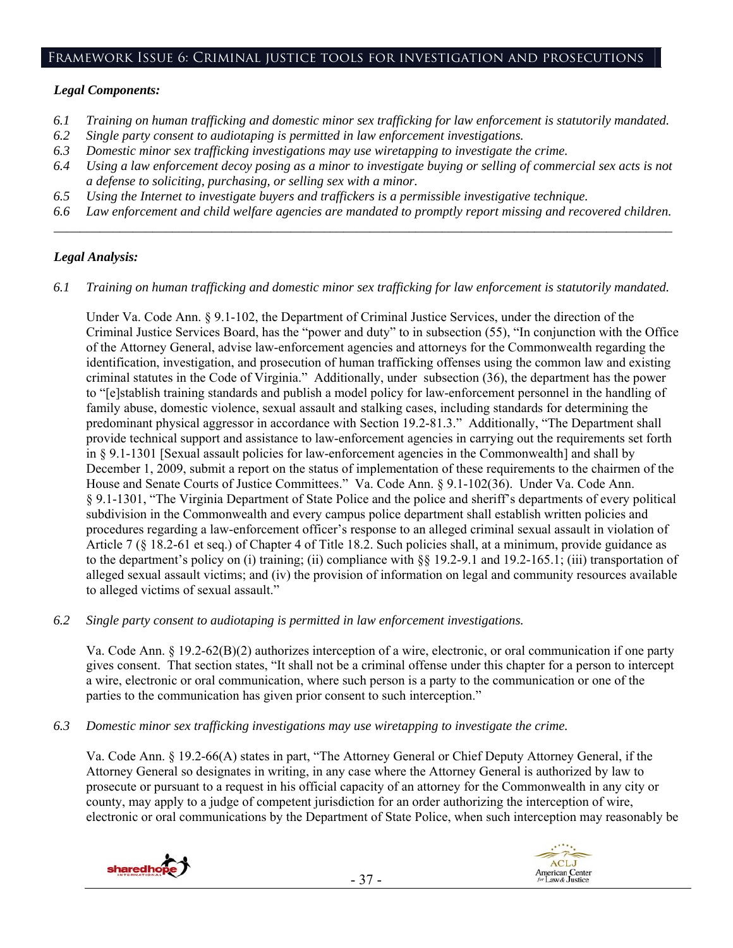#### Framework Issue 6: Criminal justice tools for investigation and prosecutions

#### *Legal Components:*

- *6.1 Training on human trafficking and domestic minor sex trafficking for law enforcement is statutorily mandated.*
- *6.2 Single party consent to audiotaping is permitted in law enforcement investigations.*
- *6.3 Domestic minor sex trafficking investigations may use wiretapping to investigate the crime.*
- *6.4 Using a law enforcement decoy posing as a minor to investigate buying or selling of commercial sex acts is not a defense to soliciting, purchasing, or selling sex with a minor.*
- *6.5 Using the Internet to investigate buyers and traffickers is a permissible investigative technique.*
- *6.6 Law enforcement and child welfare agencies are mandated to promptly report missing and recovered children. \_\_\_\_\_\_\_\_\_\_\_\_\_\_\_\_\_\_\_\_\_\_\_\_\_\_\_\_\_\_\_\_\_\_\_\_\_\_\_\_\_\_\_\_\_\_\_\_\_\_\_\_\_\_\_\_\_\_\_\_\_\_\_\_\_\_\_\_\_\_\_\_\_\_\_\_\_\_\_\_\_\_\_\_\_\_\_\_\_\_\_\_\_\_*

## *Legal Analysis:*

*6.1 Training on human trafficking and domestic minor sex trafficking for law enforcement is statutorily mandated.* 

Under Va. Code Ann. § 9.1-102, the Department of Criminal Justice Services, under the direction of the Criminal Justice Services Board, has the "power and duty" to in subsection (55), "In conjunction with the Office of the Attorney General, advise law-enforcement agencies and attorneys for the Commonwealth regarding the identification, investigation, and prosecution of human trafficking offenses using the common law and existing criminal statutes in the Code of Virginia." Additionally, under subsection (36), the department has the power to "[e]stablish training standards and publish a model policy for law-enforcement personnel in the handling of family abuse, domestic violence, sexual assault and stalking cases, including standards for determining the predominant physical aggressor in accordance with Section 19.2-81.3." Additionally, "The Department shall provide technical support and assistance to law-enforcement agencies in carrying out the requirements set forth in § 9.1-1301 [Sexual assault policies for law-enforcement agencies in the Commonwealth] and shall by December 1, 2009, submit a report on the status of implementation of these requirements to the chairmen of the House and Senate Courts of Justice Committees." Va. Code Ann. § 9.1-102(36). Under Va. Code Ann. § 9.1-1301, "The Virginia Department of State Police and the police and sheriff's departments of every political subdivision in the Commonwealth and every campus police department shall establish written policies and procedures regarding a law-enforcement officer's response to an alleged criminal sexual assault in violation of Article 7 (§ 18.2-61 et seq.) of Chapter 4 of Title 18.2. Such policies shall, at a minimum, provide guidance as to the department's policy on (i) training; (ii) compliance with §§ 19.2-9.1 and 19.2-165.1; (iii) transportation of alleged sexual assault victims; and (iv) the provision of information on legal and community resources available to alleged victims of sexual assault."

*6.2 Single party consent to audiotaping is permitted in law enforcement investigations.* 

Va. Code Ann. § 19.2-62(B)(2) authorizes interception of a wire, electronic, or oral communication if one party gives consent. That section states, "It shall not be a criminal offense under this chapter for a person to intercept a wire, electronic or oral communication, where such person is a party to the communication or one of the parties to the communication has given prior consent to such interception."

*6.3 Domestic minor sex trafficking investigations may use wiretapping to investigate the crime.* 

Va. Code Ann. § 19.2-66(A) states in part, "The Attorney General or Chief Deputy Attorney General, if the Attorney General so designates in writing, in any case where the Attorney General is authorized by law to prosecute or pursuant to a request in his official capacity of an attorney for the Commonwealth in any city or county, may apply to a judge of competent jurisdiction for an order authorizing the interception of wire, electronic or oral communications by the Department of State Police, when such interception may reasonably be

![](_page_36_Picture_15.jpeg)

![](_page_36_Picture_17.jpeg)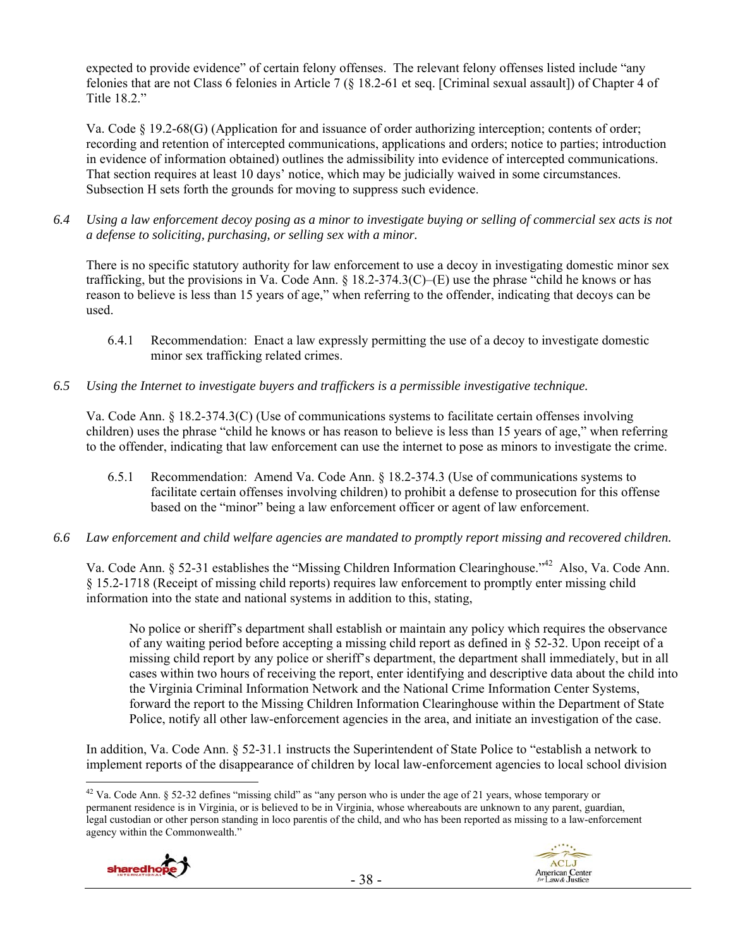expected to provide evidence" of certain felony offenses. The relevant felony offenses listed include "any felonies that are not Class 6 felonies in Article 7 (§ 18.2-61 et seq. [Criminal sexual assault]) of Chapter 4 of Title 18.2."

Va. Code § 19.2-68(G) (Application for and issuance of order authorizing interception; contents of order; recording and retention of intercepted communications, applications and orders; notice to parties; introduction in evidence of information obtained) outlines the admissibility into evidence of intercepted communications. That section requires at least 10 days' notice, which may be judicially waived in some circumstances. Subsection H sets forth the grounds for moving to suppress such evidence.

*6.4 Using a law enforcement decoy posing as a minor to investigate buying or selling of commercial sex acts is not a defense to soliciting, purchasing, or selling sex with a minor.* 

There is no specific statutory authority for law enforcement to use a decoy in investigating domestic minor sex trafficking, but the provisions in Va. Code Ann.  $\S 18.2-374.3(C)$ –(E) use the phrase "child he knows or has reason to believe is less than 15 years of age," when referring to the offender, indicating that decoys can be used.

- 6.4.1 Recommendation: Enact a law expressly permitting the use of a decoy to investigate domestic minor sex trafficking related crimes.
- *6.5 Using the Internet to investigate buyers and traffickers is a permissible investigative technique.*

Va. Code Ann. § 18.2-374.3(C) (Use of communications systems to facilitate certain offenses involving children) uses the phrase "child he knows or has reason to believe is less than 15 years of age," when referring to the offender, indicating that law enforcement can use the internet to pose as minors to investigate the crime.

- 6.5.1 Recommendation: Amend Va. Code Ann. § 18.2-374.3 (Use of communications systems to facilitate certain offenses involving children) to prohibit a defense to prosecution for this offense based on the "minor" being a law enforcement officer or agent of law enforcement.
- *6.6 Law enforcement and child welfare agencies are mandated to promptly report missing and recovered children.*

Va. Code Ann. § 52-31 establishes the "Missing Children Information Clearinghouse."42 Also, Va. Code Ann. § 15.2-1718 (Receipt of missing child reports) requires law enforcement to promptly enter missing child information into the state and national systems in addition to this, stating,

No police or sheriff's department shall establish or maintain any policy which requires the observance of any waiting period before accepting a missing child report as defined in § 52-32. Upon receipt of a missing child report by any police or sheriff's department, the department shall immediately, but in all cases within two hours of receiving the report, enter identifying and descriptive data about the child into the Virginia Criminal Information Network and the National Crime Information Center Systems, forward the report to the Missing Children Information Clearinghouse within the Department of State Police, notify all other law-enforcement agencies in the area, and initiate an investigation of the case.

In addition, Va. Code Ann. § 52-31.1 instructs the Superintendent of State Police to "establish a network to implement reports of the disappearance of children by local law-enforcement agencies to local school division

 $\overline{a}$ <sup>42</sup> Va. Code Ann. § 52-32 defines "missing child" as "any person who is under the age of 21 years, whose temporary or permanent residence is in Virginia, or is believed to be in Virginia, whose whereabouts are unknown to any parent, guardian, legal custodian or other person standing in loco parentis of the child, and who has been reported as missing to a law-enforcement agency within the Commonwealth."

![](_page_37_Picture_13.jpeg)

![](_page_37_Picture_14.jpeg)